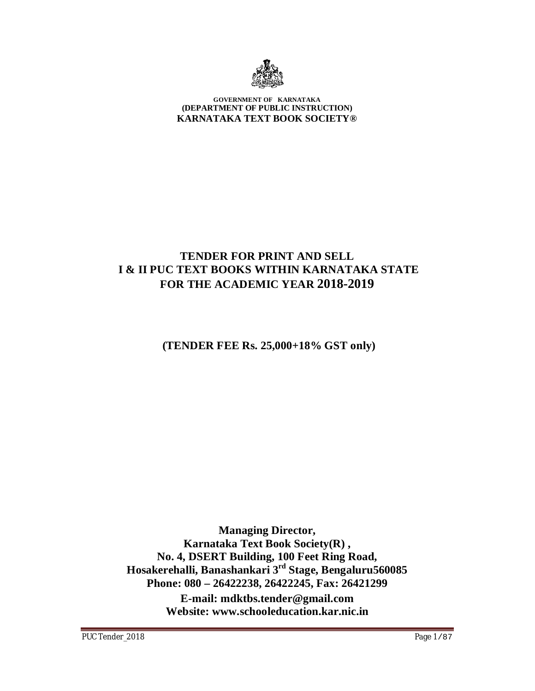

#### **GOVERNMENT OF KARNATAKA (DEPARTMENT OF PUBLIC INSTRUCTION) KARNATAKA TEXT BOOK SOCIETY®**

## **TENDER FOR PRINT AND SELL I & II PUC TEXT BOOKS WITHIN KARNATAKA STATE FOR THE ACADEMIC YEAR 2018-2019**

 **(TENDER FEE Rs. 25,000+18% GST only)**

**Managing Director, Karnataka Text Book Society(R) , No. 4, DSERT Building, 100 Feet Ring Road, Hosakerehalli, Banashankari 3rd Stage, Bengaluru560085 Phone: 080 – 26422238, 26422245, Fax: 26421299 E-mail: [mdktbs.tender@gmail.com](mailto:mdktbs.tender@gmail.com) Website: [www.schooleducation.kar.nic.in](http://www.schooleducation.kar.nic.in)**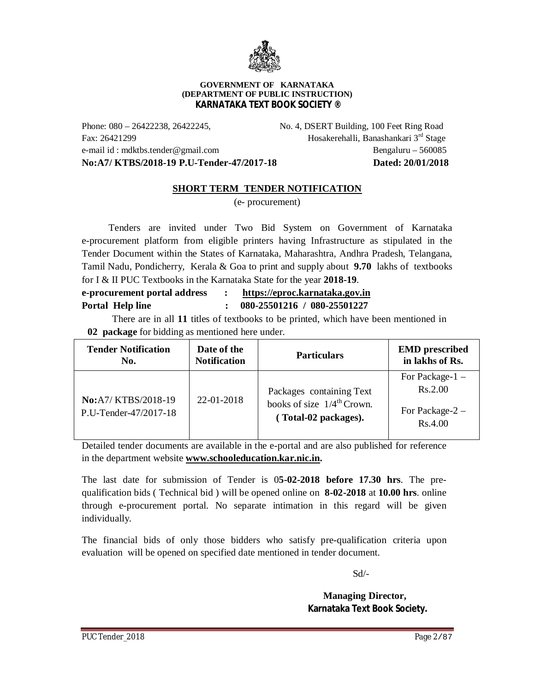

#### **GOVERNMENT OF KARNATAKA (DEPARTMENT OF PUBLIC INSTRUCTION) KARNATAKA TEXT BOOK SOCIETY ®**

Phone: 080 – 26422238, 26422245, No. 4, DSERT Building, 100 Feet Ring Road Fax: 26421299 Hosakerehalli, Banashankari 3rd Stage e-mail id : [mdktbs.tender@gmail.com](mailto:mdktbs.tender@gmail.com) Bengaluru – 560085 **No:A7/ KTBS/2018-19 P.U-Tender-47/2017-18 Dated: 20/01/2018**

#### **SHORT TERM TENDER NOTIFICATION**

(e- procurement)

 Tenders are invited under Two Bid System on Government of Karnataka e-procurement platform from eligible printers having Infrastructure as stipulated in the Tender Document within the States of Karnataka, Maharashtra, Andhra Pradesh, Telangana, Tamil Nadu, Pondicherry, Kerala & Goa to print and supply about **9.70** lakhs of textbooks for I & II PUC Textbooks in the Karnataka State for the year **2018-19**.

| e-procurement portal address | https://eproc.karnataka.gov.in |
|------------------------------|--------------------------------|
| Portal Help line             | 080-25501216 / 080-25501227    |

 There are in all **11** titles of textbooks to be printed, which have been mentioned in **02 package** for bidding as mentioned here under.

| <b>Tender Notification</b>                          | Date of the         | <b>Particulars</b>                                                                         | <b>EMD</b> prescribed                                       |
|-----------------------------------------------------|---------------------|--------------------------------------------------------------------------------------------|-------------------------------------------------------------|
| No.                                                 | <b>Notification</b> |                                                                                            | in lakhs of Rs.                                             |
| <b>No:</b> A7/KTBS/2018-19<br>P.U-Tender-47/2017-18 | $22 - 01 - 2018$    | Packages containing Text<br>books of size $1/4^{\text{th}}$ Crown.<br>(Total-02 packages). | For Package- $1 -$<br>Rs.2.00<br>For Package-2 -<br>Rs.4.00 |

Detailed tender documents are available in the e-portal and are also published for reference in the department website **[www.schooleducation.kar.nic.in.](http://www.schooleducation.kar.nic.in.)**

The last date for submission of Tender is 0**5-02-2018 before 17.30 hrs**. The prequalification bids ( Technical bid ) will be opened online on **8-02-2018** at **10.00 hrs**. online through e-procurement portal. No separate intimation in this regard will be given individually.

The financial bids of only those bidders who satisfy pre-qualification criteria upon evaluation will be opened on specified date mentioned in tender document.

Sd/-

 **Managing Director, Karnataka Text Book Society.**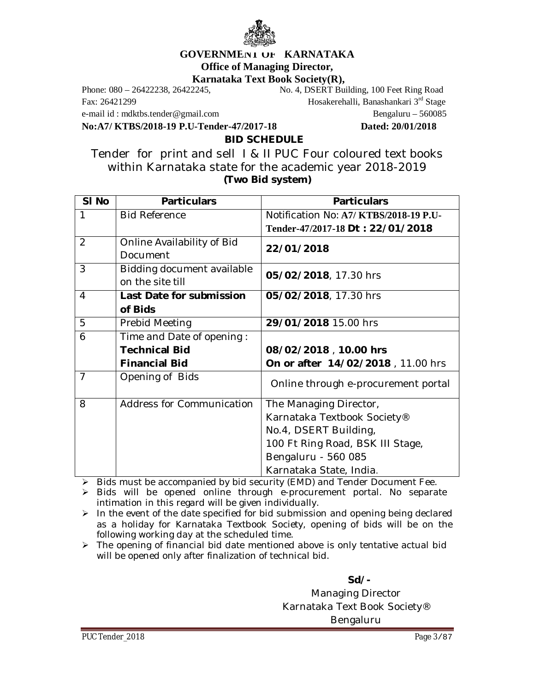

# **GOVERNMENT OF KARNATAKA Office of Managing Director,**

**Karnataka Text Book Society(R),**<br>Phone: 080 – 26422238, 26422245, No. 4, DSERT Bui

e-mail id : [mdktbs.tender@gmail.com](mailto:mdktbs.tender@gmail.com) Bengaluru – 560085

**No:A7/ KTBS/2018-19 P.U-Tender-47/2017-18 Dated: 20/01/2018**

No. 4, DSERT Building, 100 Feet Ring Road Fax: 26421299 Hosakerehalli, Banashankari 3rd Stage

**BID SCHEDULE**

Tender for print and sell I & II PUC Four coloured text books within Karnataka state for the academic year 2018-2019 **(Two Bid system)**

| SI <sub>No</sub> | <b>Particulars</b>         | <b>Particulars</b>                    |
|------------------|----------------------------|---------------------------------------|
| 1                | <b>Bid Reference</b>       | Notification No: A7/KTBS/2018-19 P.U- |
|                  |                            | Tender-47/2017-18 Dt: 22/01/2018      |
| 2                | Online Availability of Bid | 22/01/2018                            |
|                  | Document                   |                                       |
| 3                | Bidding document available | 05/02/2018, 17.30 hrs                 |
|                  | on the site till           |                                       |
| 4                | Last Date for submission   | 05/02/2018, 17.30 hrs                 |
|                  | of Bids                    |                                       |
| 5                | Prebid Meeting             | 29/01/2018 15.00 hrs                  |
| 6                | Time and Date of opening:  |                                       |
|                  | <b>Technical Bid</b>       | 08/02/2018, 10.00 hrs                 |
|                  | <b>Financial Bid</b>       | On or after 14/02/2018, 11.00 hrs     |
| $\overline{7}$   | Opening of Bids            | Online through e-procurement portal   |
|                  |                            |                                       |
| 8                | Address for Communication  | The Managing Director,                |
|                  |                            | Karnataka Textbook Society®           |
|                  |                            | No.4, DSERT Building,                 |
|                  |                            | 100 Ft Ring Road, BSK III Stage,      |
|                  |                            | Bengaluru - 560 085                   |
|                  |                            | Karnataka State, India.               |

Bids must be accompanied by bid security (EMD) and Tender Document Fee.

> Bids will be opened online through e-procurement portal. No separate intimation in this regard will be given individually.

 $\triangleright$  In the event of the date specified for bid submission and opening being declared as a holiday for Karnataka Textbook Society, opening of bids will be on the following working day at the scheduled time.

 $\triangleright$  The opening of financial bid date mentioned above is only tentative actual bid will be opened only after finalization of technical bid.

**Sd/-**

Managing Director Karnataka Text Book Society® Bengaluru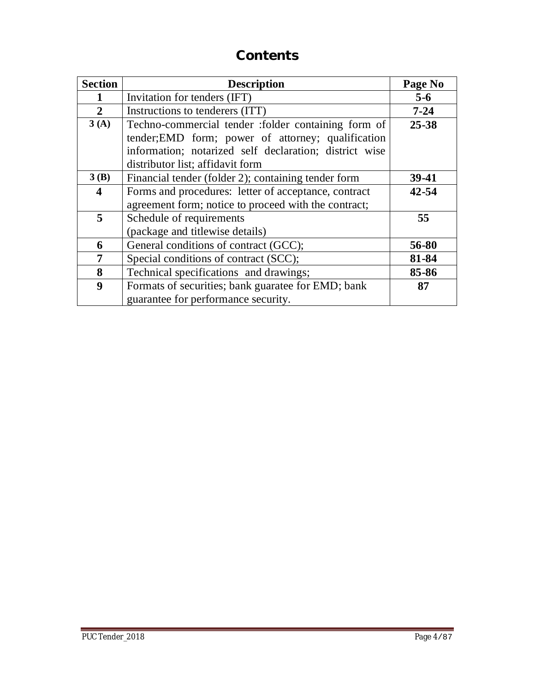# **Contents**

| <b>Section</b>          | <b>Description</b>                                     | Page No   |
|-------------------------|--------------------------------------------------------|-----------|
|                         | Invitation for tenders (IFT)                           | $5 - 6$   |
| $\overline{2}$          | Instructions to tenderers (ITT)                        | $7 - 24$  |
| 3(A)                    | Techno-commercial tender :folder containing form of    | $25 - 38$ |
|                         | tender; EMD form; power of attorney; qualification     |           |
|                         | information; notarized self declaration; district wise |           |
|                         | distributor list; affidavit form                       |           |
| 3(B)                    | Financial tender (folder 2); containing tender form    | 39-41     |
| $\overline{\mathbf{4}}$ | Forms and procedures: letter of acceptance, contract   | $42 - 54$ |
|                         | agreement form; notice to proceed with the contract;   |           |
| 5                       | Schedule of requirements                               | 55        |
|                         | (package and titlewise details)                        |           |
| 6                       | General conditions of contract (GCC);                  | 56-80     |
| 7                       | Special conditions of contract (SCC);                  | 81-84     |
| 8                       | Technical specifications and drawings;                 | 85-86     |
| 9                       | Formats of securities; bank guaratee for EMD; bank     | 87        |
|                         | guarantee for performance security.                    |           |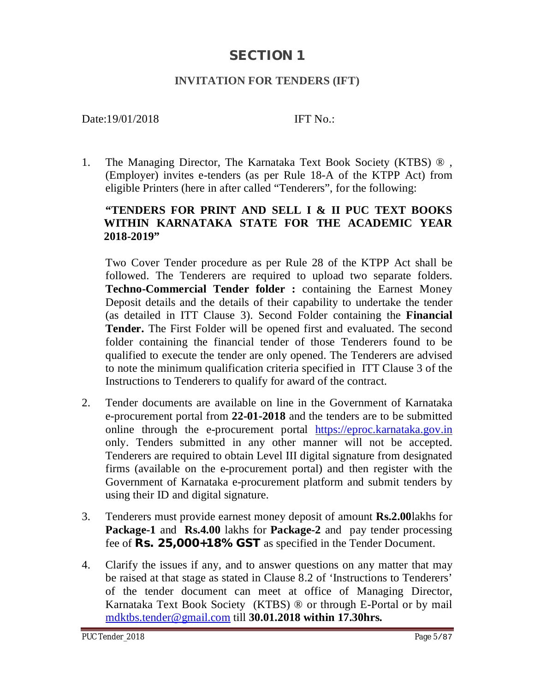## **SECTION 1**

## **INVITATION FOR TENDERS (IFT)**

### Date:19/01/2018 **IFT No.:**

1. The Managing Director, The Karnataka Text Book Society (KTBS) ® , (Employer) invites e-tenders (as per Rule 18-A of the KTPP Act) from eligible Printers (here in after called "Tenderers", for the following:

### **"TENDERS FOR PRINT AND SELL I & II PUC TEXT BOOKS WITHIN KARNATAKA STATE FOR THE ACADEMIC YEAR 2018-2019"**

Two Cover Tender procedure as per Rule 28 of the KTPP Act shall be followed. The Tenderers are required to upload two separate folders. **Techno-Commercial Tender folder :** containing the Earnest Money Deposit details and the details of their capability to undertake the tender (as detailed in ITT Clause 3). Second Folder containing the **Financial Tender.** The First Folder will be opened first and evaluated. The second folder containing the financial tender of those Tenderers found to be qualified to execute the tender are only opened. The Tenderers are advised to note the minimum qualification criteria specified in ITT Clause 3 of the Instructions to Tenderers to qualify for award of the contract.

- 2. Tender documents are available on line in the Government of Karnataka e-procurement portal from **22-01-2018** and the tenders are to be submitted online through the e-procurement portal <https://eproc.karnataka.gov.in> only. Tenders submitted in any other manner will not be accepted. Tenderers are required to obtain Level III digital signature from designated firms (available on the e-procurement portal) and then register with the Government of Karnataka e-procurement platform and submit tenders by using their ID and digital signature.
- 3. Tenderers must provide earnest money deposit of amount **Rs.2.00**lakhs for **Package-1** and **Rs.4.00** lakhs for **Package-2** and pay tender processing fee of **Rs. 25,000+18% GST** as specified in the Tender Document.
- 4. Clarify the issues if any, and to answer questions on any matter that may be raised at that stage as stated in Clause 8.2 of 'Instructions to Tenderers' of the tender document can meet at office of Managing Director, Karnataka Text Book Society (KTBS) ® or through E-Portal or by mail [mdktbs.tender@gmail.com](mailto:mdktbs.tender@gmail.com) till **30.01.2018 within 17.30hrs.**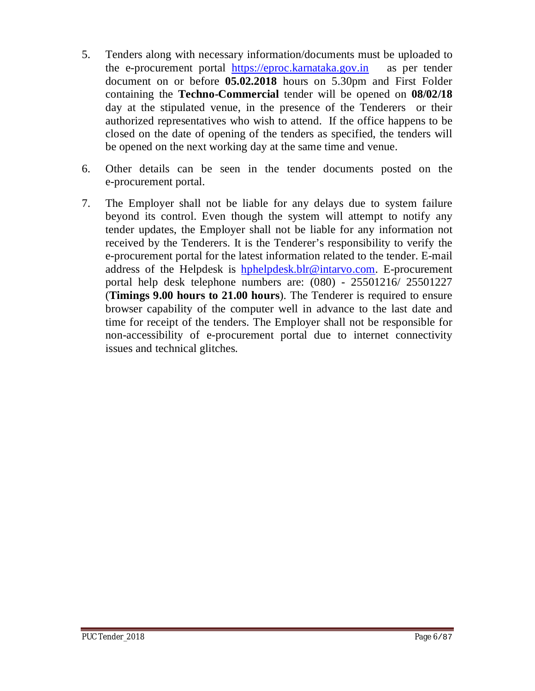- 5. Tenders along with necessary information/documents must be uploaded to the e-procurement portal <https://eproc.karnataka.gov.in> as per tender document on or before **05.02.2018** hours on 5.30pm and First Folder containing the **Techno-Commercial** tender will be opened on **08/02/18** day at the stipulated venue, in the presence of the Tenderers or their authorized representatives who wish to attend. If the office happens to be closed on the date of opening of the tenders as specified, the tenders will be opened on the next working day at the same time and venue.
- 6. Other details can be seen in the tender documents posted on the e-procurement portal.
- 7. The Employer shall not be liable for any delays due to system failure beyond its control. Even though the system will attempt to notify any tender updates, the Employer shall not be liable for any information not received by the Tenderers. It is the Tenderer's responsibility to verify the e-procurement portal for the latest information related to the tender. E-mail address of the Helpdesk is [hphelpdesk.blr@intarvo.com.](mailto:hphelpdesk.blr@intarvo.com.) E-procurement portal help desk telephone numbers are: (080) - 25501216/ 25501227 (**Timings 9.00 hours to 21.00 hours**). The Tenderer is required to ensure browser capability of the computer well in advance to the last date and time for receipt of the tenders. The Employer shall not be responsible for non-accessibility of e-procurement portal due to internet connectivity issues and technical glitches.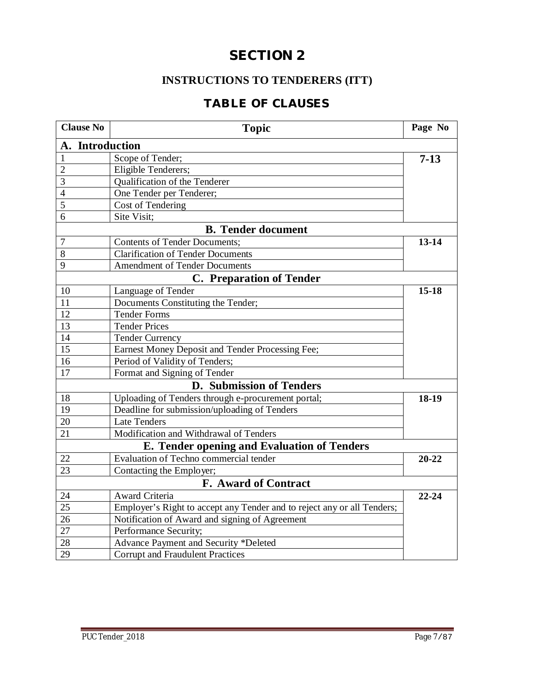# **SECTION 2**

## **INSTRUCTIONS TO TENDERERS (ITT)**

## **TABLE OF CLAUSES**

| <b>Clause No</b> | <b>Topic</b>                                                            | Page No   |
|------------------|-------------------------------------------------------------------------|-----------|
| A. Introduction  |                                                                         |           |
| $\mathbf{1}$     | Scope of Tender;                                                        | $7 - 13$  |
| $\overline{c}$   | Eligible Tenderers;                                                     |           |
| 3                | Qualification of the Tenderer                                           |           |
| 4                | One Tender per Tenderer;                                                |           |
| 5                | Cost of Tendering                                                       |           |
| 6                | Site Visit;                                                             |           |
|                  | <b>B.</b> Tender document                                               |           |
| 7                | <b>Contents of Tender Documents;</b>                                    | $13 - 14$ |
| 8                | <b>Clarification of Tender Documents</b>                                |           |
| 9                | <b>Amendment of Tender Documents</b>                                    |           |
|                  | <b>C.</b> Preparation of Tender                                         |           |
| 10               | Language of Tender                                                      | $15 - 18$ |
| 11               | Documents Constituting the Tender;                                      |           |
| 12               | <b>Tender Forms</b>                                                     |           |
| 13               | <b>Tender Prices</b>                                                    |           |
| 14               | <b>Tender Currency</b>                                                  |           |
| 15               | Earnest Money Deposit and Tender Processing Fee;                        |           |
| 16               | Period of Validity of Tenders;                                          |           |
| 17               | Format and Signing of Tender                                            |           |
|                  | D. Submission of Tenders                                                |           |
| 18               | Uploading of Tenders through e-procurement portal;                      | 18-19     |
| 19               | Deadline for submission/uploading of Tenders                            |           |
| 20               | Late Tenders                                                            |           |
| 21               | Modification and Withdrawal of Tenders                                  |           |
|                  | E. Tender opening and Evaluation of Tenders                             |           |
| 22               | Evaluation of Techno commercial tender                                  | $20 - 22$ |
| 23               | Contacting the Employer;                                                |           |
|                  | F. Award of Contract                                                    |           |
| 24               | Award Criteria                                                          | $22 - 24$ |
| 25               | Employer's Right to accept any Tender and to reject any or all Tenders; |           |
| 26               | Notification of Award and signing of Agreement                          |           |
| 27               | Performance Security;                                                   |           |
| 28               | Advance Payment and Security *Deleted                                   |           |
| 29               | <b>Corrupt and Fraudulent Practices</b>                                 |           |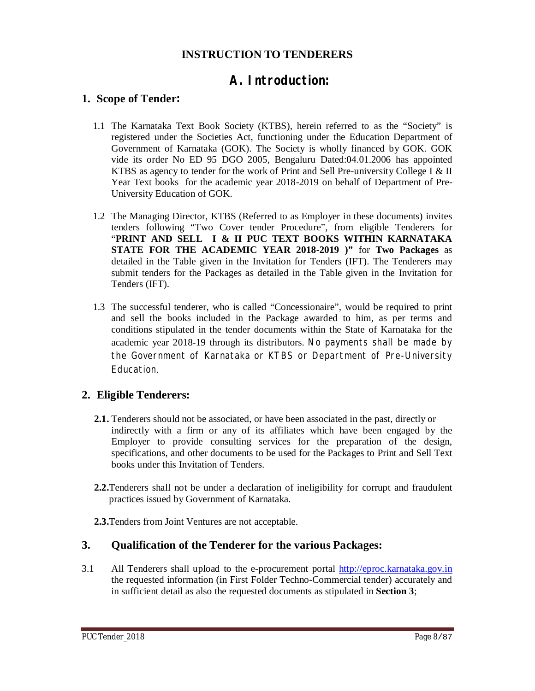## **INSTRUCTION TO TENDERERS**

# **A. Introduction:**

### **1. Scope of Tender:**

- 1.1 The Karnataka Text Book Society (KTBS), herein referred to as the "Society" is registered under the Societies Act, functioning under the Education Department of Government of Karnataka (GOK). The Society is wholly financed by GOK. GOK vide its order No ED 95 DGO 2005, Bengaluru Dated:04.01.2006 has appointed KTBS as agency to tender for the work of Print and Sell Pre-university College I & II Year Text books for the academic year 2018-2019 on behalf of Department of Pre-University Education of GOK.
- 1.2 The Managing Director, KTBS (Referred to as Employer in these documents) invites tenders following "Two Cover tender Procedure", from eligible Tenderers for "**PRINT AND SELL I & II PUC TEXT BOOKS WITHIN KARNATAKA STATE FOR THE ACADEMIC YEAR 2018-2019 )"** for **Two Packages** as detailed in the Table given in the Invitation for Tenders (IFT). The Tenderers may submit tenders for the Packages as detailed in the Table given in the Invitation for Tenders (IFT).
- 1.3 The successful tenderer, who is called "Concessionaire", would be required to print and sell the books included in the Package awarded to him, as per terms and conditions stipulated in the tender documents within the State of Karnataka for the academic year 2018-19 through its distributors. No payments shall be made by the Government of Karnataka or KTBS or Department of Pre-University Education.

### **2. Eligible Tenderers:**

- **2.1.** Tenderers should not be associated, or have been associated in the past, directly or indirectly with a firm or any of its affiliates which have been engaged by the Employer to provide consulting services for the preparation of the design, specifications, and other documents to be used for the Packages to Print and Sell Text books under this Invitation of Tenders.
- **2.2.**Tenderers shall not be under a declaration of ineligibility for corrupt and fraudulent practices issued by Government of Karnataka.
- **2.3.**Tenders from Joint Ventures are not acceptable.

#### **3. Qualification of the Tenderer for the various Packages:**

3.1 All Tenderers shall upload to the e-procurement portal <http://eproc.karnataka.gov.in> the requested information (in First Folder Techno-Commercial tender) accurately and in sufficient detail as also the requested documents as stipulated in **Section 3**;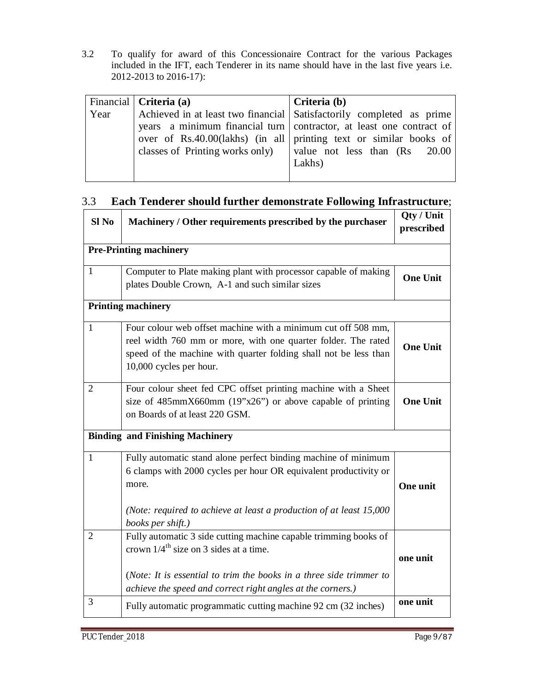3.2 To qualify for award of this Concessionaire Contract for the various Packages included in the IFT, each Tenderer in its name should have in the last five years i.e. 2012-2013 to 2016-17):

|      | Financial   Criteria (a) | Criteria (b)                                                            |
|------|--------------------------|-------------------------------------------------------------------------|
| Year |                          | Achieved in at least two financial Satisfactorily completed as prime    |
|      |                          | years a minimum financial turn contractor, at least one contract of     |
|      |                          | over of Rs.40.00(lakhs) (in all printing text or similar books of       |
|      |                          | classes of Printing works only) $\vert$ value not less than $(Rs$ 20.00 |
|      |                          | Lakhs)                                                                  |
|      |                          |                                                                         |

### 3.3 **Each Tenderer should further demonstrate Following Infrastructure**;

| Sl <sub>No</sub> | Machinery / Other requirements prescribed by the purchaser                                                                                                                                                                                                     | Qty / Unit<br>prescribed |
|------------------|----------------------------------------------------------------------------------------------------------------------------------------------------------------------------------------------------------------------------------------------------------------|--------------------------|
|                  | <b>Pre-Printing machinery</b>                                                                                                                                                                                                                                  |                          |
| $\mathbf{1}$     | Computer to Plate making plant with processor capable of making<br>plates Double Crown, A-1 and such similar sizes                                                                                                                                             | <b>One Unit</b>          |
|                  | <b>Printing machinery</b>                                                                                                                                                                                                                                      |                          |
| $\mathbf{1}$     | Four colour web offset machine with a minimum cut off 508 mm,<br>reel width 760 mm or more, with one quarter folder. The rated<br>speed of the machine with quarter folding shall not be less than<br>10,000 cycles per hour.                                  | <b>One Unit</b>          |
| 2                | Four colour sheet fed CPC offset printing machine with a Sheet<br>size of $485$ mmX660mm $(19"x26")$ or above capable of printing<br>on Boards of at least 220 GSM.                                                                                            | <b>One Unit</b>          |
|                  | <b>Binding and Finishing Machinery</b>                                                                                                                                                                                                                         |                          |
| $\mathbf{1}$     | Fully automatic stand alone perfect binding machine of minimum<br>6 clamps with 2000 cycles per hour OR equivalent productivity or<br>more.<br>(Note: required to achieve at least a production of at least 15,000<br>books per shift.)                        | One unit                 |
| $\overline{2}$   | Fully automatic 3 side cutting machine capable trimming books of<br>crown $1/4$ <sup>th</sup> size on 3 sides at a time.<br>(Note: It is essential to trim the books in a three side trimmer to<br>achieve the speed and correct right angles at the corners.) | one unit                 |
| 3                | Fully automatic programmatic cutting machine 92 cm (32 inches)                                                                                                                                                                                                 | one unit                 |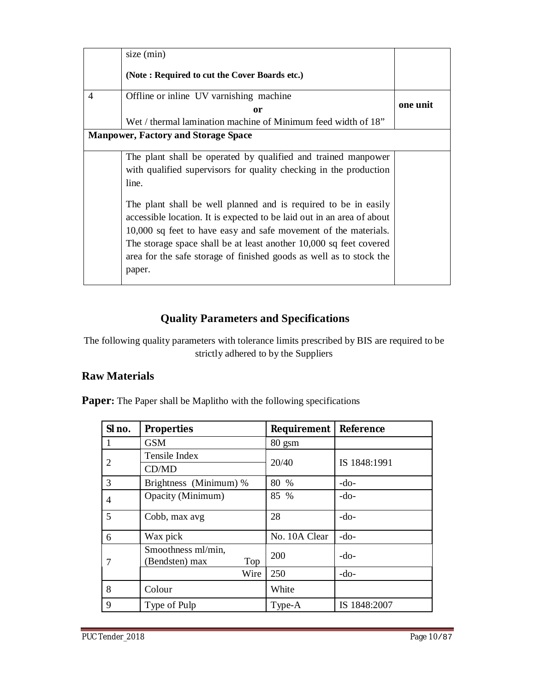|                | size (min)                                                             |          |
|----------------|------------------------------------------------------------------------|----------|
|                | (Note: Required to cut the Cover Boards etc.)                          |          |
| $\overline{4}$ | Offline or inline UV varnishing machine                                | one unit |
|                | 0r                                                                     |          |
|                | Wet / thermal lamination machine of Minimum feed width of $18$ "       |          |
|                | <b>Manpower, Factory and Storage Space</b>                             |          |
|                | The plant shall be operated by qualified and trained manpower          |          |
|                | with qualified supervisors for quality checking in the production      |          |
|                | line.                                                                  |          |
|                | The plant shall be well planned and is required to be in easily        |          |
|                | accessible location. It is expected to be laid out in an area of about |          |
|                | 10,000 sq feet to have easy and safe movement of the materials.        |          |
|                | The storage space shall be at least another 10,000 sq feet covered     |          |
|                | area for the safe storage of finished goods as well as to stock the    |          |
|                | paper.                                                                 |          |
|                |                                                                        |          |

## **Quality Parameters and Specifications**

The following quality parameters with tolerance limits prescribed by BIS are required to be strictly adhered to by the Suppliers

## **Raw Materials**

**Paper:** The Paper shall be Maplitho with the following specifications

| SI no.         | <b>Properties</b>                           | <b>Requirement</b> | <b>Reference</b> |
|----------------|---------------------------------------------|--------------------|------------------|
| 1              | <b>GSM</b>                                  | 80 gsm             |                  |
| $\overline{2}$ | Tensile Index                               | 20/40              | IS 1848:1991     |
|                | CD/MD                                       |                    |                  |
| 3              | Brightness (Minimum) %                      | 80 %               | $-do-$           |
| 4              | Opacity (Minimum)                           | 85 %               | $-do-$           |
| 5              | Cobb, max avg                               | 28                 | $-do-$           |
| 6              | Wax pick                                    | No. 10A Clear      | $-do-$           |
| 7              | Smoothness ml/min,<br>(Bendsten) max<br>Top | 200                | -do-             |
|                | Wire                                        | 250                | $-do-$           |
| 8              | Colour                                      | White              |                  |
| 9              | Type of Pulp                                | Type-A             | IS 1848:2007     |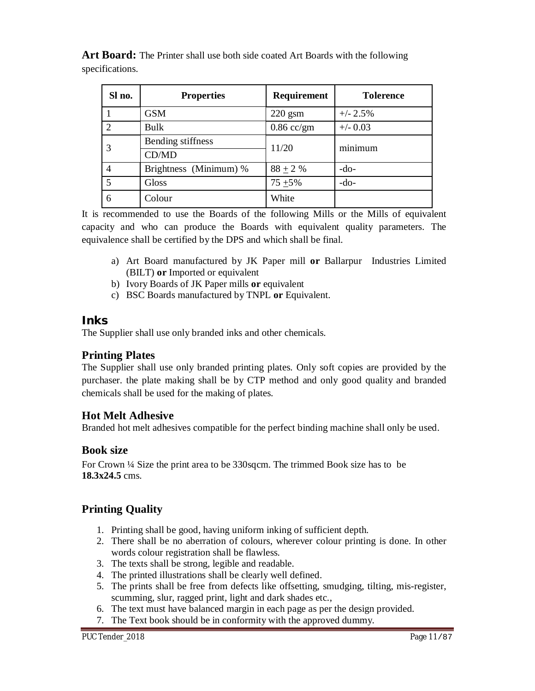Art Board: The Printer shall use both side coated Art Boards with the following specifications.

| Sl no.         | <b>Properties</b>      | <b>Requirement</b> | <b>Tolerence</b> |
|----------------|------------------------|--------------------|------------------|
|                | <b>GSM</b>             | $220$ gsm          | $+/- 2.5%$       |
| $\mathcal{D}$  | Bulk                   | $0.86$ cc/gm       | $+/- 0.03$       |
|                | Bending stiffness      | 11/20              | minimum          |
|                | CD/MD                  |                    |                  |
|                | Brightness (Minimum) % | $88 \pm 2 \%$      | $-do-$           |
| $\overline{5}$ | Gloss                  | $75 + 5\%$         | $-do-$           |
| 6              | Colour                 | White              |                  |

It is recommended to use the Boards of the following Mills or the Mills of equivalent capacity and who can produce the Boards with equivalent quality parameters. The equivalence shall be certified by the DPS and which shall be final.

- a) Art Board manufactured by JK Paper mill **or** Ballarpur Industries Limited (BILT) **or** Imported or equivalent
- b) Ivory Boards of JK Paper mills **or** equivalent
- c) BSC Boards manufactured by TNPL **or** Equivalent.

### **Inks**

The Supplier shall use only branded inks and other chemicals.

### **Printing Plates**

The Supplier shall use only branded printing plates. Only soft copies are provided by the purchaser. the plate making shall be by CTP method and only good quality and branded chemicals shall be used for the making of plates.

#### **Hot Melt Adhesive**

Branded hot melt adhesives compatible for the perfect binding machine shall only be used.

### **Book size**

For Crown ¼ Size the print area to be 330sqcm. The trimmed Book size has to be **18.3x24.5** cms.

### **Printing Quality**

- 1. Printing shall be good, having uniform inking of sufficient depth.
- 2. There shall be no aberration of colours, wherever colour printing is done. In other words colour registration shall be flawless.
- 3. The texts shall be strong, legible and readable.
- 4. The printed illustrations shall be clearly well defined.
- 5. The prints shall be free from defects like offsetting, smudging, tilting, mis-register, scumming, slur, ragged print, light and dark shades etc.,
- 6. The text must have balanced margin in each page as per the design provided.
- 7. The Text book should be in conformity with the approved dummy.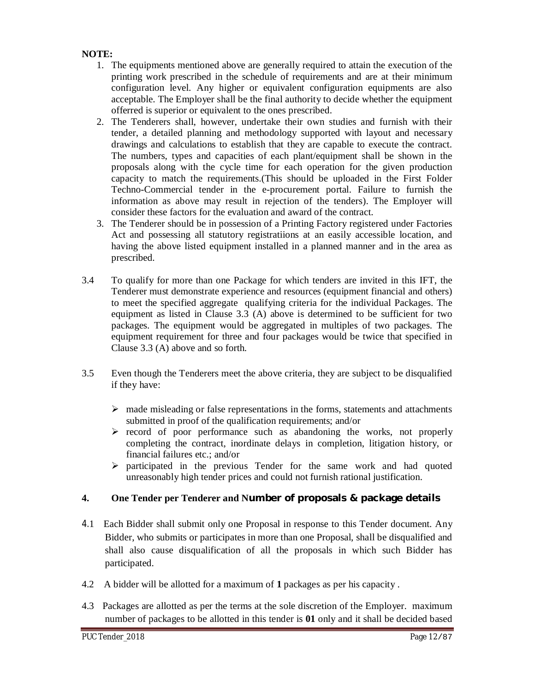#### **NOTE:**

- 1. The equipments mentioned above are generally required to attain the execution of the printing work prescribed in the schedule of requirements and are at their minimum configuration level. Any higher or equivalent configuration equipments are also acceptable. The Employer shall be the final authority to decide whether the equipment offerred is superior or equivalent to the ones prescribed.
- 2. The Tenderers shall, however, undertake their own studies and furnish with their tender, a detailed planning and methodology supported with layout and necessary drawings and calculations to establish that they are capable to execute the contract. The numbers, types and capacities of each plant/equipment shall be shown in the proposals along with the cycle time for each operation for the given production capacity to match the requirements.(This should be uploaded in the First Folder Techno-Commercial tender in the e-procurement portal. Failure to furnish the information as above may result in rejection of the tenders). The Employer will consider these factors for the evaluation and award of the contract.
- 3. The Tenderer should be in possession of a Printing Factory registered under Factories Act and possessing all statutory registratiions at an easily accessible location, and having the above listed equipment installed in a planned manner and in the area as prescribed.
- 3.4 To qualify for more than one Package for which tenders are invited in this IFT, the Tenderer must demonstrate experience and resources (equipment financial and others) to meet the specified aggregate qualifying criteria for the individual Packages. The equipment as listed in Clause 3.3 (A) above is determined to be sufficient for two packages. The equipment would be aggregated in multiples of two packages. The equipment requirement for three and four packages would be twice that specified in Clause 3.3 (A) above and so forth.
- 3.5 Even though the Tenderers meet the above criteria, they are subject to be disqualified if they have:
	- $\triangleright$  made misleading or false representations in the forms, statements and attachments submitted in proof of the qualification requirements; and/or
	- $\triangleright$  record of poor performance such as abandoning the works, not properly completing the contract, inordinate delays in completion, litigation history, or financial failures etc.; and/or
	- $\triangleright$  participated in the previous Tender for the same work and had quoted unreasonably high tender prices and could not furnish rational justification.

#### **4. One Tender per Tenderer and Number of proposals & package details**

- 4.1 Each Bidder shall submit only one Proposal in response to this Tender document. Any Bidder, who submits or participates in more than one Proposal, shall be disqualified and shall also cause disqualification of all the proposals in which such Bidder has participated.
- 4.2 A bidder will be allotted for a maximum of **1** packages as per his capacity .
- 4.3 Packages are allotted as per the terms at the sole discretion of the Employer. maximum number of packages to be allotted in this tender is **01** only and it shall be decided based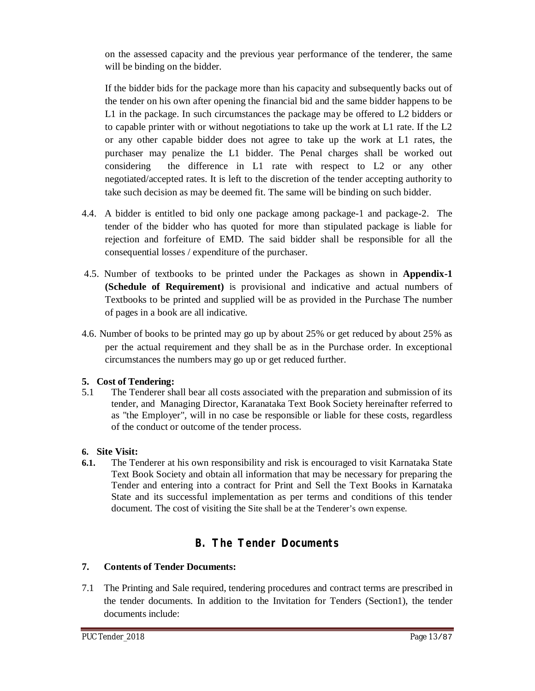on the assessed capacity and the previous year performance of the tenderer, the same will be binding on the bidder.

If the bidder bids for the package more than his capacity and subsequently backs out of the tender on his own after opening the financial bid and the same bidder happens to be L1 in the package. In such circumstances the package may be offered to L2 bidders or to capable printer with or without negotiations to take up the work at L1 rate. If the L2 or any other capable bidder does not agree to take up the work at L1 rates, the purchaser may penalize the L1 bidder. The Penal charges shall be worked out considering the difference in L1 rate with respect to L2 or any other negotiated/accepted rates. It is left to the discretion of the tender accepting authority to take such decision as may be deemed fit. The same will be binding on such bidder.

- 4.4. A bidder is entitled to bid only one package among package-1 and package-2. The tender of the bidder who has quoted for more than stipulated package is liable for rejection and forfeiture of EMD. The said bidder shall be responsible for all the consequential losses / expenditure of the purchaser.
- 4.5. Number of textbooks to be printed under the Packages as shown in **Appendix-1 (Schedule of Requirement)** is provisional and indicative and actual numbers of Textbooks to be printed and supplied will be as provided in the Purchase The number of pages in a book are all indicative.
- 4.6. Number of books to be printed may go up by about 25% or get reduced by about 25% as per the actual requirement and they shall be as in the Purchase order. In exceptional circumstances the numbers may go up or get reduced further.

### **5. Cost of Tendering:**

5.1 The Tenderer shall bear all costs associated with the preparation and submission of its tender, and Managing Director, Karanataka Text Book Society hereinafter referred to as "the Employer", will in no case be responsible or liable for these costs, regardless of the conduct or outcome of the tender process.

### **6. Site Visit:**

**6.1.** The Tenderer at his own responsibility and risk is encouraged to visit Karnataka State Text Book Society and obtain all information that may be necessary for preparing the Tender and entering into a contract for Print and Sell the Text Books in Karnataka State and its successful implementation as per terms and conditions of this tender document. The cost of visiting the Site shall be at the Tenderer's own expense.

## **B. The Tender Documents**

### **7. Contents of Tender Documents:**

7.1 The Printing and Sale required, tendering procedures and contract terms are prescribed in the tender documents. In addition to the Invitation for Tenders (Section1), the tender documents include: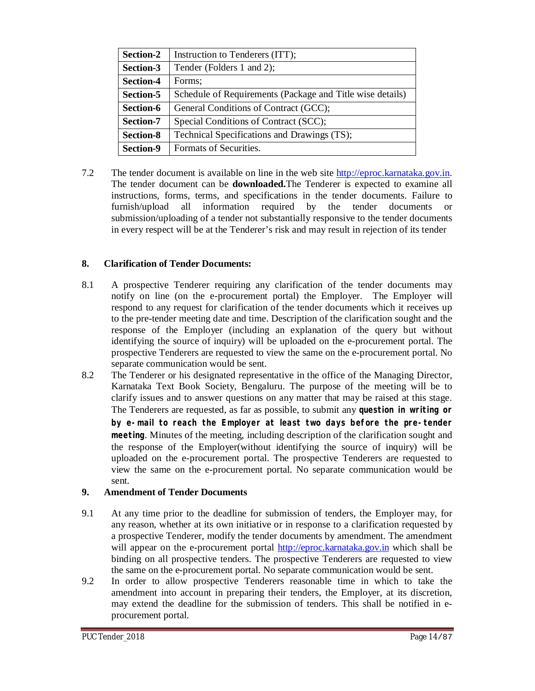| Section-2        | Instruction to Tenderers (ITT);                           |  |
|------------------|-----------------------------------------------------------|--|
| Section-3        | Tender (Folders 1 and 2);                                 |  |
| <b>Section-4</b> | Forms;                                                    |  |
| Section-5        | Schedule of Requirements (Package and Title wise details) |  |
| Section-6        | General Conditions of Contract (GCC);                     |  |
| Section-7        | Special Conditions of Contract (SCC);                     |  |
| <b>Section-8</b> | Technical Specifications and Drawings (TS);               |  |
| Section-9        | Formats of Securities.                                    |  |

7.2 The tender document is available on line in the web site <http://eproc.karnataka.gov.in.> The tender document can be **downloaded.**The Tenderer is expected to examine all instructions, forms, terms, and specifications in the tender documents. Failure to furnish/upload all information required by the tender documents or submission/uploading of a tender not substantially responsive to the tender documents in every respect will be at the Tenderer's risk and may result in rejection of its tender

#### **8. Clarification of Tender Documents:**

- 8.1 A prospective Tenderer requiring any clarification of the tender documents may notify on line (on the e-procurement portal) the Employer. The Employer will respond to any request for clarification of the tender documents which it receives up to the pre-tender meeting date and time. Description of the clarification sought and the response of the Employer (including an explanation of the query but without identifying the source of inquiry) will be uploaded on the e-procurement portal. The prospective Tenderers are requested to view the same on the e-procurement portal. No separate communication would be sent.
- 8.2 The Tenderer or his designated representative in the office of the Managing Director, Karnataka Text Book Society, Bengaluru. The purpose of the meeting will be to clarify issues and to answer questions on any matter that may be raised at this stage. The Tenderers are requested, as far as possible, to submit any **question in writing or by e-mail to reach the Employer at least two days before the pre-tender meeting**. Minutes of the meeting, including description of the clarification sought and the response of the Employer(without identifying the source of inquiry) will be uploaded on the e-procurement portal. The prospective Tenderers are requested to view the same on the e-procurement portal. No separate communication would be sent.

#### **9. Amendment of Tender Documents**

- 9.1 At any time prior to the deadline for submission of tenders, the Employer may, for any reason, whether at its own initiative or in response to a clarification requested by a prospective Tenderer, modify the tender documents by amendment. The amendment will appear on the e-procurement portal <http://eproc.karnataka.gov.in> which shall be binding on all prospective tenders. The prospective Tenderers are requested to view the same on the e-procurement portal. No separate communication would be sent.
- 9.2 In order to allow prospective Tenderers reasonable time in which to take the amendment into account in preparing their tenders, the Employer, at its discretion, may extend the deadline for the submission of tenders. This shall be notified in eprocurement portal.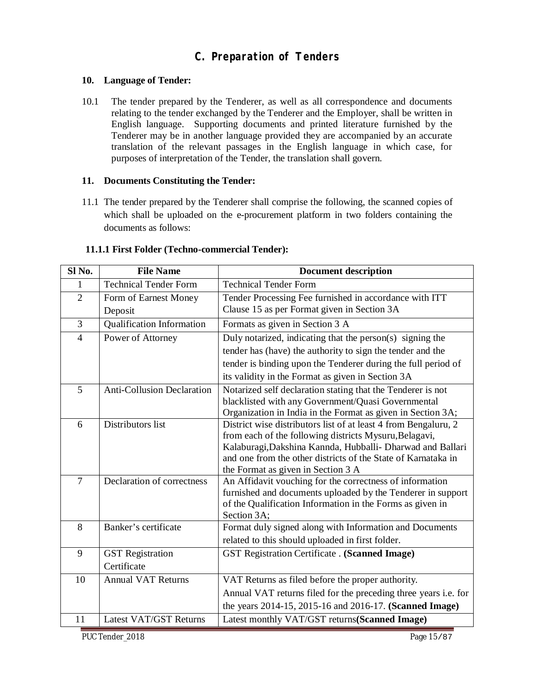## **C. Preparation of Tenders**

#### **10. Language of Tender:**

10.1 The tender prepared by the Tenderer, as well as all correspondence and documents relating to the tender exchanged by the Tenderer and the Employer, shall be written in English language. Supporting documents and printed literature furnished by the Tenderer may be in another language provided they are accompanied by an accurate translation of the relevant passages in the English language in which case, for purposes of interpretation of the Tender, the translation shall govern.

#### **11. Documents Constituting the Tender:**

11.1 The tender prepared by the Tenderer shall comprise the following, the scanned copies of which shall be uploaded on the e-procurement platform in two folders containing the documents as follows:

| Sl <sub>No.</sub> | <b>File Name</b>                  | <b>Document description</b>                                                                                          |  |
|-------------------|-----------------------------------|----------------------------------------------------------------------------------------------------------------------|--|
| 1                 | <b>Technical Tender Form</b>      | <b>Technical Tender Form</b>                                                                                         |  |
| $\overline{2}$    | Form of Earnest Money             | Tender Processing Fee furnished in accordance with ITT                                                               |  |
|                   | Deposit                           | Clause 15 as per Format given in Section 3A                                                                          |  |
| 3                 | <b>Qualification Information</b>  | Formats as given in Section 3 A                                                                                      |  |
| $\overline{4}$    | Power of Attorney                 | Duly notarized, indicating that the person(s) signing the                                                            |  |
|                   |                                   | tender has (have) the authority to sign the tender and the                                                           |  |
|                   |                                   | tender is binding upon the Tenderer during the full period of                                                        |  |
|                   |                                   | its validity in the Format as given in Section 3A                                                                    |  |
| 5                 | <b>Anti-Collusion Declaration</b> | Notarized self declaration stating that the Tenderer is not                                                          |  |
|                   |                                   | blacklisted with any Government/Quasi Governmental                                                                   |  |
|                   |                                   | Organization in India in the Format as given in Section 3A;                                                          |  |
| 6                 | Distributors list                 | District wise distributors list of at least 4 from Bengaluru, 2                                                      |  |
|                   |                                   | from each of the following districts Mysuru, Belagavi,<br>Kalaburagi, Dakshina Kannda, Hubballi- Dharwad and Ballari |  |
|                   |                                   | and one from the other districts of the State of Karnataka in                                                        |  |
|                   |                                   | the Format as given in Section 3 A                                                                                   |  |
| $\overline{7}$    | Declaration of correctness        | An Affidavit vouching for the correctness of information                                                             |  |
|                   |                                   | furnished and documents uploaded by the Tenderer in support                                                          |  |
|                   |                                   | of the Qualification Information in the Forms as given in                                                            |  |
|                   |                                   | Section 3A:                                                                                                          |  |
| 8                 | Banker's certificate              | Format duly signed along with Information and Documents                                                              |  |
|                   |                                   | related to this should uploaded in first folder.                                                                     |  |
| 9                 | <b>GST</b> Registration           | <b>GST Registration Certificate . (Scanned Image)</b>                                                                |  |
|                   | Certificate                       |                                                                                                                      |  |
| 10                | <b>Annual VAT Returns</b>         | VAT Returns as filed before the proper authority.                                                                    |  |
|                   |                                   | Annual VAT returns filed for the preceding three years i.e. for                                                      |  |
|                   |                                   | the years 2014-15, 2015-16 and 2016-17. (Scanned Image)                                                              |  |
| 11                | Latest VAT/GST Returns            | Latest monthly VAT/GST returns(Scanned Image)                                                                        |  |

#### **11.1.1 First Folder (Techno-commercial Tender):**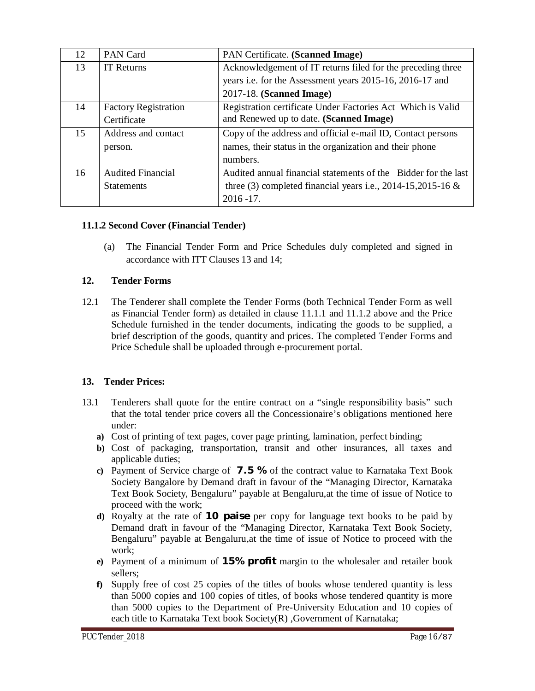| 12 | <b>PAN Card</b>             | PAN Certificate. (Scanned Image)                               |
|----|-----------------------------|----------------------------------------------------------------|
| 13 | <b>IT Returns</b>           | Acknowledgement of IT returns filed for the preceding three    |
|    |                             | years i.e. for the Assessment years 2015-16, 2016-17 and       |
|    |                             | 2017-18. (Scanned Image)                                       |
| 14 | <b>Factory Registration</b> | Registration certificate Under Factories Act Which is Valid    |
|    | Certificate                 | and Renewed up to date. (Scanned Image)                        |
| 15 | Address and contact         | Copy of the address and official e-mail ID, Contact persons    |
|    | person.                     | names, their status in the organization and their phone        |
|    |                             | numbers.                                                       |
| 16 | <b>Audited Financial</b>    | Audited annual financial statements of the Bidder for the last |
|    | <b>Statements</b>           | three (3) completed financial years i.e., $2014-15,2015-16$ &  |
|    |                             | $2016 - 17.$                                                   |

#### **11.1.2 Second Cover (Financial Tender)**

(a) The Financial Tender Form and Price Schedules duly completed and signed in accordance with ITT Clauses 13 and 14;

#### **12. Tender Forms**

12.1 The Tenderer shall complete the Tender Forms (both Technical Tender Form as well as Financial Tender form) as detailed in clause 11.1.1 and 11.1.2 above and the Price Schedule furnished in the tender documents, indicating the goods to be supplied, a brief description of the goods, quantity and prices. The completed Tender Forms and Price Schedule shall be uploaded through e-procurement portal.

#### **13. Tender Prices:**

- 13.1 Tenderers shall quote for the entire contract on a "single responsibility basis" such that the total tender price covers all the Concessionaire's obligations mentioned here under:
	- **a)** Cost of printing of text pages, cover page printing, lamination, perfect binding;
	- **b)** Cost of packaging, transportation, transit and other insurances, all taxes and applicable duties;
	- **c)** Payment of Service charge of **7.5 %** of the contract value to Karnataka Text Book Society Bangalore by Demand draft in favour of the "Managing Director, Karnataka Text Book Society, Bengaluru" payable at Bengaluru,at the time of issue of Notice to proceed with the work;
	- **d)** Royalty at the rate of **10 paise** per copy for language text books to be paid by Demand draft in favour of the "Managing Director, Karnataka Text Book Society, Bengaluru" payable at Bengaluru,at the time of issue of Notice to proceed with the work;
	- **e)** Payment of a minimum of **15% profit** margin to the wholesaler and retailer book sellers;
	- **f)** Supply free of cost 25 copies of the titles of books whose tendered quantity is less than 5000 copies and 100 copies of titles, of books whose tendered quantity is more than 5000 copies to the Department of Pre-University Education and 10 copies of each title to Karnataka Text book Society(R) ,Government of Karnataka;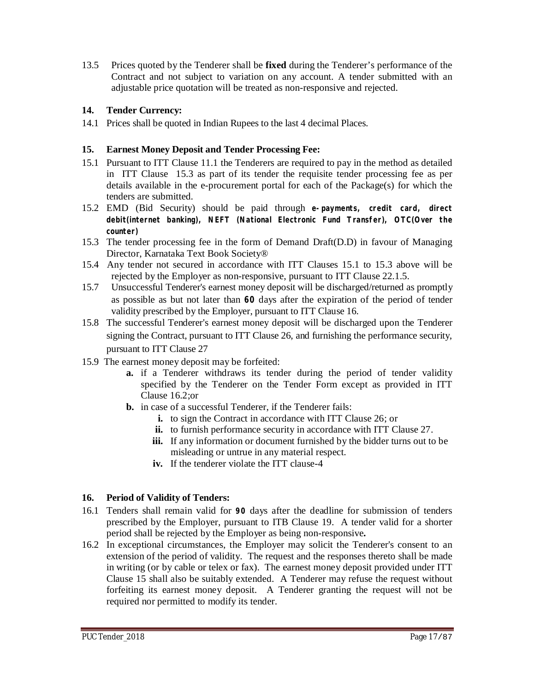13.5 Prices quoted by the Tenderer shall be **fixed** during the Tenderer's performance of the Contract and not subject to variation on any account. A tender submitted with an adjustable price quotation will be treated as non-responsive and rejected.

#### **14. Tender Currency:**

14.1 Prices shall be quoted in Indian Rupees to the last 4 decimal Places.

#### **15. Earnest Money Deposit and Tender Processing Fee:**

- 15.1 Pursuant to ITT Clause 11.1 the Tenderers are required to pay in the method as detailed in ITT Clause 15.3 as part of its tender the requisite tender processing fee as per details available in the e-procurement portal for each of the Package(s) for which the tenders are submitted.
- 15.2 EMD (Bid Security) should be paid through **e-payments, credit card, direct debit(internet banking), NEFT (National Electronic Fund Transfer), OTC(Over the counter)**
- 15.3 The tender processing fee in the form of Demand Draft(D.D) in favour of Managing Director, Karnataka Text Book Society®
- 15.4 Any tender not secured in accordance with ITT Clauses 15.1 to 15.3 above will be rejected by the Employer as non-responsive, pursuant to ITT Clause 22.1.5.
- 15.7 Unsuccessful Tenderer's earnest money deposit will be discharged/returned as promptly as possible as but not later than **60** days after the expiration of the period of tender validity prescribed by the Employer, pursuant to ITT Clause 16.
- 15.8 The successful Tenderer's earnest money deposit will be discharged upon the Tenderer signing the Contract, pursuant to ITT Clause 26, and furnishing the performance security, pursuant to ITT Clause 27
- 15.9 The earnest money deposit may be forfeited:
	- **a.** if a Tenderer withdraws its tender during the period of tender validity specified by the Tenderer on the Tender Form except as provided in ITT Clause 16.2;or
	- **b.** in case of a successful Tenderer, if the Tenderer fails:
		- **i.** to sign the Contract in accordance with ITT Clause 26; or
		- **ii.** to furnish performance security in accordance with ITT Clause 27.
		- **iii.** If any information or document furnished by the bidder turns out to be misleading or untrue in any material respect.
		- **iv.** If the tenderer violate the ITT clause-4

#### **16. Period of Validity of Tenders:**

- 16.1 Tenders shall remain valid for **90** days after the deadline for submission of tenders prescribed by the Employer, pursuant to ITB Clause 19. A tender valid for a shorter period shall be rejected by the Employer as being non-responsive**.**
- 16.2 In exceptional circumstances, the Employer may solicit the Tenderer's consent to an extension of the period of validity. The request and the responses thereto shall be made in writing (or by cable or telex or fax). The earnest money deposit provided under ITT Clause 15 shall also be suitably extended. A Tenderer may refuse the request without forfeiting its earnest money deposit. A Tenderer granting the request will not be required nor permitted to modify its tender.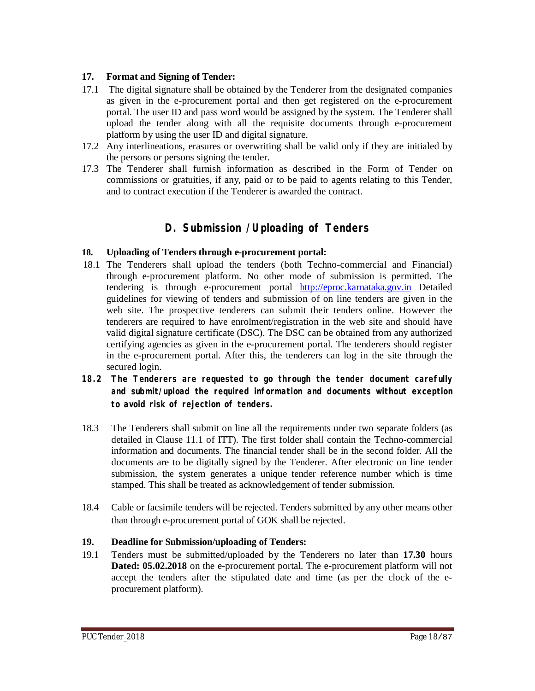#### **17. Format and Signing of Tender:**

- 17.1 The digital signature shall be obtained by the Tenderer from the designated companies as given in the e-procurement portal and then get registered on the e-procurement portal. The user ID and pass word would be assigned by the system. The Tenderer shall upload the tender along with all the requisite documents through e-procurement platform by using the user ID and digital signature.
- 17.2 Any interlineations, erasures or overwriting shall be valid only if they are initialed by the persons or persons signing the tender.
- 17.3 The Tenderer shall furnish information as described in the Form of Tender on commissions or gratuities, if any, paid or to be paid to agents relating to this Tender, and to contract execution if the Tenderer is awarded the contract.

## **D. Submission /Uploading of Tenders**

#### **18. Uploading of Tenders through e-procurement portal:**

- 18.1 The Tenderers shall upload the tenders (both Techno-commercial and Financial) through e-procurement platform. No other mode of submission is permitted. The tendering is through e-procurement portal <http://eproc.karnataka.gov.in> Detailed guidelines for viewing of tenders and submission of on line tenders are given in the web site. The prospective tenderers can submit their tenders online. However the tenderers are required to have enrolment/registration in the web site and should have valid digital signature certificate (DSC). The DSC can be obtained from any authorized certifying agencies as given in the e-procurement portal. The tenderers should register in the e-procurement portal. After this, the tenderers can log in the site through the secured login.
- **18.2 The Tenderers are requested to go through the tender document carefully and submit/upload the required information and documents without exception to avoid risk of rejection of tenders.**
- 18.3 The Tenderers shall submit on line all the requirements under two separate folders (as detailed in Clause 11.1 of ITT). The first folder shall contain the Techno-commercial information and documents. The financial tender shall be in the second folder. All the documents are to be digitally signed by the Tenderer. After electronic on line tender submission, the system generates a unique tender reference number which is time stamped. This shall be treated as acknowledgement of tender submission.
- 18.4 Cable or facsimile tenders will be rejected. Tenders submitted by any other means other than through e-procurement portal of GOK shall be rejected.

#### **19. Deadline for Submission/uploading of Tenders:**

19.1 Tenders must be submitted/uploaded by the Tenderers no later than **17.30** hours **Dated: 05.02.2018** on the e-procurement portal. The e-procurement platform will not accept the tenders after the stipulated date and time (as per the clock of the eprocurement platform).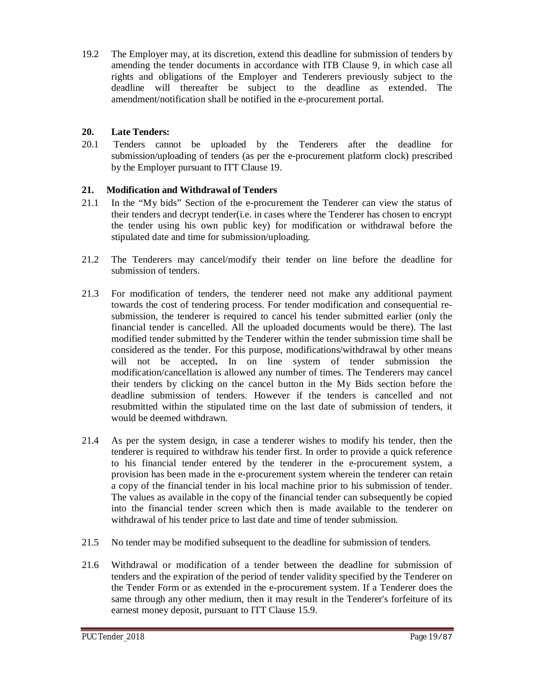19.2 The Employer may, at its discretion, extend this deadline for submission of tenders by amending the tender documents in accordance with ITB Clause 9, in which case all rights and obligations of the Employer and Tenderers previously subject to the deadline will thereafter be subject to the deadline as extended. The amendment/notification shall be notified in the e-procurement portal.

#### **20. Late Tenders:**

20.1 Tenders cannot be uploaded by the Tenderers after the deadline for submission/uploading of tenders (as per the e-procurement platform clock) prescribed by the Employer pursuant to ITT Clause 19.

#### **21. Modification and Withdrawal of Tenders**

- 21.1 In the "My bids" Section of the e-procurement the Tenderer can view the status of their tenders and decrypt tender(i.e. in cases where the Tenderer has chosen to encrypt the tender using his own public key) for modification or withdrawal before the stipulated date and time for submission/uploading.
- 21.2 The Tenderers may cancel/modify their tender on line before the deadline for submission of tenders.
- 21.3 For modification of tenders, the tenderer need not make any additional payment towards the cost of tendering process. For tender modification and consequential resubmission, the tenderer is required to cancel his tender submitted earlier (only the financial tender is cancelled. All the uploaded documents would be there). The last modified tender submitted by the Tenderer within the tender submission time shall be considered as the tender. For this purpose, modifications/withdrawal by other means will not be accepted**.** In on line system of tender submission the modification/cancellation is allowed any number of times. The Tenderers may cancel their tenders by clicking on the cancel button in the My Bids section before the deadline submission of tenders. However if the tenders is cancelled and not resubmitted within the stipulated time on the last date of submission of tenders, it would be deemed withdrawn.
- 21.4 As per the system design, in case a tenderer wishes to modify his tender, then the tenderer is required to withdraw his tender first. In order to provide a quick reference to his financial tender entered by the tenderer in the e-procurement system, a provision has been made in the e-procurement system wherein the tenderer can retain a copy of the financial tender in his local machine prior to his submission of tender. The values as available in the copy of the financial tender can subsequently be copied into the financial tender screen which then is made available to the tenderer on withdrawal of his tender price to last date and time of tender submission.
- 21.5 No tender may be modified subsequent to the deadline for submission of tenders.
- 21.6 Withdrawal or modification of a tender between the deadline for submission of tenders and the expiration of the period of tender validity specified by the Tenderer on the Tender Form or as extended in the e-procurement system. If a Tenderer does the same through any other medium, then it may result in the Tenderer's forfeiture of its earnest money deposit, pursuant to ITT Clause 15.9.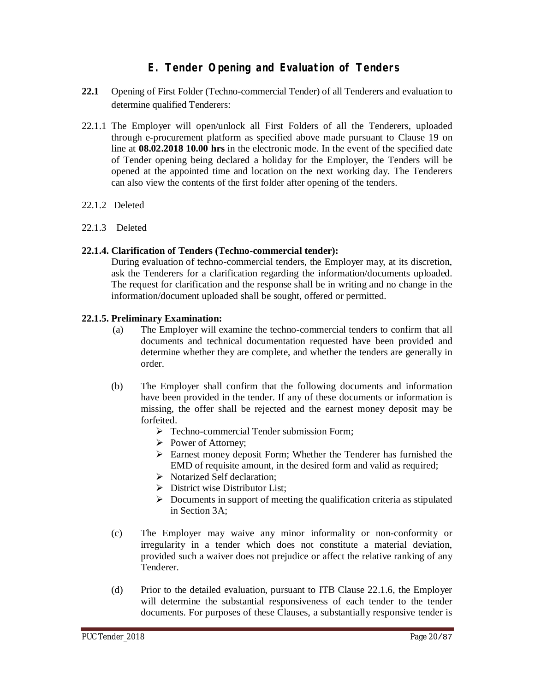## **E. Tender Opening and Evaluation of Tenders**

- **22.1** Opening of First Folder (Techno-commercial Tender) of all Tenderers and evaluation to determine qualified Tenderers:
- 22.1.1 The Employer will open/unlock all First Folders of all the Tenderers, uploaded through e-procurement platform as specified above made pursuant to Clause 19 on line at **08.02.2018 10.00 hrs** in the electronic mode. In the event of the specified date of Tender opening being declared a holiday for the Employer, the Tenders will be opened at the appointed time and location on the next working day. The Tenderers can also view the contents of the first folder after opening of the tenders.
- 22.1.2 Deleted
- 22.1.3 Deleted

#### **22.1.4. Clarification of Tenders (Techno-commercial tender):**

During evaluation of techno-commercial tenders, the Employer may, at its discretion, ask the Tenderers for a clarification regarding the information/documents uploaded. The request for clarification and the response shall be in writing and no change in the information/document uploaded shall be sought, offered or permitted.

#### **22.1.5. Preliminary Examination:**

- (a) The Employer will examine the techno-commercial tenders to confirm that all documents and technical documentation requested have been provided and determine whether they are complete, and whether the tenders are generally in order.
- (b) The Employer shall confirm that the following documents and information have been provided in the tender. If any of these documents or information is missing, the offer shall be rejected and the earnest money deposit may be forfeited.
	- > Techno-commercial Tender submission Form;
	- Power of Attorney;
	- $\triangleright$  Earnest money deposit Form; Whether the Tenderer has furnished the EMD of requisite amount, in the desired form and valid as required;
	- S Notarized Self declaration:
	- $\triangleright$  District wise Distributor List;
	- $\triangleright$  Documents in support of meeting the qualification criteria as stipulated in Section 3A;
- (c) The Employer may waive any minor informality or non-conformity or irregularity in a tender which does not constitute a material deviation, provided such a waiver does not prejudice or affect the relative ranking of any Tenderer.
- (d) Prior to the detailed evaluation, pursuant to ITB Clause 22.1.6, the Employer will determine the substantial responsiveness of each tender to the tender documents. For purposes of these Clauses, a substantially responsive tender is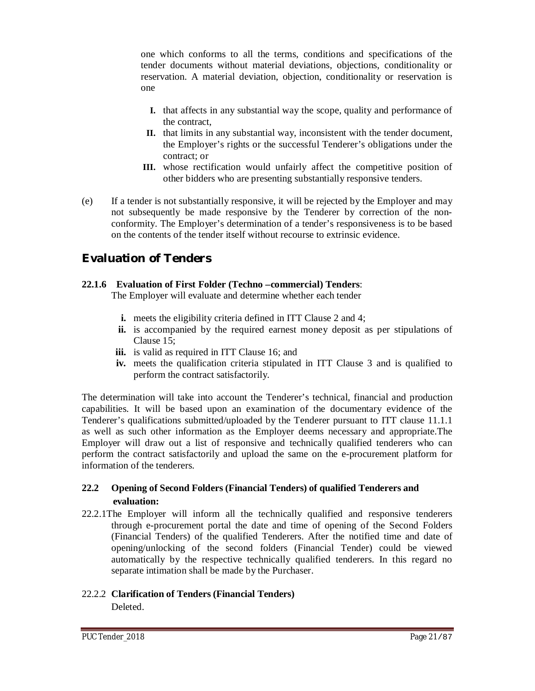one which conforms to all the terms, conditions and specifications of the tender documents without material deviations, objections, conditionality or reservation. A material deviation, objection, conditionality or reservation is one

- **I.** that affects in any substantial way the scope, quality and performance of the contract,
- **II.** that limits in any substantial way, inconsistent with the tender document, the Employer's rights or the successful Tenderer's obligations under the contract; or
- **III.** whose rectification would unfairly affect the competitive position of other bidders who are presenting substantially responsive tenders.
- (e) If a tender is not substantially responsive, it will be rejected by the Employer and may not subsequently be made responsive by the Tenderer by correction of the nonconformity. The Employer's determination of a tender's responsiveness is to be based on the contents of the tender itself without recourse to extrinsic evidence.

## **Evaluation of Tenders**

#### **22.1.6 Evaluation of First Folder (Techno –commercial) Tenders**:

The Employer will evaluate and determine whether each tender

- **i.** meets the eligibility criteria defined in ITT Clause 2 and 4;
- **ii.** is accompanied by the required earnest money deposit as per stipulations of Clause 15;
- **iii.** is valid as required in ITT Clause 16; and
- **iv.** meets the qualification criteria stipulated in ITT Clause 3 and is qualified to perform the contract satisfactorily.

The determination will take into account the Tenderer's technical, financial and production capabilities. It will be based upon an examination of the documentary evidence of the Tenderer's qualifications submitted/uploaded by the Tenderer pursuant to ITT clause 11.1.1 as well as such other information as the Employer deems necessary and appropriate.The Employer will draw out a list of responsive and technically qualified tenderers who can perform the contract satisfactorily and upload the same on the e-procurement platform for information of the tenderers.

### **22.2 Opening of Second Folders (Financial Tenders) of qualified Tenderers and evaluation:**

22.2.1The Employer will inform all the technically qualified and responsive tenderers through e-procurement portal the date and time of opening of the Second Folders (Financial Tenders) of the qualified Tenderers. After the notified time and date of opening/unlocking of the second folders (Financial Tender) could be viewed automatically by the respective technically qualified tenderers. In this regard no separate intimation shall be made by the Purchaser.

#### 22.2.2 **Clarification of Tenders (Financial Tenders) Deleted**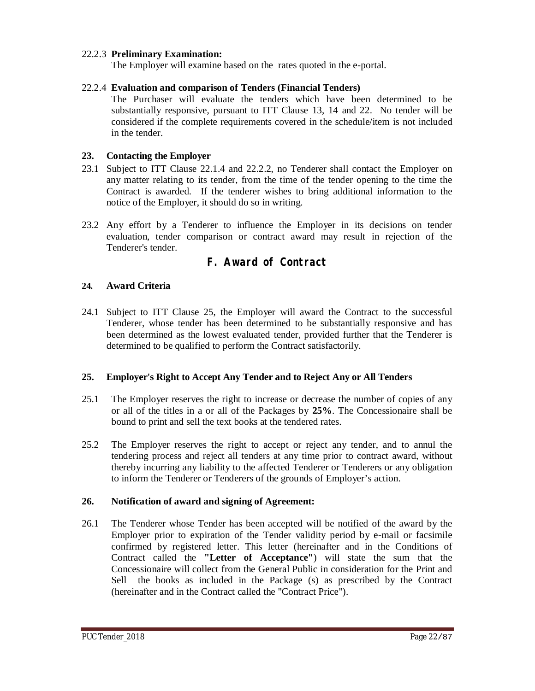#### 22.2.3 **Preliminary Examination:**

The Employer will examine based on the rates quoted in the e-portal.

#### 22.2.4 **Evaluation and comparison of Tenders (Financial Tenders)**

The Purchaser will evaluate the tenders which have been determined to be substantially responsive, pursuant to ITT Clause 13, 14 and 22. No tender will be considered if the complete requirements covered in the schedule/item is not included in the tender.

#### **23. Contacting the Employer**

- 23.1 Subject to ITT Clause 22.1.4 and 22.2.2, no Tenderer shall contact the Employer on any matter relating to its tender, from the time of the tender opening to the time the Contract is awarded. If the tenderer wishes to bring additional information to the notice of the Employer, it should do so in writing.
- 23.2 Any effort by a Tenderer to influence the Employer in its decisions on tender evaluation, tender comparison or contract award may result in rejection of the Tenderer's tender.

### **F. Award of Contract**

#### **24. Award Criteria**

24.1 Subject to ITT Clause 25, the Employer will award the Contract to the successful Tenderer, whose tender has been determined to be substantially responsive and has been determined as the lowest evaluated tender, provided further that the Tenderer is determined to be qualified to perform the Contract satisfactorily.

#### **25. Employer's Right to Accept Any Tender and to Reject Any or All Tenders**

- 25.1 The Employer reserves the right to increase or decrease the number of copies of any or all of the titles in a or all of the Packages by **25%**. The Concessionaire shall be bound to print and sell the text books at the tendered rates.
- 25.2 The Employer reserves the right to accept or reject any tender, and to annul the tendering process and reject all tenders at any time prior to contract award, without thereby incurring any liability to the affected Tenderer or Tenderers or any obligation to inform the Tenderer or Tenderers of the grounds of Employer's action.

#### **26. Notification of award and signing of Agreement:**

26.1 The Tenderer whose Tender has been accepted will be notified of the award by the Employer prior to expiration of the Tender validity period by e-mail or facsimile confirmed by registered letter. This letter (hereinafter and in the Conditions of Contract called the **"Letter of Acceptance"**) will state the sum that the Concessionaire will collect from the General Public in consideration for the Print and Sell the books as included in the Package (s) as prescribed by the Contract (hereinafter and in the Contract called the "Contract Price").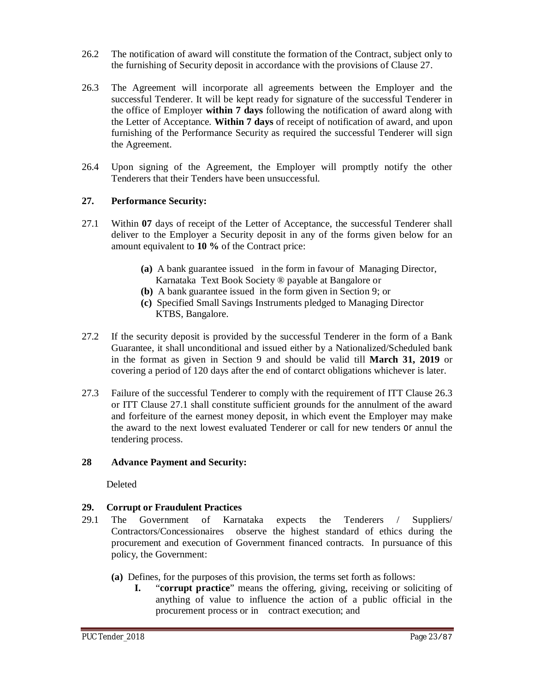- 26.2 The notification of award will constitute the formation of the Contract, subject only to the furnishing of Security deposit in accordance with the provisions of Clause 27.
- 26.3 The Agreement will incorporate all agreements between the Employer and the successful Tenderer. It will be kept ready for signature of the successful Tenderer in the office of Employer **within 7 days** following the notification of award along with the Letter of Acceptance. **Within 7 days** of receipt of notification of award, and upon furnishing of the Performance Security as required the successful Tenderer will sign the Agreement.
- 26.4 Upon signing of the Agreement, the Employer will promptly notify the other Tenderers that their Tenders have been unsuccessful.

#### **27. Performance Security:**

- 27.1 Within **07** days of receipt of the Letter of Acceptance, the successful Tenderer shall deliver to the Employer a Security deposit in any of the forms given below for an amount equivalent to **10 %** of the Contract price:
	- **(a)** A bank guarantee issued in the form in favour of Managing Director, Karnataka Text Book Society ® payable at Bangalore or
	- **(b)** A bank guarantee issued in the form given in Section 9; or
	- **(c)** Specified Small Savings Instruments pledged to Managing Director KTBS, Bangalore.
- 27.2 If the security deposit is provided by the successful Tenderer in the form of a Bank Guarantee, it shall unconditional and issued either by a Nationalized/Scheduled bank in the format as given in Section 9 and should be valid till **March 31, 2019** or covering a period of 120 days after the end of contarct obligations whichever is later.
- 27.3 Failure of the successful Tenderer to comply with the requirement of ITT Clause 26.3 or ITT Clause 27.1 shall constitute sufficient grounds for the annulment of the award and forfeiture of the earnest money deposit, in which event the Employer may make the award to the next lowest evaluated Tenderer or call for new tenders or annul the tendering process.

#### **28 Advance Payment and Security:**

Deleted

#### **29. Corrupt or Fraudulent Practices**

- 29.1 The Government of Karnataka expects the Tenderers / Suppliers/ Contractors/Concessionaires observe the highest standard of ethics during the procurement and execution of Government financed contracts. In pursuance of this policy, the Government:
	- **(a)** Defines, for the purposes of this provision, the terms set forth as follows:
		- **I.** "**corrupt practice**" means the offering, giving, receiving or soliciting of anything of value to influence the action of a public official in the procurement process or in contract execution; and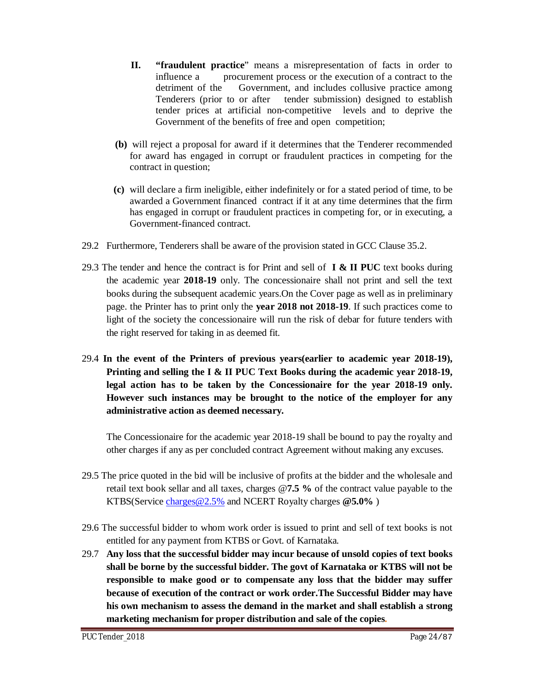- **II. "fraudulent practice**" means a misrepresentation of facts in order to influence a procurement process or the execution of a contract to the detriment of the Government, and includes collusive practice among Tenderers (prior to or after tender submission) designed to establish tender prices at artificial non-competitive levels and to deprive the Government of the benefits of free and open competition;
- **(b)** will reject a proposal for award if it determines that the Tenderer recommended for award has engaged in corrupt or fraudulent practices in competing for the contract in question;
- **(c)** will declare a firm ineligible, either indefinitely or for a stated period of time, to be awarded a Government financed contract if it at any time determines that the firm has engaged in corrupt or fraudulent practices in competing for, or in executing, a Government-financed contract.
- 29.2 Furthermore, Tenderers shall be aware of the provision stated in GCC Clause 35.2.
- 29.3 The tender and hence the contract is for Print and sell of **I & II PUC** text books during the academic year **2018-19** only. The concessionaire shall not print and sell the text books during the subsequent academic years.On the Cover page as well as in preliminary page. the Printer has to print only the **year 2018 not 2018-19**. If such practices come to light of the society the concessionaire will run the risk of debar for future tenders with the right reserved for taking in as deemed fit.
- 29.4 **In the event of the Printers of previous years(earlier to academic year 2018-19), Printing and selling the I & II PUC Text Books during the academic year 2018-19, legal action has to be taken by the Concessionaire for the year 2018-19 only. However such instances may be brought to the notice of the employer for any administrative action as deemed necessary.**

The Concessionaire for the academic year 2018-19 shall be bound to pay the royalty and other charges if any as per concluded contract Agreement without making any excuses.

- 29.5 The price quoted in the bid will be inclusive of profits at the bidder and the wholesale and retail text book sellar and all taxes, charges @**7.5 %** of the contract value payable to the KTBS(Service [charges@2.5%](mailto:charges@2.5%) and NCERT Royalty charges **[@5.0%](mailto:@5.0%)** )
- 29.6 The successful bidder to whom work order is issued to print and sell of text books is not entitled for any payment from KTBS or Govt. of Karnataka.
- 29.7 **Any loss that the successful bidder may incur because of unsold copies of text books shall be borne by the successful bidder. The govt of Karnataka or KTBS will not be responsible to make good or to compensate any loss that the bidder may suffer because of execution of the contract or work order.The Successful Bidder may have his own mechanism to assess the demand in the market and shall establish a strong marketing mechanism for proper distribution and sale of the copies.**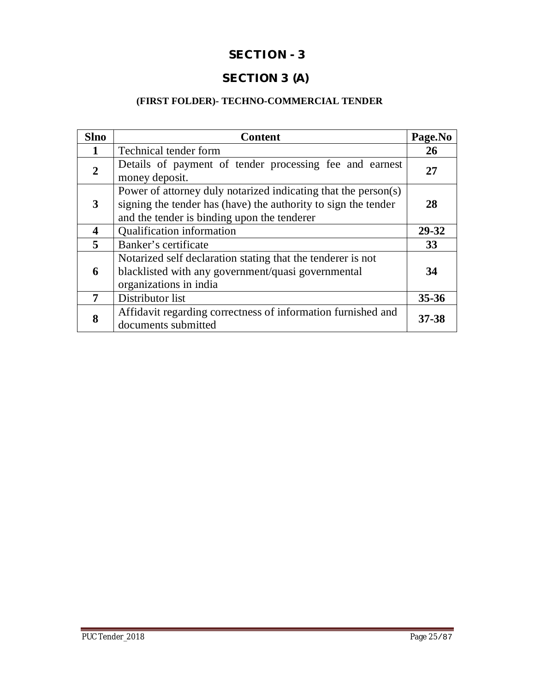## **SECTION - 3**

## **SECTION 3 (A)**

## **(FIRST FOLDER)- TECHNO-COMMERCIAL TENDER**

| <b>Slno</b>    | <b>Content</b>                                                                                                                                                                  | Page.No   |  |  |
|----------------|---------------------------------------------------------------------------------------------------------------------------------------------------------------------------------|-----------|--|--|
|                | Technical tender form                                                                                                                                                           | 26        |  |  |
| $\overline{2}$ | Details of payment of tender processing fee and earnest<br>money deposit.                                                                                                       | 27        |  |  |
| 3              | Power of attorney duly notarized indicating that the person(s)<br>signing the tender has (have) the authority to sign the tender<br>and the tender is binding upon the tenderer |           |  |  |
| 4              | Qualification information                                                                                                                                                       |           |  |  |
| 5              | Banker's certificate                                                                                                                                                            |           |  |  |
| 6              | Notarized self declaration stating that the tenderer is not<br>blacklisted with any government/quasi governmental<br>organizations in india                                     |           |  |  |
| 7              | Distributor list                                                                                                                                                                |           |  |  |
| 8              | Affidavit regarding correctness of information furnished and<br>documents submitted                                                                                             | $37 - 38$ |  |  |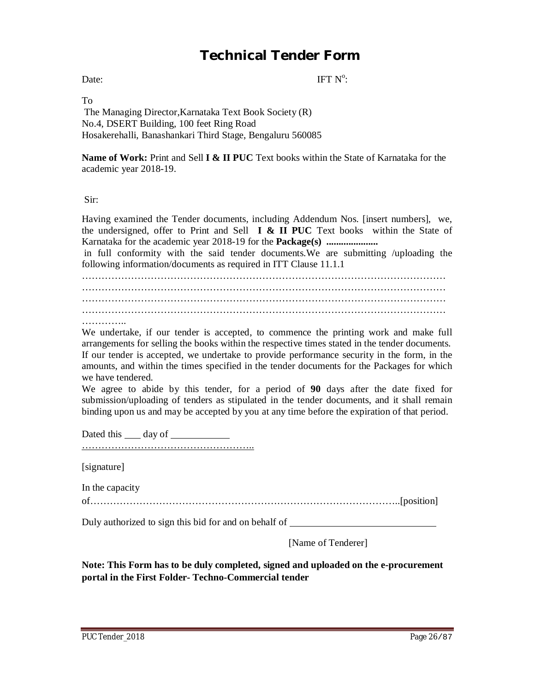# **Technical Tender Form**

Date: IFT N  $\cdot$ <sup>o</sup>:

To

The Managing Director,Karnataka Text Book Society (R) No.4, DSERT Building, 100 feet Ring Road Hosakerehalli, Banashankari Third Stage, Bengaluru 560085

**Name of Work:** Print and Sell **I & II PUC** Text books within the State of Karnataka for the academic year 2018-19.

Sir:

Having examined the Tender documents, including Addendum Nos. [insert numbers], we, the undersigned, offer to Print and Sell **I & II PUC** Text books within the State of Karnataka for the academic year 2018-19 for the **Package(s) .....................**

in full conformity with the said tender documents.We are submitting /uploading the following information/documents as required in ITT Clause 11.1.1

………………………………………………………………………………………………… ………………………………………………………………………………………………… ………………………………………………………………………………………………… ………………………………………………………………………………………………… …………

We undertake, if our tender is accepted, to commence the printing work and make full arrangements for selling the books within the respective times stated in the tender documents. If our tender is accepted, we undertake to provide performance security in the form, in the amounts, and within the times specified in the tender documents for the Packages for which we have tendered.

We agree to abide by this tender, for a period of **90** days after the date fixed for submission/uploading of tenders as stipulated in the tender documents, and it shall remain binding upon us and may be accepted by you at any time before the expiration of that period.

Dated this <u>quality</u> day of <u>quality of  $\frac{d}{dx}$ </u>

……………………………………………..

[signature]

In the capacity

of…………………………………………………………………………………..[position]

Duly authorized to sign this bid for and on behalf of

[Name of Tenderer]

**Note: This Form has to be duly completed, signed and uploaded on the e-procurement portal in the First Folder- Techno-Commercial tender**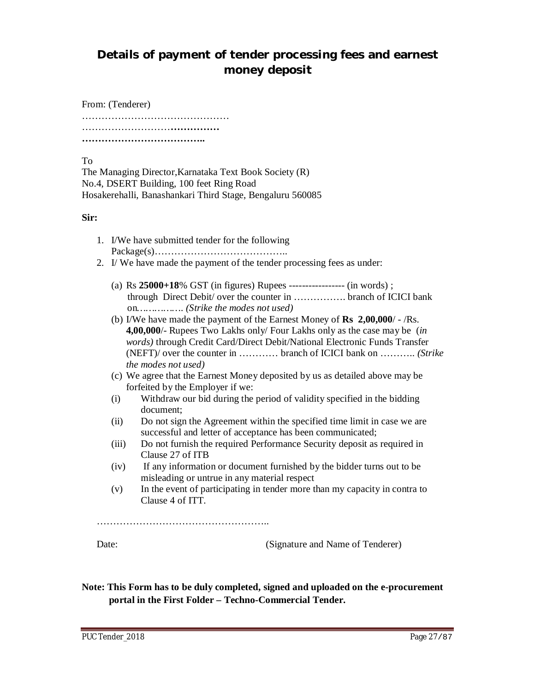## **Details of payment of tender processing fees and earnest money deposit**

From: (Tenderer) ……………………………………………… ………………………………………… **………………………………..**

To

The Managing Director,Karnataka Text Book Society (R) No.4, DSERT Building, 100 feet Ring Road Hosakerehalli, Banashankari Third Stage, Bengaluru 560085

**Sir:**

- 1. I/We have submitted tender for the following Package(s)…………………………………..
- 2. I/ We have made the payment of the tender processing fees as under:
	- (a) Rs **25000+18**% GST (in figures) Rupees ----------------- (in words) ; through Direct Debit/ over the counter in ……………. branch of ICICI bank on*……………. (Strike the modes not used)*
	- (b) I/We have made the payment of the Earnest Money of **Rs 2,00,000**/ /Rs. **4,00,000**/- Rupees Two Lakhs only/ Four Lakhs only as the case may be (*in words)* through Credit Card/Direct Debit/National Electronic Funds Transfer (NEFT)/ over the counter in ………… branch of ICICI bank on ……….. *(Strike the modes not used)*
	- (c) We agree that the Earnest Money deposited by us as detailed above may be forfeited by the Employer if we:
	- (i) Withdraw our bid during the period of validity specified in the bidding document;
	- (ii) Do not sign the Agreement within the specified time limit in case we are successful and letter of acceptance has been communicated;
	- (iii) Do not furnish the required Performance Security deposit as required in Clause 27 of ITB
	- (iv) If any information or document furnished by the bidder turns out to be misleading or untrue in any material respect
	- (v) In the event of participating in tender more than my capacity in contra to Clause 4 of ITT.

……………………………………………………………

Date: (Signature and Name of Tenderer)

**Note: This Form has to be duly completed, signed and uploaded on the e-procurement portal in the First Folder – Techno-Commercial Tender.**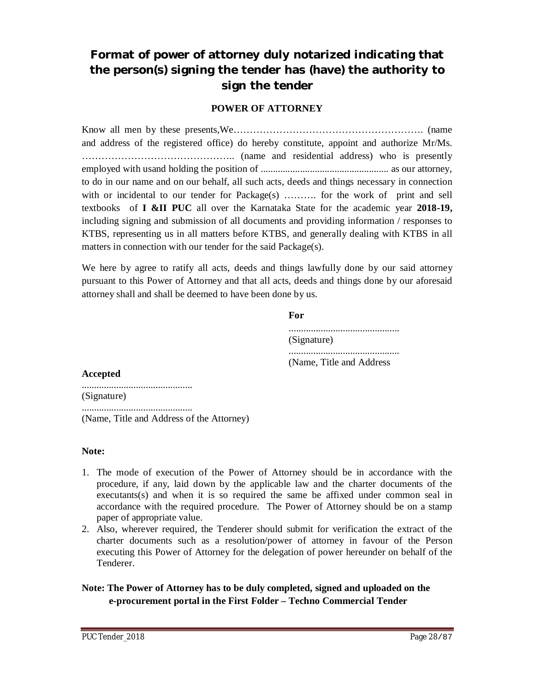## **Format of power of attorney duly notarized indicating that the person(s) signing the tender has (have) the authority to sign the tender**

#### **POWER OF ATTORNEY**

Know all men by these presents,We…………………………………………………. (name and address of the registered office) do hereby constitute, appoint and authorize Mr/Ms. ……………………………………….. (name and residential address) who is presently employed with usand holding the position of .................................................... as our attorney, to do in our name and on our behalf, all such acts, deeds and things necessary in connection with or incidental to our tender for Package(s) ………. for the work of print and sell textbooks of **I &II PUC** all over the Karnataka State for the academic year **2018-19,** including signing and submission of all documents and providing information / responses to KTBS, representing us in all matters before KTBS, and generally dealing with KTBS in all matters in connection with our tender for the said Package(s).

We here by agree to ratify all acts, deeds and things lawfully done by our said attorney pursuant to this Power of Attorney and that all acts, deeds and things done by our aforesaid attorney shall and shall be deemed to have been done by us.

#### **For**



#### **Accepted**

............................................. (Signature)

.............................................

(Name, Title and Address of the Attorney)

#### **Note:**

- 1. The mode of execution of the Power of Attorney should be in accordance with the procedure, if any, laid down by the applicable law and the charter documents of the executants(s) and when it is so required the same be affixed under common seal in accordance with the required procedure. The Power of Attorney should be on a stamp paper of appropriate value.
- 2. Also, wherever required, the Tenderer should submit for verification the extract of the charter documents such as a resolution/power of attorney in favour of the Person executing this Power of Attorney for the delegation of power hereunder on behalf of the Tenderer.

#### **Note: The Power of Attorney has to be duly completed, signed and uploaded on the e-procurement portal in the First Folder – Techno Commercial Tender**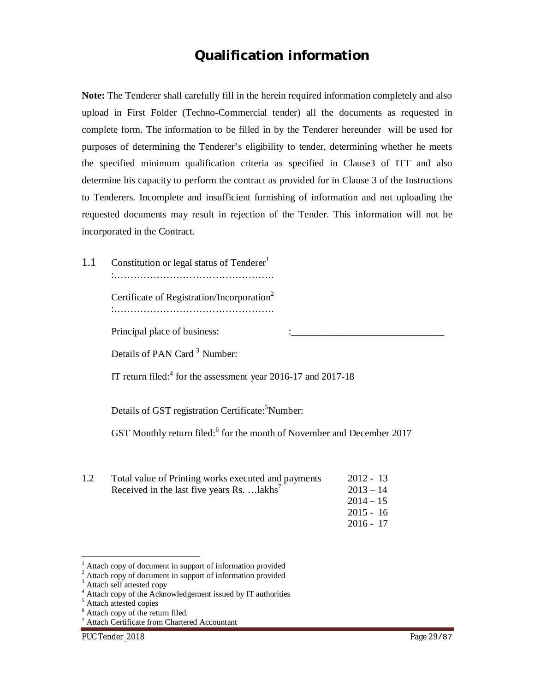## **Qualification information**

**Note:** The Tenderer shall carefully fill in the herein required information completely and also upload in First Folder (Techno-Commercial tender) all the documents as requested in complete form. The information to be filled in by the Tenderer hereunder will be used for purposes of determining the Tenderer's eligibility to tender, determining whether he meets the specified minimum qualification criteria as specified in Clause3 of ITT and also determine his capacity to perform the contract as provided for in Clause 3 of the Instructions to Tenderers. Incomplete and insufficient furnishing of information and not uploading the requested documents may result in rejection of the Tender. This information will not be incorporated in the Contract.

1.1 Constitution or legal status of Tenderer<sup>1</sup> :………………………………………….

> Certificate of Registration/Incorporation<sup>2</sup> :………………………………………….

Principal place of business:

Details of PAN Card<sup>3</sup> Number:

IT return filed:<sup>4</sup> for the assessment year 2016-17 and 2017-18

Details of GST registration Certificate:<sup>5</sup>Number:

GST Monthly return filed:<sup>6</sup> for the month of November and December 2017

| 1.2 | Total value of Printing works executed and payments             | $2012 - 13$ |
|-----|-----------------------------------------------------------------|-------------|
|     | Received in the last five years Rs. $\ldots$ lakhs <sup>7</sup> | $2013 - 14$ |
|     |                                                                 | $2014 - 15$ |
|     |                                                                 | $2015 - 16$ |
|     |                                                                 | $2016 - 17$ |

Attach copy of document in support of information provided

1

Attach copy of document in support of information provided

Attach self attested copy

<sup>&</sup>lt;sup>4</sup> Attach copy of the Acknowledgement issued by IT authorities

<sup>&</sup>lt;sup>5</sup> Attach attested copies

 $6$  Attach copy of the return filed.

<sup>7</sup> Attach Certificate from Chartered Accountant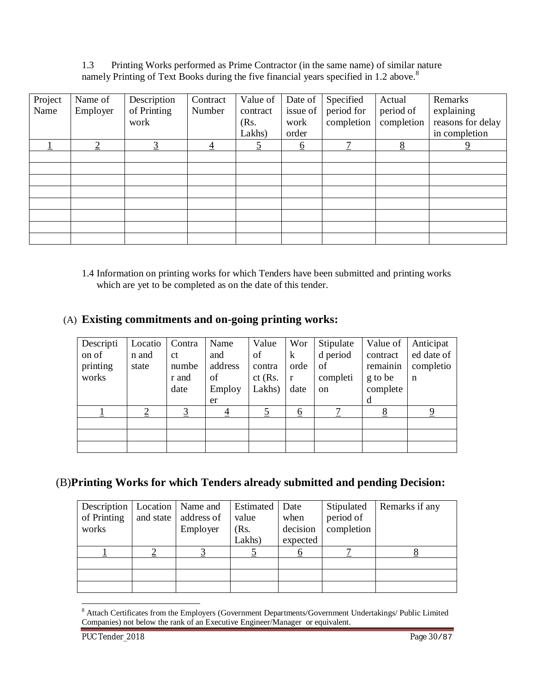1.3 Printing Works performed as Prime Contractor (in the same name) of similar nature namely Printing of Text Books during the five financial years specified in 1.2 above.<sup>8</sup>

|         |                |             | Contract       | Value of | Date of  |            |            | Remarks           |
|---------|----------------|-------------|----------------|----------|----------|------------|------------|-------------------|
| Project | Name of        | Description |                |          |          | Specified  | Actual     |                   |
| Name    | Employer       | of Printing | Number         | contract | issue of | period for | period of  | explaining        |
|         |                | work        |                | (Rs.     | work     | completion | completion | reasons for delay |
|         |                |             |                | Lakhs)   | order    |            |            | in completion     |
|         | $\overline{2}$ | <u>3</u>    | $\overline{4}$ | <u>5</u> | <u>6</u> | 7          | 8          | $\overline{9}$    |
|         |                |             |                |          |          |            |            |                   |
|         |                |             |                |          |          |            |            |                   |
|         |                |             |                |          |          |            |            |                   |
|         |                |             |                |          |          |            |            |                   |
|         |                |             |                |          |          |            |            |                   |
|         |                |             |                |          |          |            |            |                   |
|         |                |             |                |          |          |            |            |                   |
|         |                |             |                |          |          |            |            |                   |

1.4 Information on printing works for which Tenders have been submitted and printing works which are yet to be completed as on the date of this tender.

### (A) **Existing commitments and on-going printing works:**

| Descripti | Locatio        | Contra         | Name           | Value          | Wor          | Stipulate     | Value of | Anticipat   |
|-----------|----------------|----------------|----------------|----------------|--------------|---------------|----------|-------------|
| on of     | n and          | <sub>ct</sub>  | and            | οf             | $\bf k$      | d period      | contract | ed date of  |
| printing  | state          | numbe          | address        | contra         | orde         | of            | remainin | completio   |
| works     |                | r and          | οf             | $ct$ (Rs.      | $\mathbf{r}$ | completi      | g to be  | $\mathbf n$ |
|           |                | date           | Employ         | Lakhs)         | date         | <sub>on</sub> | complete |             |
|           |                |                | er             |                |              |               | d        |             |
|           | $\overline{2}$ | $\overline{3}$ | $\overline{4}$ | $\overline{5}$ | <u>6</u>     |               | 8        | 9           |
|           |                |                |                |                |              |               |          |             |
|           |                |                |                |                |              |               |          |             |
|           |                |                |                |                |              |               |          |             |

### (B)**Printing Works for which Tenders already submitted and pending Decision:**

| Description   Location   Name and |           |            | Estimated | Date     | Stipulated | Remarks if any |
|-----------------------------------|-----------|------------|-----------|----------|------------|----------------|
| of Printing                       | and state | address of | value     | when     | period of  |                |
| works                             |           | Employer   | (Rs.      | decision | completion |                |
|                                   |           |            | Lakhs)    | expected |            |                |
|                                   |           |            |           |          |            |                |
|                                   |           |            |           |          |            |                |
|                                   |           |            |           |          |            |                |
|                                   |           |            |           |          |            |                |

<sup>1</sup> <sup>8</sup> Attach Certificates from the Employers (Government Departments/Government Undertakings/ Public Limited Companies) not below the rank of an Executive Engineer/Manager or equivalent.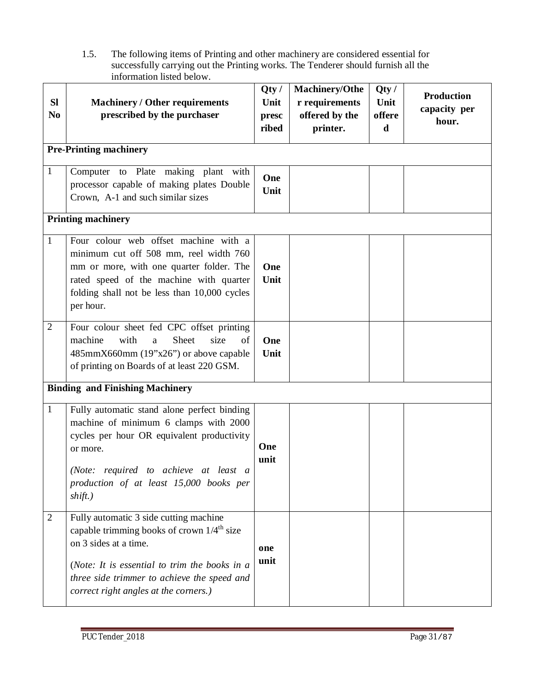1.5. The following items of Printing and other machinery are considered essential for successfully carrying out the Printing works. The Tenderer should furnish all the information listed below.

| <b>SI</b><br>N <sub>0</sub> | <b>Machinery / Other requirements</b><br>prescribed by the purchaser                                                                                                                                                                                               | Qty/<br>Unit<br>presc<br>ribed | <b>Machinery/Othe</b><br>r requirements<br>offered by the<br>printer. | Qty/<br>Unit<br>offere<br>d | <b>Production</b><br>capacity per<br>hour. |
|-----------------------------|--------------------------------------------------------------------------------------------------------------------------------------------------------------------------------------------------------------------------------------------------------------------|--------------------------------|-----------------------------------------------------------------------|-----------------------------|--------------------------------------------|
|                             | <b>Pre-Printing machinery</b>                                                                                                                                                                                                                                      |                                |                                                                       |                             |                                            |
| $\mathbf{1}$                | Computer to Plate making plant with<br>processor capable of making plates Double<br>Crown, A-1 and such similar sizes                                                                                                                                              | One<br>Unit                    |                                                                       |                             |                                            |
|                             | <b>Printing machinery</b>                                                                                                                                                                                                                                          |                                |                                                                       |                             |                                            |
| $\mathbf{1}$                | Four colour web offset machine with a<br>minimum cut off 508 mm, reel width 760<br>mm or more, with one quarter folder. The<br>rated speed of the machine with quarter<br>folding shall not be less than 10,000 cycles<br>per hour.                                | One<br>Unit                    |                                                                       |                             |                                            |
| $\overline{2}$              | Four colour sheet fed CPC offset printing<br>machine<br>with<br>Sheet<br>size<br>a<br>of<br>485mmX660mm (19"x26") or above capable<br>of printing on Boards of at least 220 GSM.                                                                                   | One<br>Unit                    |                                                                       |                             |                                            |
|                             | <b>Binding and Finishing Machinery</b>                                                                                                                                                                                                                             |                                |                                                                       |                             |                                            |
| $\mathbf{1}$                | Fully automatic stand alone perfect binding<br>machine of minimum 6 clamps with 2000<br>cycles per hour OR equivalent productivity<br>or more.<br>(Note: required to achieve at least a<br>production of at least 15,000 books per<br>shift.)                      | One<br>unit                    |                                                                       |                             |                                            |
| $\overline{2}$              | Fully automatic 3 side cutting machine<br>capable trimming books of crown 1/4 <sup>th</sup> size<br>on 3 sides at a time.<br>(Note: It is essential to trim the books in a<br>three side trimmer to achieve the speed and<br>correct right angles at the corners.) | one<br>unit                    |                                                                       |                             |                                            |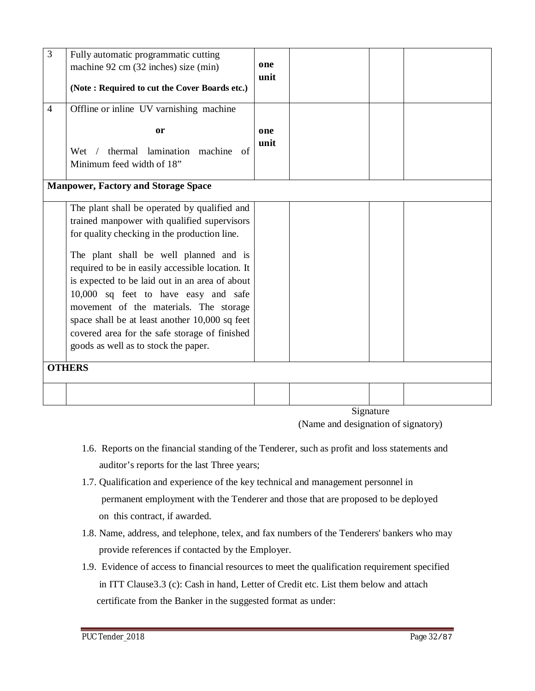| 3              | Fully automatic programmatic cutting<br>machine 92 cm (32 inches) size (min)<br>(Note: Required to cut the Cover Boards etc.)                                                                                                                                                                                                                                                                                                                                                                                            | one<br>unit |            |  |
|----------------|--------------------------------------------------------------------------------------------------------------------------------------------------------------------------------------------------------------------------------------------------------------------------------------------------------------------------------------------------------------------------------------------------------------------------------------------------------------------------------------------------------------------------|-------------|------------|--|
| $\overline{4}$ | Offline or inline UV varnishing machine<br><sub>or</sub><br>thermal lamination machine<br>Wet<br>$\sqrt{2}$<br>of<br>Minimum feed width of 18"                                                                                                                                                                                                                                                                                                                                                                           | one<br>unit |            |  |
|                | <b>Manpower, Factory and Storage Space</b>                                                                                                                                                                                                                                                                                                                                                                                                                                                                               |             |            |  |
|                | The plant shall be operated by qualified and<br>trained manpower with qualified supervisors<br>for quality checking in the production line.<br>The plant shall be well planned and is<br>required to be in easily accessible location. It<br>is expected to be laid out in an area of about<br>10,000 sq feet to have easy and safe<br>movement of the materials. The storage<br>space shall be at least another 10,000 sq feet<br>covered area for the safe storage of finished<br>goods as well as to stock the paper. |             |            |  |
|                | <b>OTHERS</b>                                                                                                                                                                                                                                                                                                                                                                                                                                                                                                            |             |            |  |
|                |                                                                                                                                                                                                                                                                                                                                                                                                                                                                                                                          |             | $C_{inab}$ |  |

Signature

(Name and designation of signatory)

- 1.6. Reports on the financial standing of the Tenderer, such as profit and loss statements and auditor's reports for the last Three years;
- 1.7. Qualification and experience of the key technical and management personnel in permanent employment with the Tenderer and those that are proposed to be deployed on this contract, if awarded.
- 1.8. Name, address, and telephone, telex, and fax numbers of the Tenderers' bankers who may provide references if contacted by the Employer.
- 1.9. Evidence of access to financial resources to meet the qualification requirement specified in ITT Clause3.3 (c): Cash in hand, Letter of Credit etc. List them below and attach certificate from the Banker in the suggested format as under: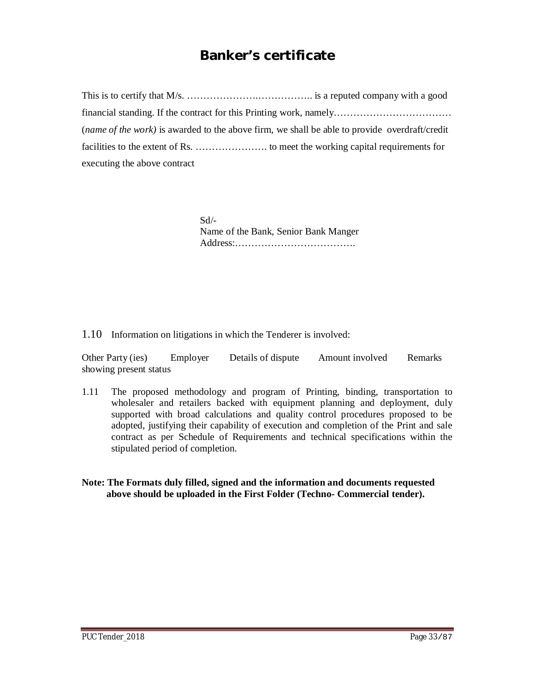# **Banker's certificate**

This is to certify that M/s. ………………….…………….. is a reputed company with a good financial standing. If the contract for this Printing work, namely……………………………… (*name of the work)* is awarded to the above firm, we shall be able to provide overdraft/credit facilities to the extent of Rs. …………………. to meet the working capital requirements for executing the above contract

> $Sd$ <sup>-</sup> Name of the Bank, Senior Bank Manger Address:……………………………….

1.10 Information on litigations in which the Tenderer is involved:

Other Party (ies) Employer Details of dispute Amount involved Remarks showing present status

1.11 The proposed methodology and program of Printing, binding, transportation to wholesaler and retailers backed with equipment planning and deployment, duly supported with broad calculations and quality control procedures proposed to be adopted, justifying their capability of execution and completion of the Print and sale contract as per Schedule of Requirements and technical specifications within the stipulated period of completion.

**Note: The Formats duly filled, signed and the information and documents requested above should be uploaded in the First Folder (Techno- Commercial tender).**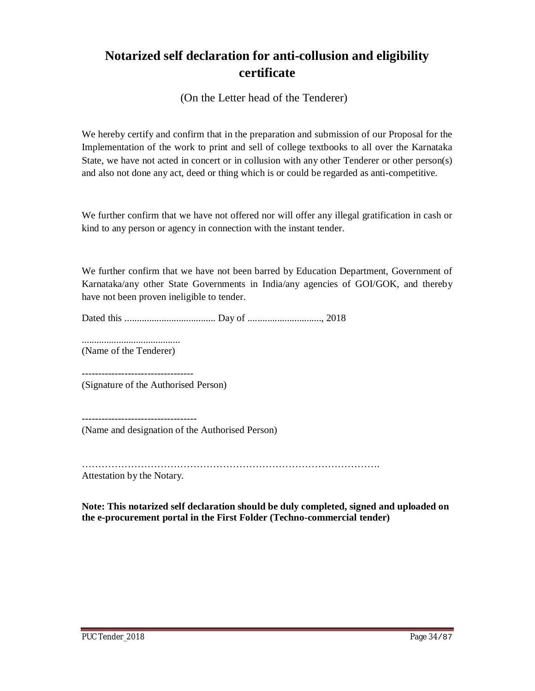# **Notarized self declaration for anti-collusion and eligibility certificate**

(On the Letter head of the Tenderer)

We hereby certify and confirm that in the preparation and submission of our Proposal for the Implementation of the work to print and sell of college textbooks to all over the Karnataka State, we have not acted in concert or in collusion with any other Tenderer or other person(s) and also not done any act, deed or thing which is or could be regarded as anti-competitive.

We further confirm that we have not offered nor will offer any illegal gratification in cash or kind to any person or agency in connection with the instant tender.

We further confirm that we have not been barred by Education Department, Government of Karnataka/any other State Governments in India/any agencies of GOI/GOK, and thereby have not been proven ineligible to tender.

Dated this ..................................... Day of .............................., 2018

........................................

(Name of the Tenderer)

---------------------------------- (Signature of the Authorised Person)

----------------------------------- (Name and designation of the Authorised Person)

……………………………………………………………………………….

Attestation by the Notary.

**Note: This notarized self declaration should be duly completed, signed and uploaded on the e-procurement portal in the First Folder (Techno-commercial tender)**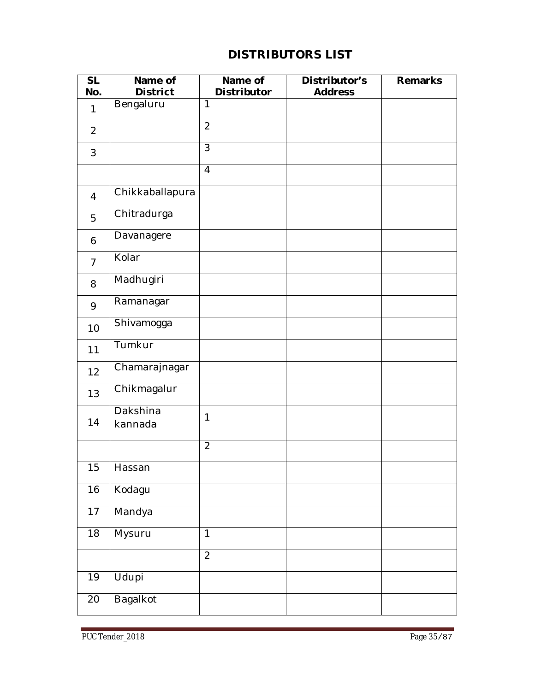## **DISTRIBUTORS LIST**

| <b>SL</b><br>No. | Name of<br><b>District</b> | Name of<br>Distributor   | Distributor's<br><b>Address</b> | Remarks |
|------------------|----------------------------|--------------------------|---------------------------------|---------|
| $\mathbf{1}$     | Bengaluru                  | $\overline{1}$           |                                 |         |
| $\overline{2}$   |                            | $\overline{2}$           |                                 |         |
| 3                |                            | $\overline{\mathcal{E}}$ |                                 |         |
|                  |                            | $\overline{4}$           |                                 |         |
| $\overline{4}$   | Chikkaballapura            |                          |                                 |         |
| 5                | Chitradurga                |                          |                                 |         |
| 6                | Davanagere                 |                          |                                 |         |
| $\overline{7}$   | Kolar                      |                          |                                 |         |
| 8                | Madhugiri                  |                          |                                 |         |
| 9                | Ramanagar                  |                          |                                 |         |
| 10               | Shivamogga                 |                          |                                 |         |
| 11               | Tumkur                     |                          |                                 |         |
| 12               | Chamarajnagar              |                          |                                 |         |
| 13               | Chikmagalur                |                          |                                 |         |
| 14               | Dakshina<br>kannada        | 1                        |                                 |         |
|                  |                            | $\overline{2}$           |                                 |         |
| 15               | Hassan                     |                          |                                 |         |
| 16               | Kodagu                     |                          |                                 |         |
| 17               | Mandya                     |                          |                                 |         |
| $\overline{18}$  | Mysuru                     | $\overline{1}$           |                                 |         |
|                  |                            | $\overline{2}$           |                                 |         |
| 19               | Udupi                      |                          |                                 |         |
| 20               | Bagalkot                   |                          |                                 |         |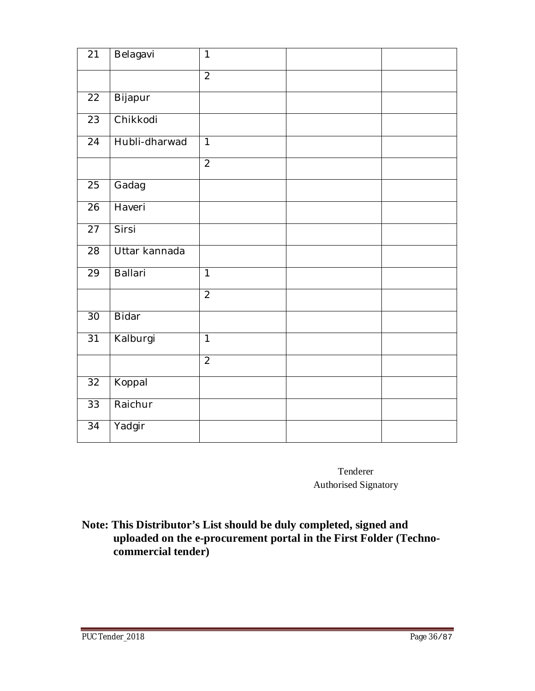| 21              | Belagavi       | $\mathbf{1}$   |
|-----------------|----------------|----------------|
|                 |                | $\overline{2}$ |
| $\overline{22}$ | Bijapur        |                |
| $\overline{23}$ | Chikkodi       |                |
| $\overline{2}4$ | Hubli-dharwad  | $\overline{1}$ |
|                 |                | $\overline{2}$ |
| 25              | Gadag          |                |
| $\overline{26}$ | Haveri         |                |
| 27              | Sirsi          |                |
| 28              | Uttar kannada  |                |
| $\overline{29}$ | <b>Ballari</b> | $\overline{1}$ |
|                 |                | $\overline{2}$ |
| 30              | Bidar          |                |
| 31              | Kalburgi       | $\overline{1}$ |
|                 |                | $\overline{2}$ |
| 32              | Koppal         |                |
| 33              | Raichur        |                |
| $\overline{3}4$ | Yadgir         |                |

Tenderer Authorised Signatory

**Note: This Distributor's List should be duly completed, signed and uploaded on the e-procurement portal in the First Folder (Techno commercial tender)**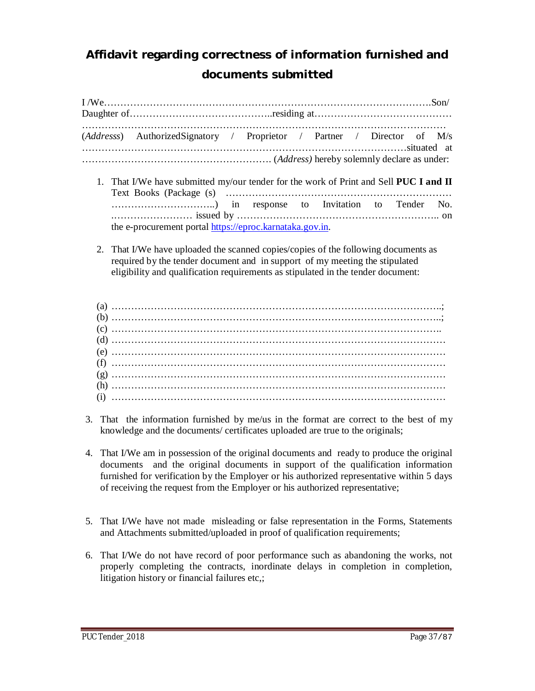# **Affidavit regarding correctness of information furnished and documents submitted**

|  |  |  | (Addresss) AuthorizedSignatory / Proprietor / Partner / Director of M/s                                                                                                                                                                               |  |  |  |  |
|--|--|--|-------------------------------------------------------------------------------------------------------------------------------------------------------------------------------------------------------------------------------------------------------|--|--|--|--|
|  |  |  |                                                                                                                                                                                                                                                       |  |  |  |  |
|  |  |  | 1. That I/We have submitted my/our tender for the work of Print and Sell PUC I and II                                                                                                                                                                 |  |  |  |  |
|  |  |  | the e-procurement portal https://eproc.karnataka.gov.in.                                                                                                                                                                                              |  |  |  |  |
|  |  |  | 2. That I/We have uploaded the scanned copies/copies of the following documents as<br>required by the tender document and in support of my meeting the stipulated<br>eligibility and qualification requirements as stipulated in the tender document: |  |  |  |  |
|  |  |  |                                                                                                                                                                                                                                                       |  |  |  |  |
|  |  |  |                                                                                                                                                                                                                                                       |  |  |  |  |
|  |  |  |                                                                                                                                                                                                                                                       |  |  |  |  |
|  |  |  |                                                                                                                                                                                                                                                       |  |  |  |  |
|  |  |  |                                                                                                                                                                                                                                                       |  |  |  |  |
|  |  |  |                                                                                                                                                                                                                                                       |  |  |  |  |
|  |  |  |                                                                                                                                                                                                                                                       |  |  |  |  |
|  |  |  |                                                                                                                                                                                                                                                       |  |  |  |  |
|  |  |  |                                                                                                                                                                                                                                                       |  |  |  |  |

- 3. That the information furnished by me/us in the format are correct to the best of my knowledge and the documents/ certificates uploaded are true to the originals;
- 4. That I/We am in possession of the original documents and ready to produce the original documents and the original documents in support of the qualification information furnished for verification by the Employer or his authorized representative within 5 days of receiving the request from the Employer or his authorized representative;
- 5. That I/We have not made misleading or false representation in the Forms, Statements and Attachments submitted/uploaded in proof of qualification requirements;
- 6. That I/We do not have record of poor performance such as abandoning the works, not properly completing the contracts, inordinate delays in completion in completion, litigation history or financial failures etc,;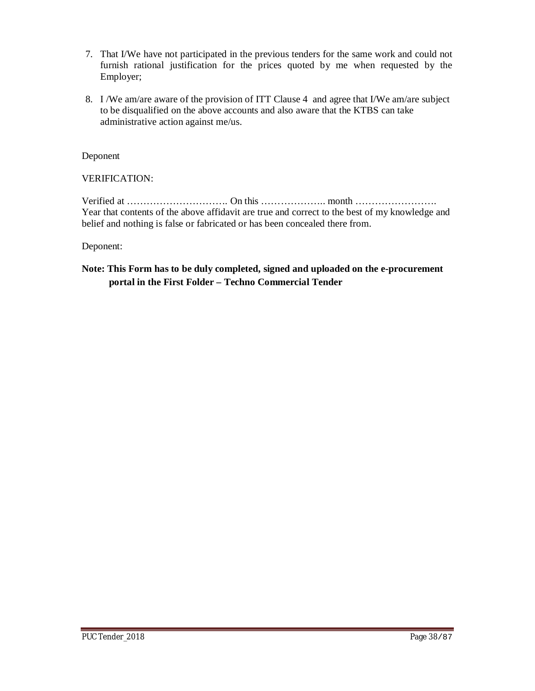- 7. That I/We have not participated in the previous tenders for the same work and could not furnish rational justification for the prices quoted by me when requested by the Employer;
- 8. I /We am/are aware of the provision of ITT Clause 4 and agree that I/We am/are subject to be disqualified on the above accounts and also aware that the KTBS can take administrative action against me/us.

Deponent

VERIFICATION:

Verified at …………………………. On this ……………….. month ……………………. Year that contents of the above affidavit are true and correct to the best of my knowledge and belief and nothing is false or fabricated or has been concealed there from.

Deponent:

#### **Note: This Form has to be duly completed, signed and uploaded on the e-procurement portal in the First Folder – Techno Commercial Tender**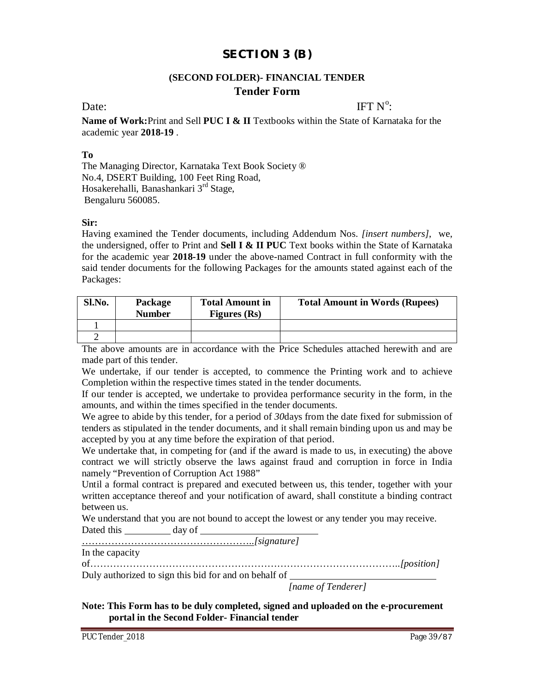# **SECTION 3 (B)**

#### **(SECOND FOLDER)- FINANCIAL TENDER Tender Form**

Date: IFT  $N^{\circ}$ IFT  $N^0$ :

**Name of Work:**Print and Sell **PUC I & II** Textbooks within the State of Karnataka for the academic year **2018-19** .

#### **To**

The Managing Director, Karnataka Text Book Society ® No.4, DSERT Building, 100 Feet Ring Road, Hosakerehalli, Banashankari 3rd Stage, Bengaluru 560085.

#### **Sir:**

Having examined the Tender documents, including Addendum Nos. *[insert numbers]*, we, the undersigned, offer to Print and **Sell I & II PUC** Text books within the State of Karnataka for the academic year **2018-19** under the above-named Contract in full conformity with the said tender documents for the following Packages for the amounts stated against each of the Packages:

| Sl.No. | Package<br><b>Number</b> | <b>Total Amount in</b><br>Figures (Rs) | <b>Total Amount in Words (Rupees)</b> |  |  |
|--------|--------------------------|----------------------------------------|---------------------------------------|--|--|
|        |                          |                                        |                                       |  |  |
|        |                          |                                        |                                       |  |  |

The above amounts are in accordance with the Price Schedules attached herewith and are made part of this tender.

We undertake, if our tender is accepted, to commence the Printing work and to achieve Completion within the respective times stated in the tender documents.

If our tender is accepted, we undertake to providea performance security in the form, in the amounts, and within the times specified in the tender documents.

We agree to abide by this tender, for a period of *30*days from the date fixed for submission of tenders as stipulated in the tender documents, and it shall remain binding upon us and may be accepted by you at any time before the expiration of that period.

We undertake that, in competing for (and if the award is made to us, in executing) the above contract we will strictly observe the laws against fraud and corruption in force in India namely "Prevention of Corruption Act 1988"

Until a formal contract is prepared and executed between us, this tender, together with your written acceptance thereof and your notification of award, shall constitute a binding contract between us.

We understand that you are not bound to accept the lowest or any tender you may receive. Dated this \_\_\_\_\_\_\_\_\_\_\_ day of \_\_\_\_\_\_\_\_

……………………………………………..*[signature]*

In the capacity

of…………………………………………………………………………………..*[position]*

Duly authorized to sign this bid for and on behalf of

*[name of Tenderer]*

**Note: This Form has to be duly completed, signed and uploaded on the e-procurement portal in the Second Folder- Financial tender**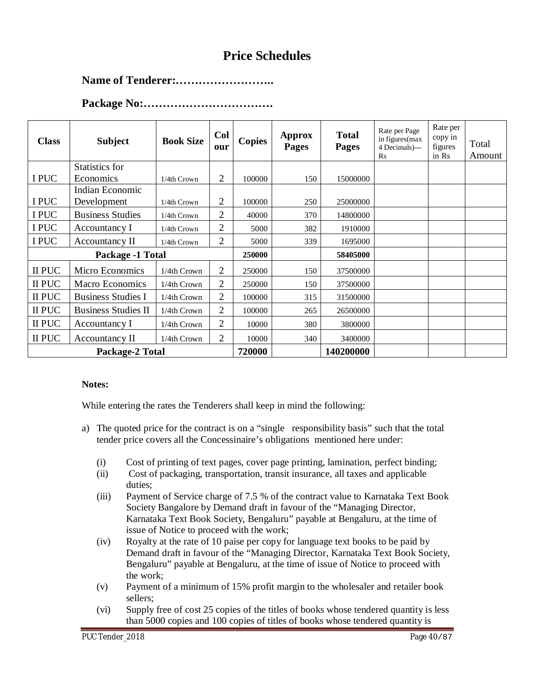# **Price Schedules**

#### **Name of Tenderer:……………………..**

| <b>Class</b>    | <b>Subject</b>             | <b>Book Size</b> | Col<br>our     | <b>Copies</b> | <b>Approx</b><br><b>Pages</b> | <b>Total</b><br><b>Pages</b> | Rate per Page<br>in figures (max<br>4 Decimals)---<br>$\mathbf{R}$ s | Rate per<br>copy in<br>figures<br>in Rs | Total<br>Amount |
|-----------------|----------------------------|------------------|----------------|---------------|-------------------------------|------------------------------|----------------------------------------------------------------------|-----------------------------------------|-----------------|
|                 | Statistics for             |                  |                |               |                               |                              |                                                                      |                                         |                 |
| I PUC           | Economics                  | 1/4th Crown      | 2              | 100000        | 150                           | 15000000                     |                                                                      |                                         |                 |
|                 | Indian Economic            |                  |                |               |                               |                              |                                                                      |                                         |                 |
| I PUC           | Development                | 1/4th Crown      | 2              | 100000        | 250                           | 25000000                     |                                                                      |                                         |                 |
| I PUC           | <b>Business Studies</b>    | 1/4th Crown      | $\overline{2}$ | 40000         | 370                           | 14800000                     |                                                                      |                                         |                 |
| I PUC           | Accountancy I              | 1/4th Crown      | 2              | 5000          | 382                           | 1910000                      |                                                                      |                                         |                 |
| I PUC           | Accountancy II             | 1/4th Crown      | 2              | 5000          | 339                           | 1695000                      |                                                                      |                                         |                 |
|                 | Package -1 Total           |                  |                | 250000        |                               | 58405000                     |                                                                      |                                         |                 |
| II PUC          | Micro Economics            | 1/4th Crown      | 2              | 250000        | 150                           | 37500000                     |                                                                      |                                         |                 |
| II PUC          | <b>Macro Economics</b>     | 1/4th Crown      | 2              | 250000        | 150                           | 37500000                     |                                                                      |                                         |                 |
| II PUC          | <b>Business Studies I</b>  | 1/4th Crown      | $\overline{2}$ | 100000        | 315                           | 31500000                     |                                                                      |                                         |                 |
| II PUC          | <b>Business Studies II</b> | 1/4th Crown      | 2              | 100000        | 265                           | 26500000                     |                                                                      |                                         |                 |
| II PUC          | Accountancy I              | 1/4th Crown      | 2              | 10000         | 380                           | 3800000                      |                                                                      |                                         |                 |
| II PUC          | Accountancy II             | 1/4th Crown      | 2              | 10000         | 340                           | 3400000                      |                                                                      |                                         |                 |
| Package-2 Total |                            |                  |                | 720000        |                               | 140200000                    |                                                                      |                                         |                 |

#### **Package No:…………………………….**

#### **Notes:**

While entering the rates the Tenderers shall keep in mind the following:

- a) The quoted price for the contract is on a "single responsibility basis" such that the total tender price covers all the Concessinaire's obligations mentioned here under:
	- (i) Cost of printing of text pages, cover page printing, lamination, perfect binding;
	- (ii) Cost of packaging, transportation, transit insurance, all taxes and applicable duties;
	- (iii) Payment of Service charge of 7.5 % of the contract value to Karnataka Text Book Society Bangalore by Demand draft in favour of the "Managing Director, Karnataka Text Book Society, Bengaluru" payable at Bengaluru, at the time of issue of Notice to proceed with the work;
	- (iv) Royalty at the rate of 10 paise per copy for language text books to be paid by Demand draft in favour of the "Managing Director, Karnataka Text Book Society, Bengaluru" payable at Bengaluru, at the time of issue of Notice to proceed with the work;
	- (v) Payment of a minimum of 15% profit margin to the wholesaler and retailer book sellers;
	- (vi) Supply free of cost 25 copies of the titles of books whose tendered quantity is less than 5000 copies and 100 copies of titles of books whose tendered quantity is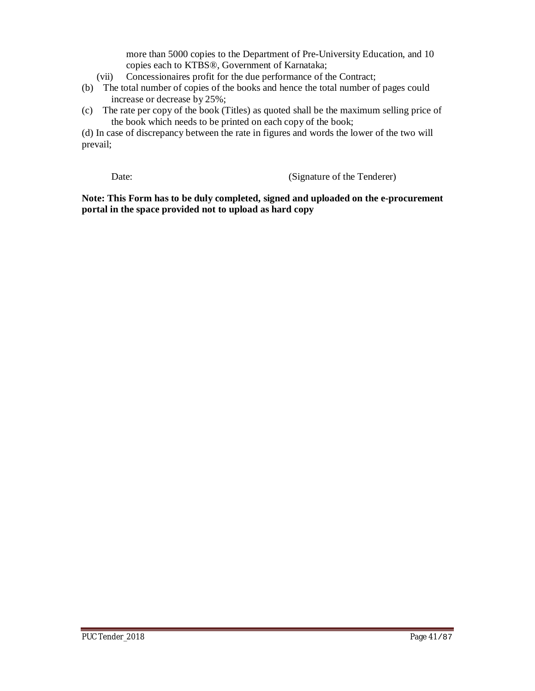more than 5000 copies to the Department of Pre-University Education, and 10 copies each to KTBS®, Government of Karnataka;

- (vii) Concessionaires profit for the due performance of the Contract;
- (b) The total number of copies of the books and hence the total number of pages could increase or decrease by 25%;
- (c) The rate per copy of the book (Titles) as quoted shall be the maximum selling price of the book which needs to be printed on each copy of the book;

(d) In case of discrepancy between the rate in figures and words the lower of the two will prevail;

Date: (Signature of the Tenderer)

**Note: This Form has to be duly completed, signed and uploaded on the e-procurement portal in the space provided not to upload as hard copy**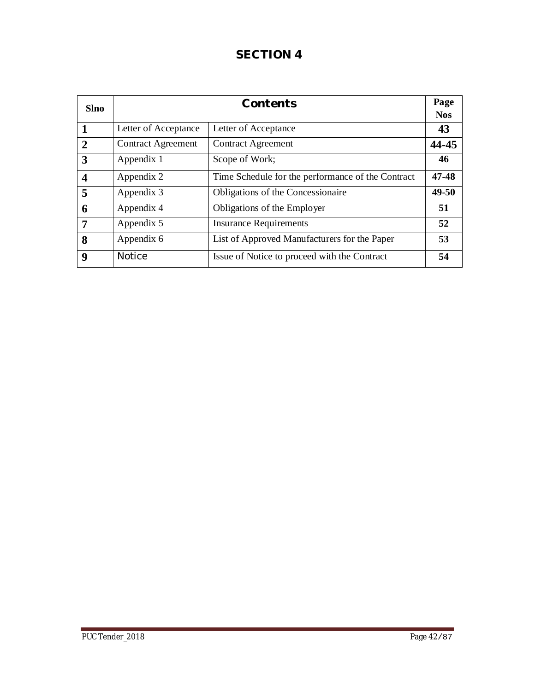# **SECTION 4**

| <b>Slno</b>             |                           | Contents                                          | Page       |
|-------------------------|---------------------------|---------------------------------------------------|------------|
|                         |                           |                                                   | <b>Nos</b> |
| 1                       | Letter of Acceptance      | Letter of Acceptance                              | 43         |
| $\overline{2}$          | <b>Contract Agreement</b> | <b>Contract Agreement</b>                         | 44-45      |
| 3                       | Appendix 1                | Scope of Work;                                    | 46         |
| $\overline{\mathbf{4}}$ | Appendix 2                | Time Schedule for the performance of the Contract | 47-48      |
| 5                       | Appendix 3                | Obligations of the Concessionaire                 | 49-50      |
| 6                       | Appendix 4                | Obligations of the Employer                       | 51         |
| 7                       | Appendix 5                | <b>Insurance Requirements</b>                     | 52         |
| 8                       | Appendix 6                | List of Approved Manufacturers for the Paper      | 53         |
| $\boldsymbol{9}$        | <b>Notice</b>             | Issue of Notice to proceed with the Contract      | 54         |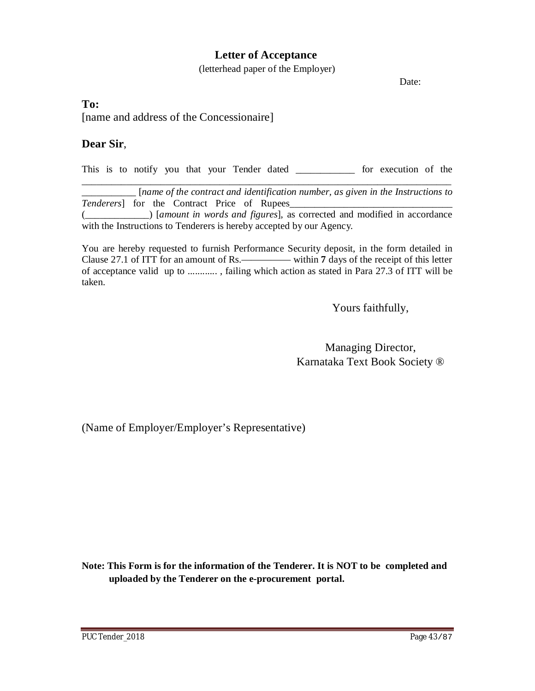## **Letter of Acceptance**

(letterhead paper of the Employer)

Date:

#### **To:**

[name and address of the Concessionaire]

#### **Dear Sir**,

This is to notify you that your Tender dated \_\_\_\_\_\_\_\_\_\_\_\_ for execution of the \_\_\_\_\_\_\_\_\_\_\_\_\_\_\_\_\_\_\_\_\_\_\_\_\_\_\_\_\_\_\_\_\_\_\_\_\_\_\_\_\_\_\_\_\_\_\_\_\_\_\_\_\_\_\_\_\_\_\_\_\_\_\_\_\_\_\_\_\_\_\_\_\_\_\_

\_\_\_\_\_\_\_\_\_\_\_ [*name of the contract and identification number, as given in the Instructions to Tenderers*] for the Contract Price of Rupees\_ (\_\_\_\_\_\_\_\_\_\_\_\_\_) [*amount in words and figures*], as corrected and modified in accordance with the Instructions to Tenderers is hereby accepted by our Agency.

You are hereby requested to furnish Performance Security deposit, in the form detailed in Clause 27.1 of ITT for an amount of Rs.————— within **7** days of the receipt of this letter of acceptance valid up to ............ , failing which action as stated in Para 27.3 of ITT will be taken.

Yours faithfully,

Managing Director, Karnataka Text Book Society ®

(Name of Employer/Employer's Representative)

**Note: This Form is for the information of the Tenderer. It is NOT to be completed and uploaded by the Tenderer on the e-procurement portal.**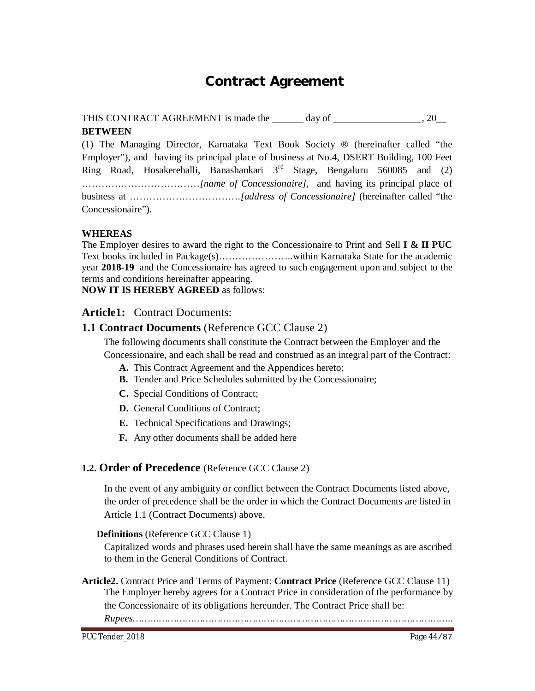# **Contract Agreement**

THIS CONTRACT AGREEMENT is made the  $\_\_\_\_\$  day of  $\_\_\_\_\_\_\_\_\_$ , 20 $\_\_\_\_\$ **BETWEEN**

(1) The Managing Director, Karnataka Text Book Society ® (hereinafter called "the Employer"), and having its principal place of business at No.4, DSERT Building, 100 Feet Ring Road, Hosakerehalli, Banashankari  $3<sup>rd</sup>$  Stage, Bengaluru 560085 and (2) ………………………………*[name of Concessionaire]*, and having its principal place of business at …………………………….*[address of Concessionaire]* (hereinafter called "the Concessionaire").

#### **WHEREAS**

The Employer desires to award the right to the Concessionaire to Print and Sell **I & II PUC** Text books included in Package(s)…………………..within Karnataka State for the academic year **2018-19** and the Concessionaire has agreed to such engagement upon and subject to the terms and conditions hereinafter appearing.

**NOW IT IS HEREBY AGREED** as follows:

#### **Article1:** Contract Documents:

#### **1.1 Contract Documents** (Reference GCC Clause 2)

The following documents shall constitute the Contract between the Employer and the

Concessionaire, and each shall be read and construed as an integral part of the Contract:

- **A.** This Contract Agreement and the Appendices hereto;
- **B.** Tender and Price Schedules submitted by the Concessionaire;
- **C.** Special Conditions of Contract;
- **D.** General Conditions of Contract;
- **E.** Technical Specifications and Drawings;
- **F.** Any other documents shall be added here

#### **1.2. Order of Precedence** (Reference GCC Clause 2)

In the event of any ambiguity or conflict between the Contract Documents listed above, the order of precedence shall be the order in which the Contract Documents are listed in Article 1.1 (Contract Documents) above.

#### **Definitions** (Reference GCC Clause 1)

Capitalized words and phrases used herein shall have the same meanings as are ascribed to them in the General Conditions of Contract.

**Article2.** Contract Price and Terms of Payment: **Contract Price** (Reference GCC Clause 11) The Employer hereby agrees for a Contract Price in consideration of the performance by the Concessionaire of its obligations hereunder. The Contract Price shall be:

*Rupees………………………………………………………………………………………………..*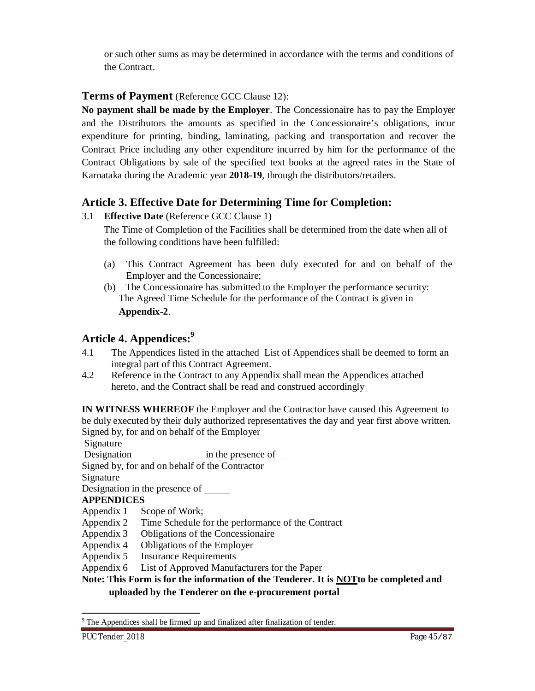or such other sums as may be determined in accordance with the terms and conditions of the Contract.

# **Terms of Payment** (Reference GCC Clause 12):

**No payment shall be made by the Employer**. The Concessionaire has to pay the Employer and the Distributors the amounts as specified in the Concessionaire's obligations, incur expenditure for printing, binding, laminating, packing and transportation and recover the Contract Price including any other expenditure incurred by him for the performance of the Contract Obligations by sale of the specified text books at the agreed rates in the State of Karnataka during the Academic year **2018-19**, through the distributors/retailers.

# **Article 3. Effective Date for Determining Time for Completion:**

3.1 **Effective Date** (Reference GCC Clause 1)

The Time of Completion of the Facilities shall be determined from the date when all of the following conditions have been fulfilled:

- (a) This Contract Agreement has been duly executed for and on behalf of the Employer and the Concessionaire;
- (b) The Concessionaire has submitted to the Employer the performance security: The Agreed Time Schedule for the performance of the Contract is given in **Appendix-2**.

# **Article 4. Appendices:<sup>9</sup>**

- 4.1 The Appendices listed in the attached List of Appendices shall be deemed to form an integral part of this Contract Agreement.
- 4.2 Reference in the Contract to any Appendix shall mean the Appendices attached hereto, and the Contract shall be read and construed accordingly

**IN WITNESS WHEREOF** the Employer and the Contractor have caused this Agreement to be duly executed by their duly authorized representatives the day and year first above written. Signed by, for and on behalf of the Employer

Signature

Designation in the presence of  $\blacksquare$ 

Signed by, for and on behalf of the Contractor

Signature

Designation in the presence of

### **APPENDICES**

Appendix 1 Scope of Work;

- Appendix 2 Time Schedule for the performance of the Contract
- Appendix 3 Obligations of the Concessionaire
- Appendix 4 Obligations of the Employer
- Appendix 5 Insurance Requirements
- Appendix 6 List of Approved Manufacturers for the Paper

### **Note: This Form is for the information of the Tenderer. It is NOTto be completed and**

### **uploaded by the Tenderer on the e-procurement portal**

<sup>1</sup> <sup>9</sup> The Appendices shall be firmed up and finalized after finalization of tender.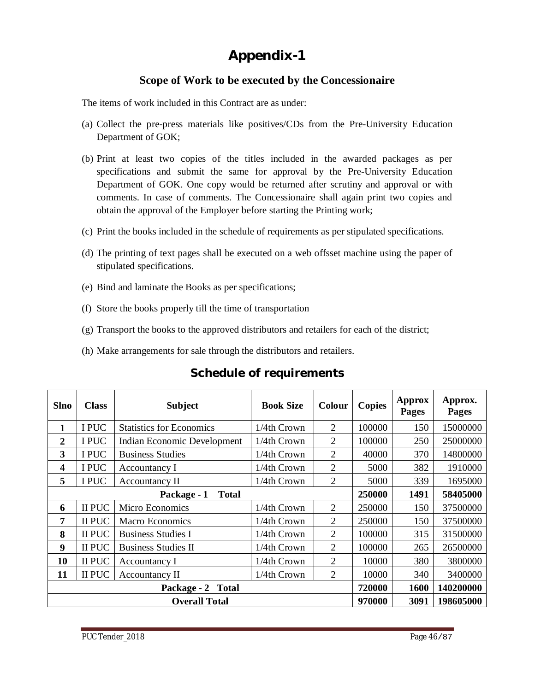# **Appendix-1**

# **Scope of Work to be executed by the Concessionaire**

The items of work included in this Contract are as under:

- (a) Collect the pre-press materials like positives/CDs from the Pre-University Education Department of GOK;
- (b) Print at least two copies of the titles included in the awarded packages as per specifications and submit the same for approval by the Pre-University Education Department of GOK. One copy would be returned after scrutiny and approval or with comments. In case of comments. The Concessionaire shall again print two copies and obtain the approval of the Employer before starting the Printing work;
- (c) Print the books included in the schedule of requirements as per stipulated specifications.
- (d) The printing of text pages shall be executed on a web offsset machine using the paper of stipulated specifications.
- (e) Bind and laminate the Books as per specifications;
- (f) Store the books properly till the time of transportation
- (g) Transport the books to the approved distributors and retailers for each of the district;
- (h) Make arrangements for sale through the distributors and retailers.

| <b>Slno</b>                 | <b>Class</b>         | <b>Subject</b>                     | <b>Book Size</b> | <b>Colour</b>  | <b>Copies</b> | <b>Approx</b><br><b>Pages</b> | Approx.<br>Pages |
|-----------------------------|----------------------|------------------------------------|------------------|----------------|---------------|-------------------------------|------------------|
| 1                           | I PUC                | <b>Statistics for Economics</b>    | $1/4$ th Crown   | 2              | 100000        | 150                           | 15000000         |
| $\overline{2}$              | I PUC                | <b>Indian Economic Development</b> | 1/4th Crown      | 2              | 100000        | 250                           | 25000000         |
| 3                           | I PUC                | <b>Business Studies</b>            | 1/4th Crown      | $\overline{2}$ | 40000         | 370                           | 14800000         |
| $\overline{\mathbf{4}}$     | I PUC                | Accountancy I                      | 1/4th Crown      | $\overline{2}$ | 5000          | 382                           | 1910000          |
| 5                           | I PUC                | Accountancy II                     | 1/4th Crown      | $\overline{2}$ | 5000          | 339                           | 1695000          |
| <b>Total</b><br>Package - 1 |                      |                                    |                  |                | 250000        | 1491                          | 58405000         |
| 6                           | II PUC               | Micro Economics                    | 1/4th Crown      | 2              | 250000        | 150                           | 37500000         |
| 7                           | II PUC               | <b>Macro Economics</b>             | 1/4th Crown      | $\overline{2}$ | 250000        | 150                           | 37500000         |
| 8                           | II PUC               | <b>Business Studies I</b>          | 1/4th Crown      | $\overline{2}$ | 100000        | 315                           | 31500000         |
| 9                           | II PUC               | <b>Business Studies II</b>         | 1/4th Crown      | 2              | 100000        | 265                           | 26500000         |
| 10                          | II PUC               | Accountancy I                      | 1/4th Crown      | $\overline{2}$ | 10000         | 380                           | 3800000          |
| 11                          | II PUC               | Accountancy II                     | 1/4th Crown      | $\overline{2}$ | 10000         | 340                           | 3400000          |
|                             | Package - 2 Total    |                                    |                  |                |               |                               | 140200000        |
|                             | <b>Overall Total</b> |                                    |                  |                |               |                               | 198605000        |

**Schedule of requirements**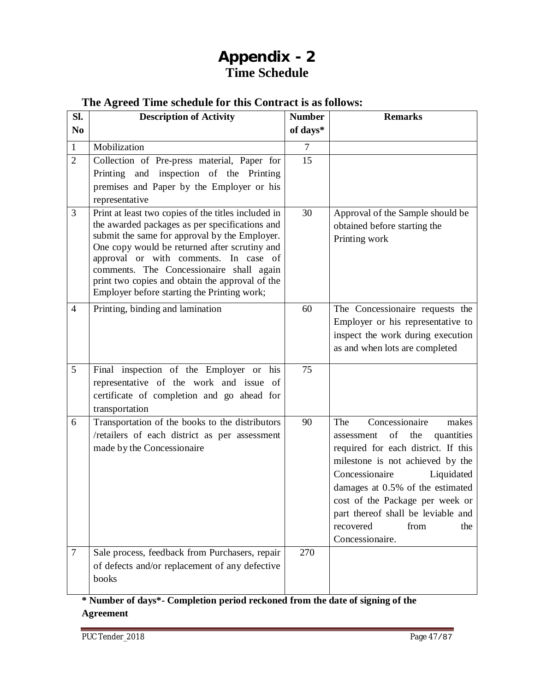# **Appendix - 2 Time Schedule**

# **The Agreed Time schedule for this Contract is as follows:**

| Sl.            | <b>Description of Activity</b>                                                                                                                                                                                                                                                                                                                                                                 | <b>Number</b>  | <b>Remarks</b>                                                                                                                                                                                                                                                                                                                                 |
|----------------|------------------------------------------------------------------------------------------------------------------------------------------------------------------------------------------------------------------------------------------------------------------------------------------------------------------------------------------------------------------------------------------------|----------------|------------------------------------------------------------------------------------------------------------------------------------------------------------------------------------------------------------------------------------------------------------------------------------------------------------------------------------------------|
| N <sub>0</sub> |                                                                                                                                                                                                                                                                                                                                                                                                | of days*       |                                                                                                                                                                                                                                                                                                                                                |
| $\mathbf{1}$   | Mobilization                                                                                                                                                                                                                                                                                                                                                                                   | $\overline{7}$ |                                                                                                                                                                                                                                                                                                                                                |
| $\overline{2}$ | Collection of Pre-press material, Paper for<br>Printing and inspection of the Printing<br>premises and Paper by the Employer or his<br>representative                                                                                                                                                                                                                                          | 15             |                                                                                                                                                                                                                                                                                                                                                |
| 3              | Print at least two copies of the titles included in<br>the awarded packages as per specifications and<br>submit the same for approval by the Employer.<br>One copy would be returned after scrutiny and<br>approval or with comments. In case of<br>comments. The Concessionaire shall again<br>print two copies and obtain the approval of the<br>Employer before starting the Printing work; | 30             | Approval of the Sample should be<br>obtained before starting the<br>Printing work                                                                                                                                                                                                                                                              |
| 4              | Printing, binding and lamination                                                                                                                                                                                                                                                                                                                                                               | 60             | The Concessionaire requests the<br>Employer or his representative to<br>inspect the work during execution<br>as and when lots are completed                                                                                                                                                                                                    |
| 5              | Final inspection of the Employer or his<br>representative of the work and issue of<br>certificate of completion and go ahead for<br>transportation                                                                                                                                                                                                                                             | 75             |                                                                                                                                                                                                                                                                                                                                                |
| 6              | Transportation of the books to the distributors<br>/retailers of each district as per assessment<br>made by the Concessionaire                                                                                                                                                                                                                                                                 | 90             | Concessionaire<br>The<br>makes<br>of<br>the<br>assessment<br>quantities<br>required for each district. If this<br>milestone is not achieved by the<br>Concessionaire<br>Liquidated<br>damages at 0.5% of the estimated<br>cost of the Package per week or<br>part thereof shall be leviable and<br>from<br>recovered<br>the<br>Concessionaire. |
| $\tau$         | Sale process, feedback from Purchasers, repair<br>of defects and/or replacement of any defective<br>books                                                                                                                                                                                                                                                                                      | 270            |                                                                                                                                                                                                                                                                                                                                                |

# **\* Number of days\*- Completion period reckoned from the date of signing of the Agreement**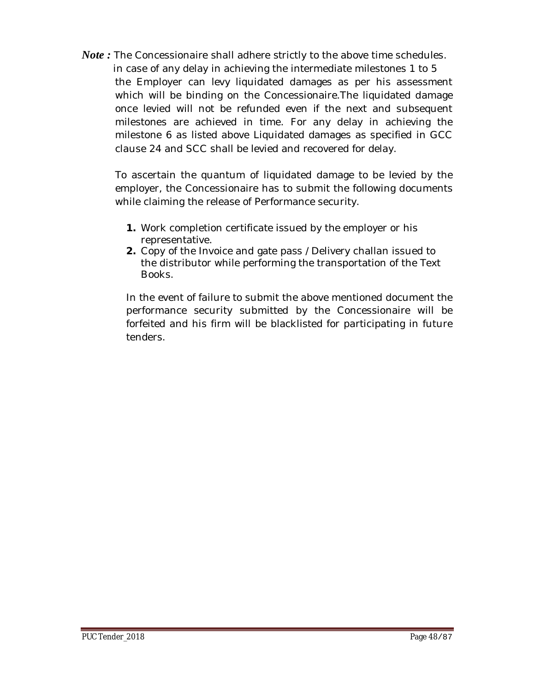*Note*: The Concessionaire shall adhere strictly to the above time schedules. in case of any delay in achieving the intermediate milestones 1 to 5 the Employer can levy liquidated damages as per his assessment which will be binding on the Concessionaire.The liquidated damage once levied will not be refunded even if the next and subsequent milestones are achieved in time. For any delay in achieving the milestone 6 as listed above Liquidated damages as specified in GCC clause 24 and SCC shall be levied and recovered for delay.

To ascertain the quantum of liquidated damage to be levied by the employer, the Concessionaire has to submit the following documents while claiming the release of Performance security.

- **1.** Work completion certificate issued by the employer or his representative.
- **2.** Copy of the Invoice and gate pass /Delivery challan issued to the distributor while performing the transportation of the Text Books.

In the event of failure to submit the above mentioned document the performance security submitted by the Concessionaire will be forfeited and his firm will be blacklisted for participating in future tenders.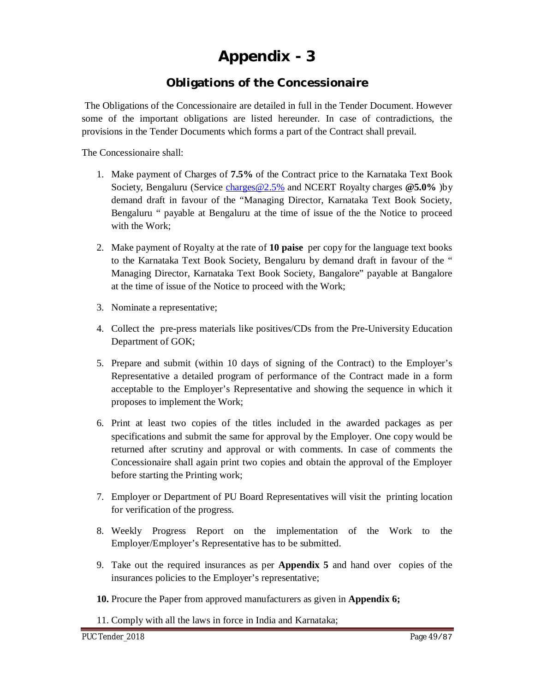# **Appendix - 3**

# **Obligations of the Concessionaire**

The Obligations of the Concessionaire are detailed in full in the Tender Document. However some of the important obligations are listed hereunder. In case of contradictions, the provisions in the Tender Documents which forms a part of the Contract shall prevail.

The Concessionaire shall:

- 1. Make payment of Charges of **7.5%** of the Contract price to the Karnataka Text Book Society, Bengaluru (Service [charges@2.5%](mailto:charges@2.5%) and NCERT Royalty charges **[@5.0%](mailto:@5.0%)** )by demand draft in favour of the "Managing Director, Karnataka Text Book Society, Bengaluru " payable at Bengaluru at the time of issue of the the Notice to proceed with the Work;
- 2. Make payment of Royalty at the rate of **10 paise** per copy for the language text books to the Karnataka Text Book Society, Bengaluru by demand draft in favour of the " Managing Director, Karnataka Text Book Society, Bangalore" payable at Bangalore at the time of issue of the Notice to proceed with the Work;
- 3. Nominate a representative;
- 4. Collect the pre-press materials like positives/CDs from the Pre-University Education Department of GOK;
- 5. Prepare and submit (within 10 days of signing of the Contract) to the Employer's Representative a detailed program of performance of the Contract made in a form acceptable to the Employer's Representative and showing the sequence in which it proposes to implement the Work;
- 6. Print at least two copies of the titles included in the awarded packages as per specifications and submit the same for approval by the Employer. One copy would be returned after scrutiny and approval or with comments. In case of comments the Concessionaire shall again print two copies and obtain the approval of the Employer before starting the Printing work;
- 7. Employer or Department of PU Board Representatives will visit the printing location for verification of the progress.
- 8. Weekly Progress Report on the implementation of the Work to the Employer/Employer's Representative has to be submitted.
- 9. Take out the required insurances as per **Appendix 5** and hand over copies of the insurances policies to the Employer's representative;
- **10.** Procure the Paper from approved manufacturers as given in **Appendix 6;**
- 11. Comply with all the laws in force in India and Karnataka;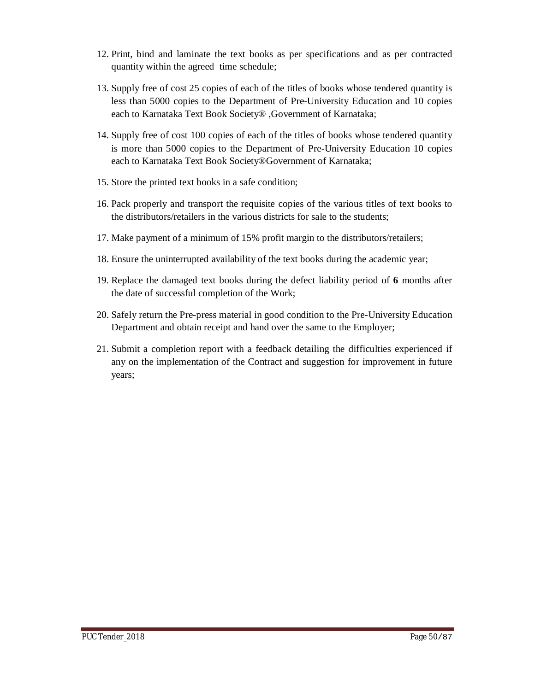- 12. Print, bind and laminate the text books as per specifications and as per contracted quantity within the agreed time schedule;
- 13. Supply free of cost 25 copies of each of the titles of books whose tendered quantity is less than 5000 copies to the Department of Pre-University Education and 10 copies each to Karnataka Text Book Society® ,Government of Karnataka;
- 14. Supply free of cost 100 copies of each of the titles of books whose tendered quantity is more than 5000 copies to the Department of Pre-University Education 10 copies each to Karnataka Text Book Society®Government of Karnataka;
- 15. Store the printed text books in a safe condition;
- 16. Pack properly and transport the requisite copies of the various titles of text books to the distributors/retailers in the various districts for sale to the students;
- 17. Make payment of a minimum of 15% profit margin to the distributors/retailers;
- 18. Ensure the uninterrupted availability of the text books during the academic year;
- 19. Replace the damaged text books during the defect liability period of **6** months after the date of successful completion of the Work;
- 20. Safely return the Pre-press material in good condition to the Pre-University Education Department and obtain receipt and hand over the same to the Employer;
- 21. Submit a completion report with a feedback detailing the difficulties experienced if any on the implementation of the Contract and suggestion for improvement in future years;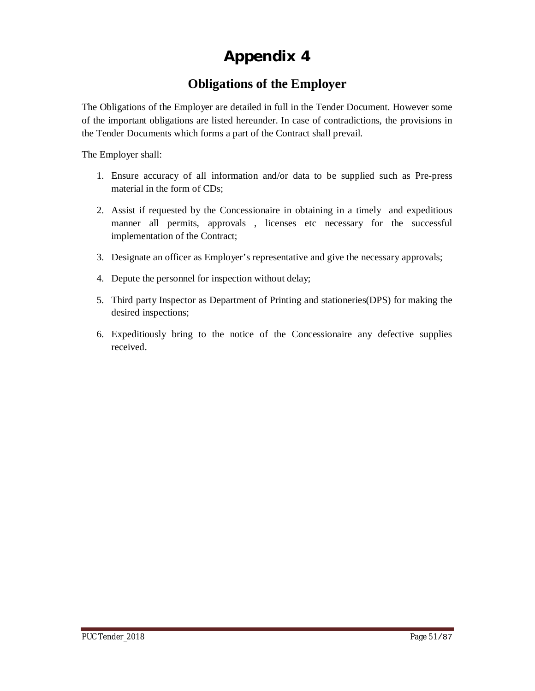# **Appendix 4**

# **Obligations of the Employer**

The Obligations of the Employer are detailed in full in the Tender Document. However some of the important obligations are listed hereunder. In case of contradictions, the provisions in the Tender Documents which forms a part of the Contract shall prevail.

The Employer shall:

- 1. Ensure accuracy of all information and/or data to be supplied such as Pre-press material in the form of CDs;
- 2. Assist if requested by the Concessionaire in obtaining in a timely and expeditious manner all permits, approvals , licenses etc necessary for the successful implementation of the Contract;
- 3. Designate an officer as Employer's representative and give the necessary approvals;
- 4. Depute the personnel for inspection without delay;
- 5. Third party Inspector as Department of Printing and stationeries(DPS) for making the desired inspections;
- 6. Expeditiously bring to the notice of the Concessionaire any defective supplies received.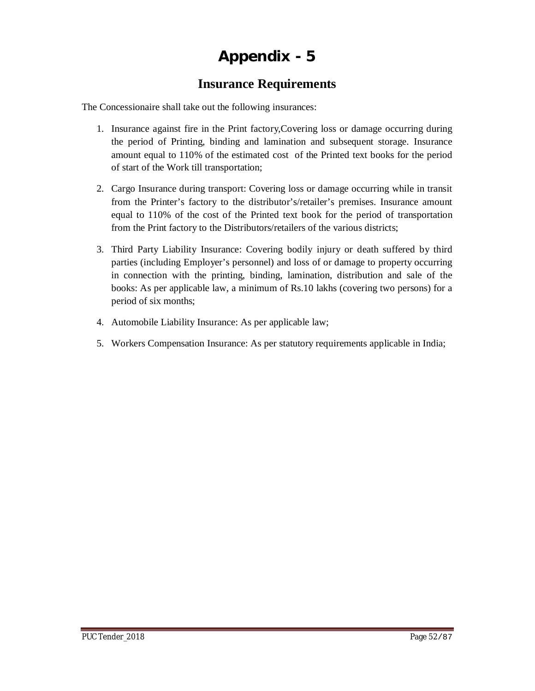# **Appendix - 5**

# **Insurance Requirements**

The Concessionaire shall take out the following insurances:

- 1. Insurance against fire in the Print factory,Covering loss or damage occurring during the period of Printing, binding and lamination and subsequent storage. Insurance amount equal to 110% of the estimated cost of the Printed text books for the period of start of the Work till transportation;
- 2. Cargo Insurance during transport: Covering loss or damage occurring while in transit from the Printer's factory to the distributor's/retailer's premises. Insurance amount equal to 110% of the cost of the Printed text book for the period of transportation from the Print factory to the Distributors/retailers of the various districts;
- 3. Third Party Liability Insurance: Covering bodily injury or death suffered by third parties (including Employer's personnel) and loss of or damage to property occurring in connection with the printing, binding, lamination, distribution and sale of the books: As per applicable law, a minimum of Rs.10 lakhs (covering two persons) for a period of six months;
- 4. Automobile Liability Insurance: As per applicable law;
- 5. Workers Compensation Insurance: As per statutory requirements applicable in India;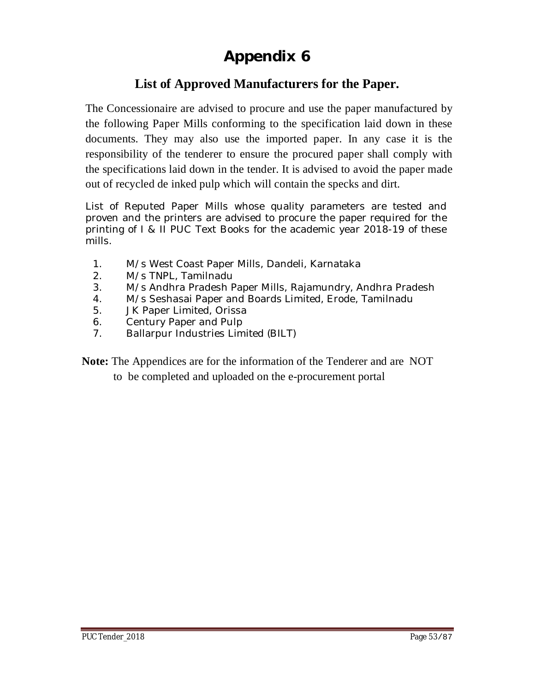# **Appendix 6**

# **List of Approved Manufacturers for the Paper.**

The Concessionaire are advised to procure and use the paper manufactured by the following Paper Mills conforming to the specification laid down in these documents. They may also use the imported paper. In any case it is the responsibility of the tenderer to ensure the procured paper shall comply with the specifications laid down in the tender. It is advised to avoid the paper made out of recycled de inked pulp which will contain the specks and dirt.

List of Reputed Paper Mills whose quality parameters are tested and proven and the printers are advised to procure the paper required for the printing of I & II PUC Text Books for the academic year 2018-19 of these mills.

- 1. M/s West Coast Paper Mills, Dandeli, Karnataka
- 2. M/s TNPL, Tamilnadu
- 3. M/s Andhra Pradesh Paper Mills, Rajamundry, Andhra Pradesh
- 4. M/s Seshasai Paper and Boards Limited, Erode, Tamilnadu
- 5. JK Paper Limited, Orissa
- 6. Century Paper and Pulp
- 7. Ballarpur Industries Limited (BILT)

**Note:** The Appendices are for the information of the Tenderer and are NOT

to be completed and uploaded on the e-procurement portal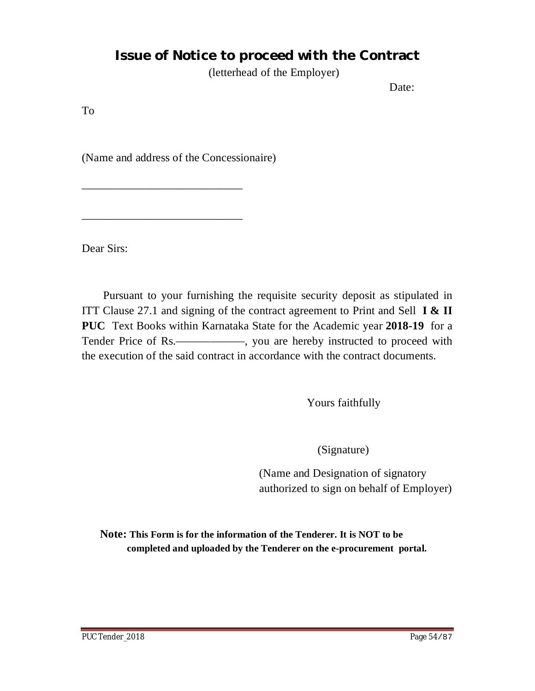# **Issue of Notice to proceed with the Contract**

(letterhead of the Employer)

Date:

To

(Name and address of the Concessionaire)

——————————————

——————————————

Dear Sirs:

Pursuant to your furnishing the requisite security deposit as stipulated in ITT Clause 27.1 and signing of the contract agreement to Print and Sell **I & II PUC** Text Books within Karnataka State for the Academic year **2018-19** for a Tender Price of Rs.—————, you are hereby instructed to proceed with the execution of the said contract in accordance with the contract documents.

Yours faithfully

(Signature)

(Name and Designation of signatory authorized to sign on behalf of Employer)

**Note: This Form is for the information of the Tenderer. It is NOT to be completed and uploaded by the Tenderer on the e-procurement portal.**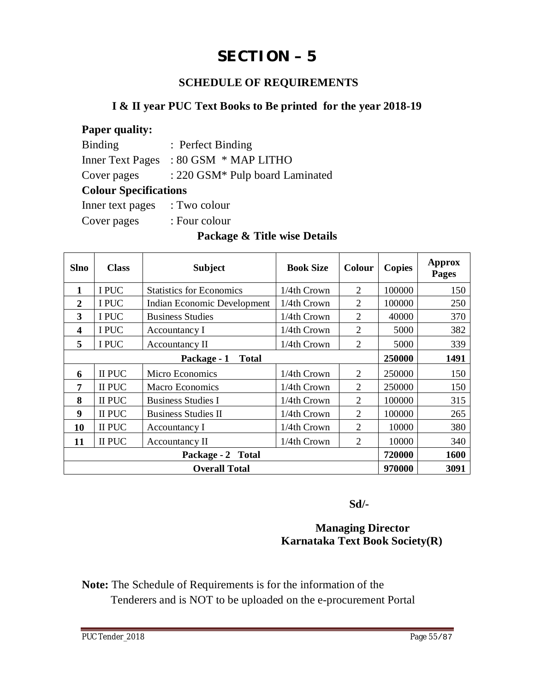# **SECTION – 5**

# **SCHEDULE OF REQUIREMENTS**

# **I & II year PUC Text Books to Be printed for the year 2018-19**

| <b>Paper quality:</b>        |                                 |  |  |  |  |  |
|------------------------------|---------------------------------|--|--|--|--|--|
| <b>Binding</b>               | : Perfect Binding               |  |  |  |  |  |
| <b>Inner Text Pages</b>      | $: 80$ GSM $*$ MAP LITHO        |  |  |  |  |  |
| Cover pages                  | : 220 GSM* Pulp board Laminated |  |  |  |  |  |
| <b>Colour Specifications</b> |                                 |  |  |  |  |  |
| Inner text pages             | : Two colour                    |  |  |  |  |  |
| Cover pages                  | : Four colour                   |  |  |  |  |  |
|                              |                                 |  |  |  |  |  |

## **Package & Title wise Details**

| <b>Slno</b>                 | <b>Class</b> | <b>Subject</b>                  | <b>Book Size</b> | Colour         | <b>Copies</b> | <b>Approx</b><br>Pages |
|-----------------------------|--------------|---------------------------------|------------------|----------------|---------------|------------------------|
| $\mathbf{1}$                | I PUC        | <b>Statistics for Economics</b> | 1/4th Crown      | 2              | 100000        | 150                    |
| $\mathbf{2}$                | I PUC        | Indian Economic Development     | 1/4th Crown      | $\overline{2}$ | 100000        | 250                    |
| 3                           | I PUC        | <b>Business Studies</b>         | 1/4th Crown      | 2              | 40000         | 370                    |
| $\overline{\mathbf{4}}$     | I PUC        | Accountancy I                   | 1/4th Crown      | 2              | 5000          | 382                    |
| 5                           | I PUC        | Accountancy II                  | 1/4th Crown      | $\overline{2}$ | 5000          | 339                    |
| Package - 1<br><b>Total</b> |              |                                 |                  |                |               | 1491                   |
| 6                           | II PUC       | Micro Economics                 | 1/4th Crown      | 2              | 250000        | 150                    |
| $\overline{7}$              | II PUC       | <b>Macro Economics</b>          | 1/4th Crown      | 2              | 250000        | 150                    |
| 8                           | II PUC       | <b>Business Studies I</b>       | 1/4th Crown      | 2              | 100000        | 315                    |
| 9                           | II PUC       | <b>Business Studies II</b>      | 1/4th Crown      | $\overline{2}$ | 100000        | 265                    |
| 10                          | II PUC       | Accountancy I                   | 1/4th Crown      | $\mathfrak{D}$ | 10000         | 380                    |
| 11                          | II PUC       | Accountancy II                  | 1/4th Crown      | 2              | 10000         | 340                    |
|                             |              | 720000                          | 1600             |                |               |                        |
|                             |              | 970000                          | 3091             |                |               |                        |

 **Sd/-**

# **Managing Director Karnataka Text Book Society(R)**

**Note:** The Schedule of Requirements is for the information of the Tenderers and is NOT to be uploaded on the e-procurement Portal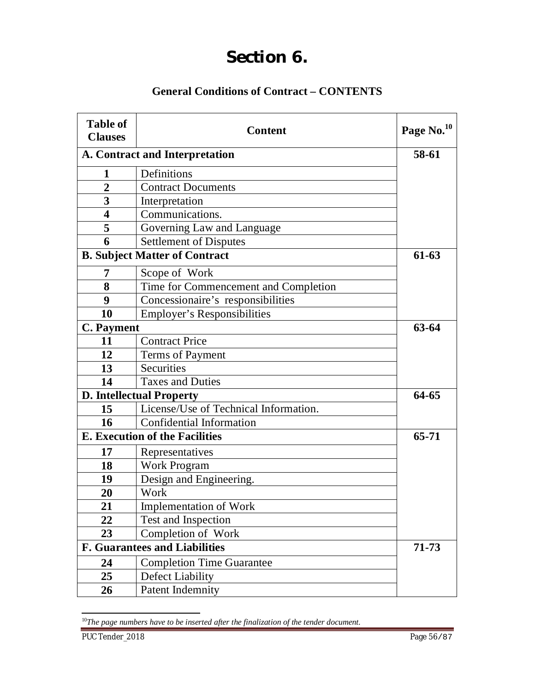# **Section 6.**

# **General Conditions of Contract – CONTENTS**

| <b>Table of</b><br><b>Clauses</b> | <b>Content</b>                        | Page No. <sup>10</sup> |
|-----------------------------------|---------------------------------------|------------------------|
| A. Contract and Interpretation    | 58-61                                 |                        |
| 1                                 | Definitions                           |                        |
| $\overline{2}$                    | <b>Contract Documents</b>             |                        |
| 3                                 | Interpretation                        |                        |
| $\overline{\mathbf{4}}$           | Communications.                       |                        |
| 5                                 | Governing Law and Language            |                        |
| 6                                 | <b>Settlement of Disputes</b>         |                        |
|                                   | <b>B. Subject Matter of Contract</b>  | $61-63$                |
| 7                                 | Scope of Work                         |                        |
| 8                                 | Time for Commencement and Completion  |                        |
| 9                                 | Concessionaire's responsibilities     |                        |
| 10                                | <b>Employer's Responsibilities</b>    |                        |
| <b>C.</b> Payment                 | 63-64                                 |                        |
| 11                                | <b>Contract Price</b>                 |                        |
| 12                                | Terms of Payment                      |                        |
| 13                                | <b>Securities</b>                     |                        |
| 14                                | <b>Taxes and Duties</b>               |                        |
|                                   | <b>D. Intellectual Property</b>       | 64-65                  |
| 15                                | License/Use of Technical Information. |                        |
| 16                                | Confidential Information              |                        |
|                                   | <b>E. Execution of the Facilities</b> | $65 - 71$              |
| 17                                | Representatives                       |                        |
| 18                                | <b>Work Program</b>                   |                        |
| 19                                | Design and Engineering.               |                        |
| 20                                | Work                                  |                        |
| 21                                | <b>Implementation of Work</b>         |                        |
| 22                                | Test and Inspection                   |                        |
| 23                                | Completion of Work                    |                        |
|                                   | <b>F. Guarantees and Liabilities</b>  | 71-73                  |
| 24                                | <b>Completion Time Guarantee</b>      |                        |
| 25                                | Defect Liability                      |                        |
| 26                                | Patent Indemnity                      |                        |

*The page numbers have to be inserted after the finalization of the tender document.*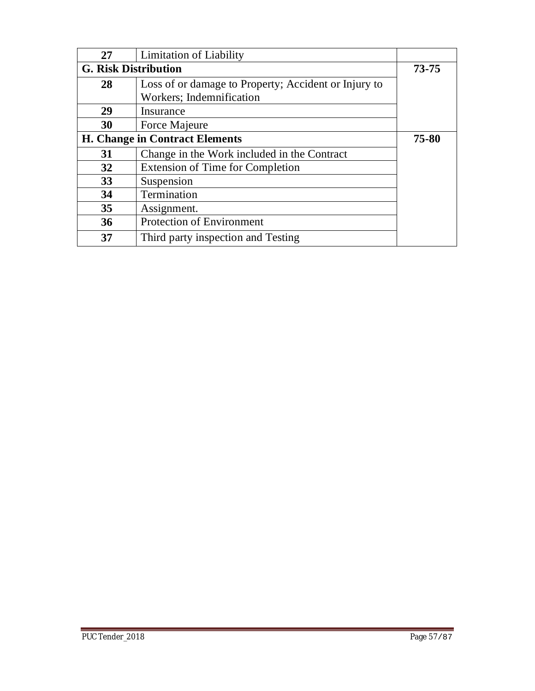| 27                          | <b>Limitation of Liability</b>                       |           |
|-----------------------------|------------------------------------------------------|-----------|
| <b>G. Risk Distribution</b> | $73 - 75$                                            |           |
| 28                          | Loss of or damage to Property; Accident or Injury to |           |
|                             | Workers; Indemnification                             |           |
| 29                          | Insurance                                            |           |
| 30                          | Force Majeure                                        |           |
|                             | <b>H. Change in Contract Elements</b>                | $75 - 80$ |
| 31                          | Change in the Work included in the Contract          |           |
| 32                          | <b>Extension of Time for Completion</b>              |           |
| 33                          | Suspension                                           |           |
| 34                          | Termination                                          |           |
| 35                          | Assignment.                                          |           |
| 36                          | <b>Protection of Environment</b>                     |           |
| 37                          | Third party inspection and Testing                   |           |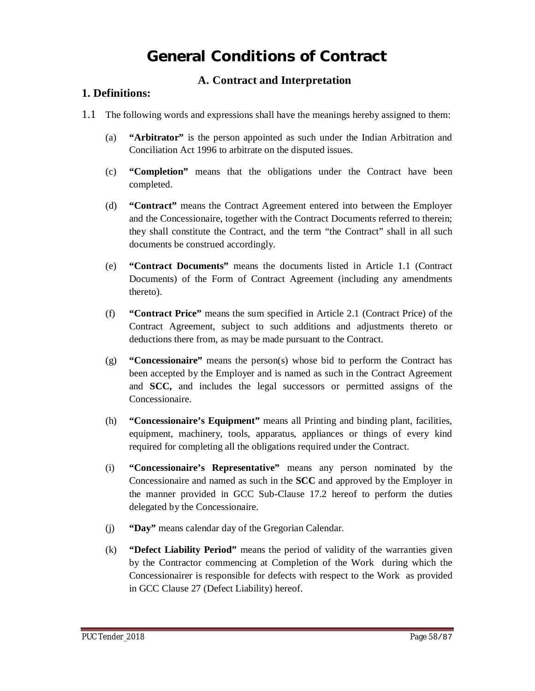# **General Conditions of Contract**

## **A. Contract and Interpretation**

#### **1. Definitions:**

- 1.1 The following words and expressions shall have the meanings hereby assigned to them:
	- (a) **"Arbitrator"** is the person appointed as such under the Indian Arbitration and Conciliation Act 1996 to arbitrate on the disputed issues.
	- (c) **"Completion"** means that the obligations under the Contract have been completed.
	- (d) **"Contract"** means the Contract Agreement entered into between the Employer and the Concessionaire, together with the Contract Documents referred to therein; they shall constitute the Contract, and the term "the Contract" shall in all such documents be construed accordingly.
	- (e) **"Contract Documents"** means the documents listed in Article 1.1 (Contract Documents) of the Form of Contract Agreement (including any amendments thereto).
	- (f) **"Contract Price"** means the sum specified in Article 2.1 (Contract Price) of the Contract Agreement, subject to such additions and adjustments thereto or deductions there from, as may be made pursuant to the Contract.
	- (g) **"Concessionaire"** means the person(s) whose bid to perform the Contract has been accepted by the Employer and is named as such in the Contract Agreement and **SCC,** and includes the legal successors or permitted assigns of the Concessionaire.
	- (h) **"Concessionaire's Equipment"** means all Printing and binding plant, facilities, equipment, machinery, tools, apparatus, appliances or things of every kind required for completing all the obligations required under the Contract.
	- (i) **"Concessionaire's Representative"** means any person nominated by the Concessionaire and named as such in the **SCC** and approved by the Employer in the manner provided in GCC Sub-Clause 17.2 hereof to perform the duties delegated by the Concessionaire.
	- (j) **"Day"** means calendar day of the Gregorian Calendar.
	- (k) **"Defect Liability Period"** means the period of validity of the warranties given by the Contractor commencing at Completion of the Work during which the Concessionairer is responsible for defects with respect to the Work as provided in GCC Clause 27 (Defect Liability) hereof.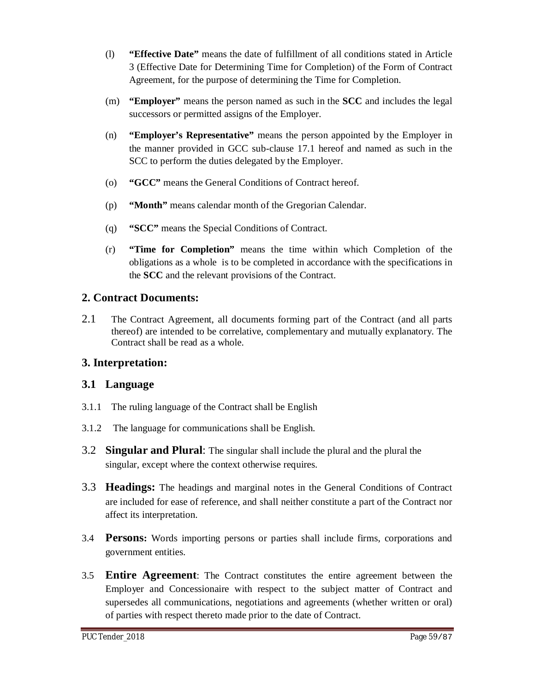- (l) **"Effective Date"** means the date of fulfillment of all conditions stated in Article 3 (Effective Date for Determining Time for Completion) of the Form of Contract Agreement, for the purpose of determining the Time for Completion.
- (m) **"Employer"** means the person named as such in the **SCC** and includes the legal successors or permitted assigns of the Employer.
- (n) **"Employer's Representative"** means the person appointed by the Employer in the manner provided in GCC sub-clause 17.1 hereof and named as such in the SCC to perform the duties delegated by the Employer.
- (o) **"GCC"** means the General Conditions of Contract hereof.
- (p) **"Month"** means calendar month of the Gregorian Calendar.
- (q) **"SCC"** means the Special Conditions of Contract.
- (r) **"Time for Completion"** means the time within which Completion of the obligations as a whole is to be completed in accordance with the specifications in the **SCC** and the relevant provisions of the Contract.

## **2. Contract Documents:**

2.1 The Contract Agreement, all documents forming part of the Contract (and all parts thereof) are intended to be correlative, complementary and mutually explanatory. The Contract shall be read as a whole.

# **3. Interpretation:**

# **3.1 Language**

- 3.1.1 The ruling language of the Contract shall be English
- 3.1.2 The language for communications shall be English.
- 3.2 **Singular and Plural**: The singular shall include the plural and the plural the singular, except where the context otherwise requires.
- 3.3 **Headings:** The headings and marginal notes in the General Conditions of Contract are included for ease of reference, and shall neither constitute a part of the Contract nor affect its interpretation.
- 3.4 **Persons:** Words importing persons or parties shall include firms, corporations and government entities.
- 3.5 **Entire Agreement**: The Contract constitutes the entire agreement between the Employer and Concessionaire with respect to the subject matter of Contract and supersedes all communications, negotiations and agreements (whether written or oral) of parties with respect thereto made prior to the date of Contract.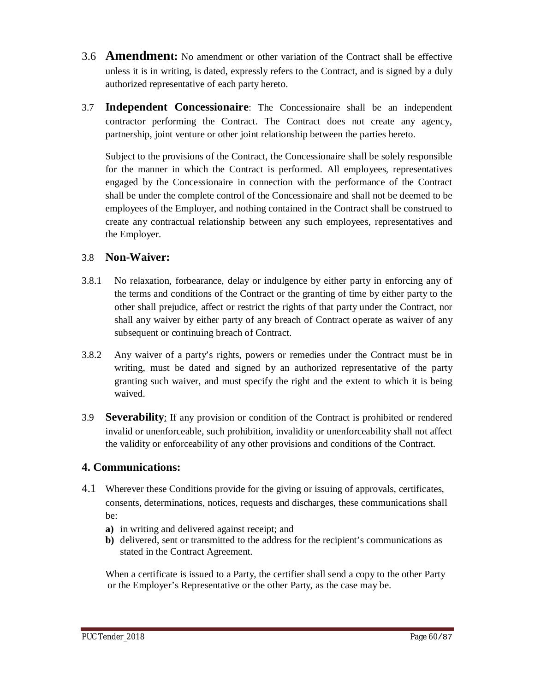- 3.6 **Amendment:** No amendment or other variation of the Contract shall be effective unless it is in writing, is dated, expressly refers to the Contract, and is signed by a duly authorized representative of each party hereto.
- 3.7 **Independent Concessionaire**: The Concessionaire shall be an independent contractor performing the Contract. The Contract does not create any agency, partnership, joint venture or other joint relationship between the parties hereto.

Subject to the provisions of the Contract, the Concessionaire shall be solely responsible for the manner in which the Contract is performed. All employees, representatives engaged by the Concessionaire in connection with the performance of the Contract shall be under the complete control of the Concessionaire and shall not be deemed to be employees of the Employer, and nothing contained in the Contract shall be construed to create any contractual relationship between any such employees, representatives and the Employer.

#### 3.8 **Non-Waiver:**

- 3.8.1 No relaxation, forbearance, delay or indulgence by either party in enforcing any of the terms and conditions of the Contract or the granting of time by either party to the other shall prejudice, affect or restrict the rights of that party under the Contract, nor shall any waiver by either party of any breach of Contract operate as waiver of any subsequent or continuing breach of Contract.
- 3.8.2 Any waiver of a party's rights, powers or remedies under the Contract must be in writing, must be dated and signed by an authorized representative of the party granting such waiver, and must specify the right and the extent to which it is being waived.
- 3.9 **Severability**: If any provision or condition of the Contract is prohibited or rendered invalid or unenforceable, such prohibition, invalidity or unenforceability shall not affect the validity or enforceability of any other provisions and conditions of the Contract.

### **4. Communications:**

- 4.1 Wherever these Conditions provide for the giving or issuing of approvals, certificates, consents, determinations, notices, requests and discharges, these communications shall be:
	- **a)** in writing and delivered against receipt; and
	- **b)** delivered, sent or transmitted to the address for the recipient's communications as stated in the Contract Agreement.

When a certificate is issued to a Party, the certifier shall send a copy to the other Party or the Employer's Representative or the other Party, as the case may be.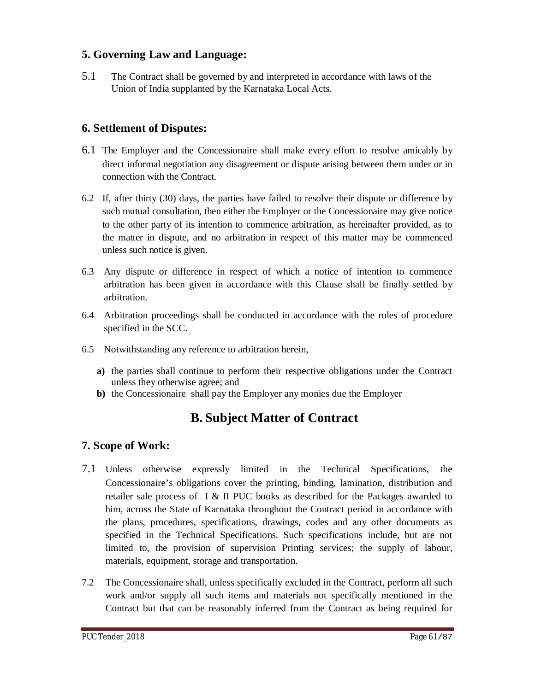## **5. Governing Law and Language:**

5.1 The Contract shall be governed by and interpreted in accordance with laws of the Union of India supplanted by the Karnataka Local Acts.

## **6. Settlement of Disputes:**

- 6.1 The Employer and the Concessionaire shall make every effort to resolve amicably by direct informal negotiation any disagreement or dispute arising between them under or in connection with the Contract.
- 6.2 If, after thirty (30) days, the parties have failed to resolve their dispute or difference by such mutual consultation, then either the Employer or the Concessionaire may give notice to the other party of its intention to commence arbitration, as hereinafter provided, as to the matter in dispute, and no arbitration in respect of this matter may be commenced unless such notice is given.
- 6.3 Any dispute or difference in respect of which a notice of intention to commence arbitration has been given in accordance with this Clause shall be finally settled by arbitration.
- 6.4 Arbitration proceedings shall be conducted in accordance with the rules of procedure specified in the SCC.
- 6.5 Notwithstanding any reference to arbitration herein,
	- **a)** the parties shall continue to perform their respective obligations under the Contract unless they otherwise agree; and
	- **b)** the Concessionaire shall pay the Employer any monies due the Employer

# **B. Subject Matter of Contract**

# **7. Scope of Work:**

- 7.1 Unless otherwise expressly limited in the Technical Specifications, the Concessionaire's obligations cover the printing, binding, lamination, distribution and retailer sale process of I & II PUC books as described for the Packages awarded to him, across the State of Karnataka throughout the Contract period in accordance with the plans, procedures, specifications, drawings, codes and any other documents as specified in the Technical Specifications. Such specifications include, but are not limited to, the provision of supervision Printing services; the supply of labour, materials, equipment, storage and transportation.
- 7.2 The Concessionaire shall, unless specifically excluded in the Contract, perform all such work and/or supply all such items and materials not specifically mentioned in the Contract but that can be reasonably inferred from the Contract as being required for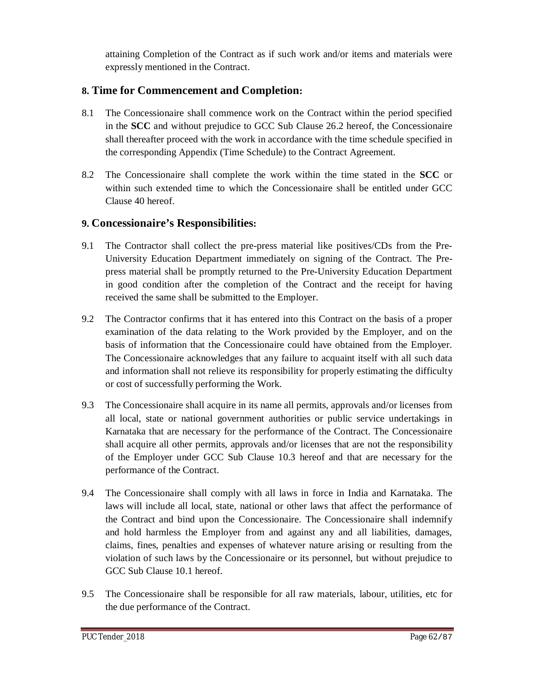attaining Completion of the Contract as if such work and/or items and materials were expressly mentioned in the Contract.

# **8. Time for Commencement and Completion:**

- 8.1 The Concessionaire shall commence work on the Contract within the period specified in the **SCC** and without prejudice to GCC Sub Clause 26.2 hereof, the Concessionaire shall thereafter proceed with the work in accordance with the time schedule specified in the corresponding Appendix (Time Schedule) to the Contract Agreement.
- 8.2 The Concessionaire shall complete the work within the time stated in the **SCC** or within such extended time to which the Concessionaire shall be entitled under GCC Clause 40 hereof.

## **9. Concessionaire's Responsibilities:**

- 9.1 The Contractor shall collect the pre-press material like positives/CDs from the Pre-University Education Department immediately on signing of the Contract. The Prepress material shall be promptly returned to the Pre-University Education Department in good condition after the completion of the Contract and the receipt for having received the same shall be submitted to the Employer.
- 9.2 The Contractor confirms that it has entered into this Contract on the basis of a proper examination of the data relating to the Work provided by the Employer, and on the basis of information that the Concessionaire could have obtained from the Employer. The Concessionaire acknowledges that any failure to acquaint itself with all such data and information shall not relieve its responsibility for properly estimating the difficulty or cost of successfully performing the Work.
- 9.3 The Concessionaire shall acquire in its name all permits, approvals and/or licenses from all local, state or national government authorities or public service undertakings in Karnataka that are necessary for the performance of the Contract. The Concessionaire shall acquire all other permits, approvals and/or licenses that are not the responsibility of the Employer under GCC Sub Clause 10.3 hereof and that are necessary for the performance of the Contract.
- 9.4 The Concessionaire shall comply with all laws in force in India and Karnataka. The laws will include all local, state, national or other laws that affect the performance of the Contract and bind upon the Concessionaire. The Concessionaire shall indemnify and hold harmless the Employer from and against any and all liabilities, damages, claims, fines, penalties and expenses of whatever nature arising or resulting from the violation of such laws by the Concessionaire or its personnel, but without prejudice to GCC Sub Clause 10.1 hereof.
- 9.5 The Concessionaire shall be responsible for all raw materials, labour, utilities, etc for the due performance of the Contract.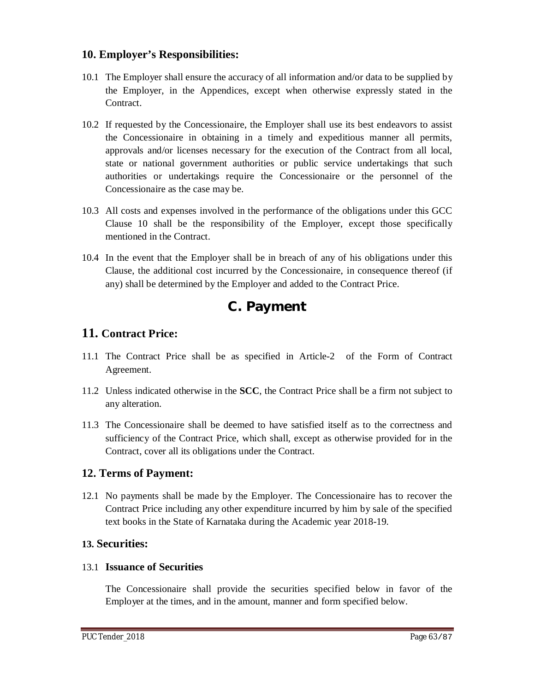#### **10. Employer's Responsibilities:**

- 10.1 The Employer shall ensure the accuracy of all information and/or data to be supplied by the Employer, in the Appendices, except when otherwise expressly stated in the Contract.
- 10.2 If requested by the Concessionaire, the Employer shall use its best endeavors to assist the Concessionaire in obtaining in a timely and expeditious manner all permits, approvals and/or licenses necessary for the execution of the Contract from all local, state or national government authorities or public service undertakings that such authorities or undertakings require the Concessionaire or the personnel of the Concessionaire as the case may be.
- 10.3 All costs and expenses involved in the performance of the obligations under this GCC Clause 10 shall be the responsibility of the Employer, except those specifically mentioned in the Contract.
- 10.4 In the event that the Employer shall be in breach of any of his obligations under this Clause, the additional cost incurred by the Concessionaire, in consequence thereof (if any) shall be determined by the Employer and added to the Contract Price.

# **C. Payment**

# **11. Contract Price:**

- 11.1 The Contract Price shall be as specified in Article-2 of the Form of Contract Agreement.
- 11.2 Unless indicated otherwise in the **SCC**, the Contract Price shall be a firm not subject to any alteration.
- 11.3 The Concessionaire shall be deemed to have satisfied itself as to the correctness and sufficiency of the Contract Price, which shall, except as otherwise provided for in the Contract, cover all its obligations under the Contract.

### **12. Terms of Payment:**

12.1 No payments shall be made by the Employer. The Concessionaire has to recover the Contract Price including any other expenditure incurred by him by sale of the specified text books in the State of Karnataka during the Academic year 2018-19.

### **13. Securities:**

#### 13.1 **Issuance of Securities**

The Concessionaire shall provide the securities specified below in favor of the Employer at the times, and in the amount, manner and form specified below.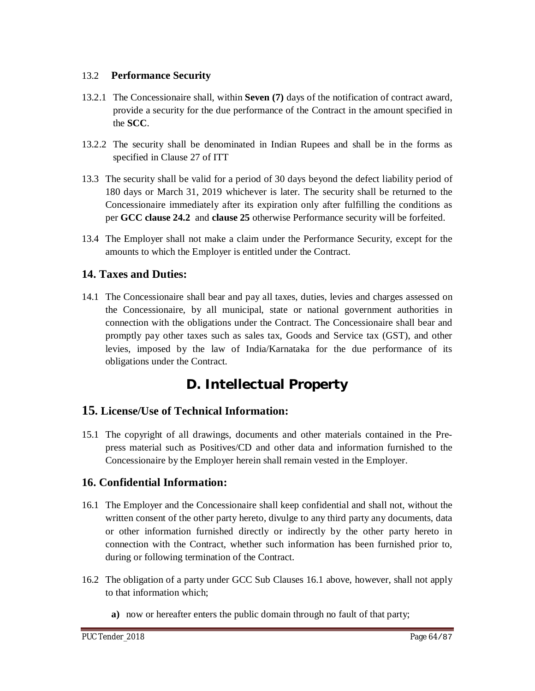#### 13.2 **Performance Security**

- 13.2.1 The Concessionaire shall, within **Seven (7)** days of the notification of contract award, provide a security for the due performance of the Contract in the amount specified in the **SCC**.
- 13.2.2 The security shall be denominated in Indian Rupees and shall be in the forms as specified in Clause 27 of ITT
- 13.3 The security shall be valid for a period of 30 days beyond the defect liability period of 180 days or March 31, 2019 whichever is later. The security shall be returned to the Concessionaire immediately after its expiration only after fulfilling the conditions as per **GCC clause 24.2** and **clause 25** otherwise Performance security will be forfeited.
- 13.4 The Employer shall not make a claim under the Performance Security, except for the amounts to which the Employer is entitled under the Contract.

### **14. Taxes and Duties:**

14.1 The Concessionaire shall bear and pay all taxes, duties, levies and charges assessed on the Concessionaire, by all municipal, state or national government authorities in connection with the obligations under the Contract. The Concessionaire shall bear and promptly pay other taxes such as sales tax, Goods and Service tax (GST), and other levies, imposed by the law of India/Karnataka for the due performance of its obligations under the Contract.

# **D. Intellectual Property**

### **15. License/Use of Technical Information:**

15.1 The copyright of all drawings, documents and other materials contained in the Prepress material such as Positives/CD and other data and information furnished to the Concessionaire by the Employer herein shall remain vested in the Employer.

### **16. Confidential Information:**

- 16.1 The Employer and the Concessionaire shall keep confidential and shall not, without the written consent of the other party hereto, divulge to any third party any documents, data or other information furnished directly or indirectly by the other party hereto in connection with the Contract, whether such information has been furnished prior to, during or following termination of the Contract.
- 16.2 The obligation of a party under GCC Sub Clauses 16.1 above, however, shall not apply to that information which;
	- **a)** now or hereafter enters the public domain through no fault of that party;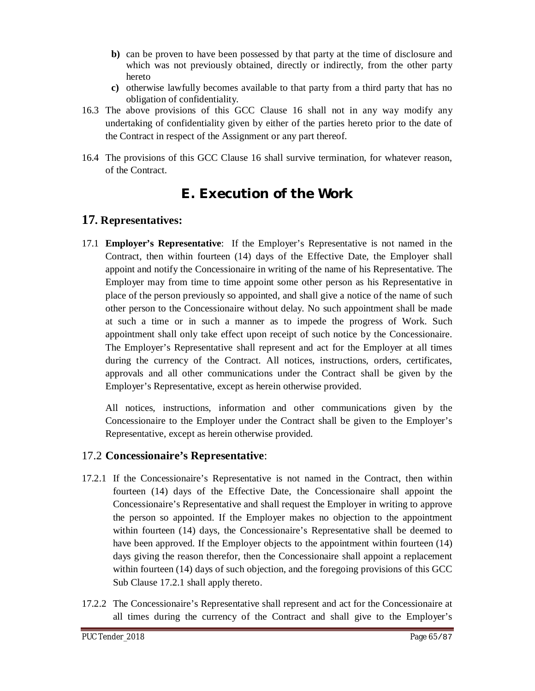- **b)** can be proven to have been possessed by that party at the time of disclosure and which was not previously obtained, directly or indirectly, from the other party hereto
- **c)** otherwise lawfully becomes available to that party from a third party that has no obligation of confidentiality.
- 16.3 The above provisions of this GCC Clause 16 shall not in any way modify any undertaking of confidentiality given by either of the parties hereto prior to the date of the Contract in respect of the Assignment or any part thereof.
- 16.4 The provisions of this GCC Clause 16 shall survive termination, for whatever reason, of the Contract.

# **E. Execution of the Work**

# **17. Representatives:**

17.1 **Employer's Representative**: If the Employer's Representative is not named in the Contract, then within fourteen (14) days of the Effective Date, the Employer shall appoint and notify the Concessionaire in writing of the name of his Representative. The Employer may from time to time appoint some other person as his Representative in place of the person previously so appointed, and shall give a notice of the name of such other person to the Concessionaire without delay. No such appointment shall be made at such a time or in such a manner as to impede the progress of Work. Such appointment shall only take effect upon receipt of such notice by the Concessionaire. The Employer's Representative shall represent and act for the Employer at all times during the currency of the Contract. All notices, instructions, orders, certificates, approvals and all other communications under the Contract shall be given by the Employer's Representative, except as herein otherwise provided.

All notices, instructions, information and other communications given by the Concessionaire to the Employer under the Contract shall be given to the Employer's Representative, except as herein otherwise provided.

### 17.2 **Concessionaire's Representative**:

- 17.2.1 If the Concessionaire's Representative is not named in the Contract, then within fourteen (14) days of the Effective Date, the Concessionaire shall appoint the Concessionaire's Representative and shall request the Employer in writing to approve the person so appointed. If the Employer makes no objection to the appointment within fourteen (14) days, the Concessionaire's Representative shall be deemed to have been approved. If the Employer objects to the appointment within fourteen (14) days giving the reason therefor, then the Concessionaire shall appoint a replacement within fourteen (14) days of such objection, and the foregoing provisions of this GCC Sub Clause 17.2.1 shall apply thereto.
- 17.2.2 The Concessionaire's Representative shall represent and act for the Concessionaire at all times during the currency of the Contract and shall give to the Employer's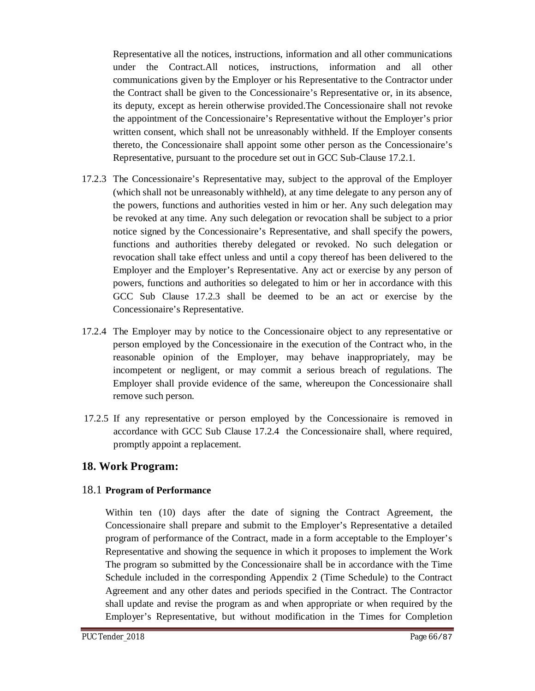Representative all the notices, instructions, information and all other communications under the Contract.All notices, instructions, information and all other communications given by the Employer or his Representative to the Contractor under the Contract shall be given to the Concessionaire's Representative or, in its absence, its deputy, except as herein otherwise provided.The Concessionaire shall not revoke the appointment of the Concessionaire's Representative without the Employer's prior written consent, which shall not be unreasonably withheld. If the Employer consents thereto, the Concessionaire shall appoint some other person as the Concessionaire's Representative, pursuant to the procedure set out in GCC Sub-Clause 17.2.1.

- 17.2.3 The Concessionaire's Representative may, subject to the approval of the Employer (which shall not be unreasonably withheld), at any time delegate to any person any of the powers, functions and authorities vested in him or her. Any such delegation may be revoked at any time. Any such delegation or revocation shall be subject to a prior notice signed by the Concessionaire's Representative, and shall specify the powers, functions and authorities thereby delegated or revoked. No such delegation or revocation shall take effect unless and until a copy thereof has been delivered to the Employer and the Employer's Representative. Any act or exercise by any person of powers, functions and authorities so delegated to him or her in accordance with this GCC Sub Clause 17.2.3 shall be deemed to be an act or exercise by the Concessionaire's Representative.
- 17.2.4 The Employer may by notice to the Concessionaire object to any representative or person employed by the Concessionaire in the execution of the Contract who, in the reasonable opinion of the Employer, may behave inappropriately, may be incompetent or negligent, or may commit a serious breach of regulations. The Employer shall provide evidence of the same, whereupon the Concessionaire shall remove such person.
- 17.2.5 If any representative or person employed by the Concessionaire is removed in accordance with GCC Sub Clause 17.2.4 the Concessionaire shall, where required, promptly appoint a replacement.

### **18. Work Program:**

#### 18.1 **Program of Performance**

Within ten (10) days after the date of signing the Contract Agreement, the Concessionaire shall prepare and submit to the Employer's Representative a detailed program of performance of the Contract, made in a form acceptable to the Employer's Representative and showing the sequence in which it proposes to implement the Work The program so submitted by the Concessionaire shall be in accordance with the Time Schedule included in the corresponding Appendix 2 (Time Schedule) to the Contract Agreement and any other dates and periods specified in the Contract. The Contractor shall update and revise the program as and when appropriate or when required by the Employer's Representative, but without modification in the Times for Completion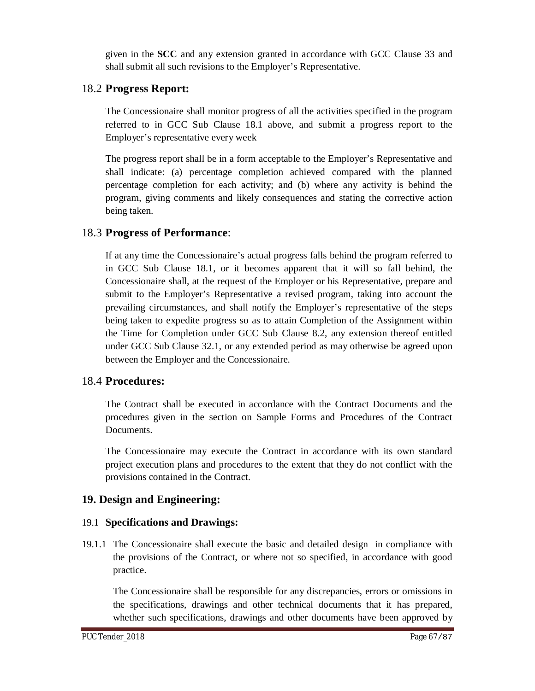given in the **SCC** and any extension granted in accordance with GCC Clause 33 and shall submit all such revisions to the Employer's Representative.

## 18.2 **Progress Report:**

The Concessionaire shall monitor progress of all the activities specified in the program referred to in GCC Sub Clause 18.1 above, and submit a progress report to the Employer's representative every week

The progress report shall be in a form acceptable to the Employer's Representative and shall indicate: (a) percentage completion achieved compared with the planned percentage completion for each activity; and (b) where any activity is behind the program, giving comments and likely consequences and stating the corrective action being taken.

## 18.3 **Progress of Performance**:

If at any time the Concessionaire's actual progress falls behind the program referred to in GCC Sub Clause 18.1, or it becomes apparent that it will so fall behind, the Concessionaire shall, at the request of the Employer or his Representative, prepare and submit to the Employer's Representative a revised program, taking into account the prevailing circumstances, and shall notify the Employer's representative of the steps being taken to expedite progress so as to attain Completion of the Assignment within the Time for Completion under GCC Sub Clause 8.2, any extension thereof entitled under GCC Sub Clause 32.1, or any extended period as may otherwise be agreed upon between the Employer and the Concessionaire.

### 18.4 **Procedures:**

The Contract shall be executed in accordance with the Contract Documents and the procedures given in the section on Sample Forms and Procedures of the Contract Documents.

The Concessionaire may execute the Contract in accordance with its own standard project execution plans and procedures to the extent that they do not conflict with the provisions contained in the Contract.

# **19. Design and Engineering:**

### 19.1 **Specifications and Drawings:**

19.1.1 The Concessionaire shall execute the basic and detailed design in compliance with the provisions of the Contract, or where not so specified, in accordance with good practice.

The Concessionaire shall be responsible for any discrepancies, errors or omissions in the specifications, drawings and other technical documents that it has prepared, whether such specifications, drawings and other documents have been approved by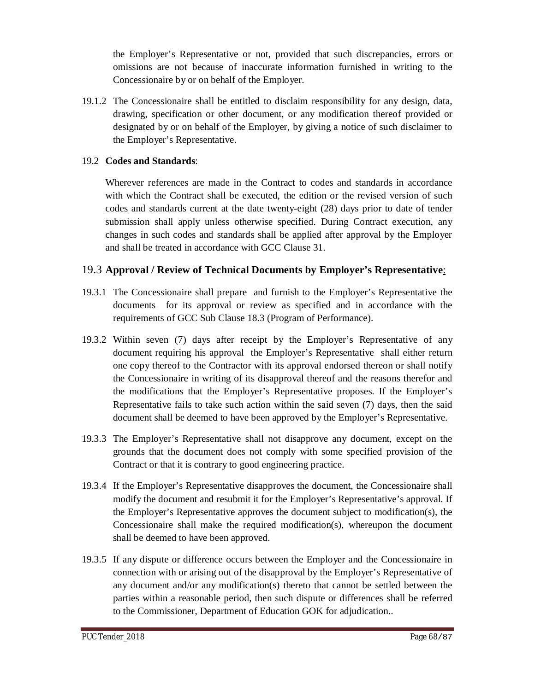the Employer's Representative or not, provided that such discrepancies, errors or omissions are not because of inaccurate information furnished in writing to the Concessionaire by or on behalf of the Employer.

19.1.2 The Concessionaire shall be entitled to disclaim responsibility for any design, data, drawing, specification or other document, or any modification thereof provided or designated by or on behalf of the Employer, by giving a notice of such disclaimer to the Employer's Representative.

#### 19.2 **Codes and Standards**:

Wherever references are made in the Contract to codes and standards in accordance with which the Contract shall be executed, the edition or the revised version of such codes and standards current at the date twenty-eight (28) days prior to date of tender submission shall apply unless otherwise specified. During Contract execution, any changes in such codes and standards shall be applied after approval by the Employer and shall be treated in accordance with GCC Clause 31.

#### 19.3 **Approval / Review of Technical Documents by Employer's Representative**:

- 19.3.1 The Concessionaire shall prepare and furnish to the Employer's Representative the documents for its approval or review as specified and in accordance with the requirements of GCC Sub Clause 18.3 (Program of Performance).
- 19.3.2 Within seven (7) days after receipt by the Employer's Representative of any document requiring his approval the Employer's Representative shall either return one copy thereof to the Contractor with its approval endorsed thereon or shall notify the Concessionaire in writing of its disapproval thereof and the reasons therefor and the modifications that the Employer's Representative proposes. If the Employer's Representative fails to take such action within the said seven (7) days, then the said document shall be deemed to have been approved by the Employer's Representative.
- 19.3.3 The Employer's Representative shall not disapprove any document, except on the grounds that the document does not comply with some specified provision of the Contract or that it is contrary to good engineering practice.
- 19.3.4 If the Employer's Representative disapproves the document, the Concessionaire shall modify the document and resubmit it for the Employer's Representative's approval. If the Employer's Representative approves the document subject to modification(s), the Concessionaire shall make the required modification(s), whereupon the document shall be deemed to have been approved.
- 19.3.5 If any dispute or difference occurs between the Employer and the Concessionaire in connection with or arising out of the disapproval by the Employer's Representative of any document and/or any modification(s) thereto that cannot be settled between the parties within a reasonable period, then such dispute or differences shall be referred to the Commissioner, Department of Education GOK for adjudication..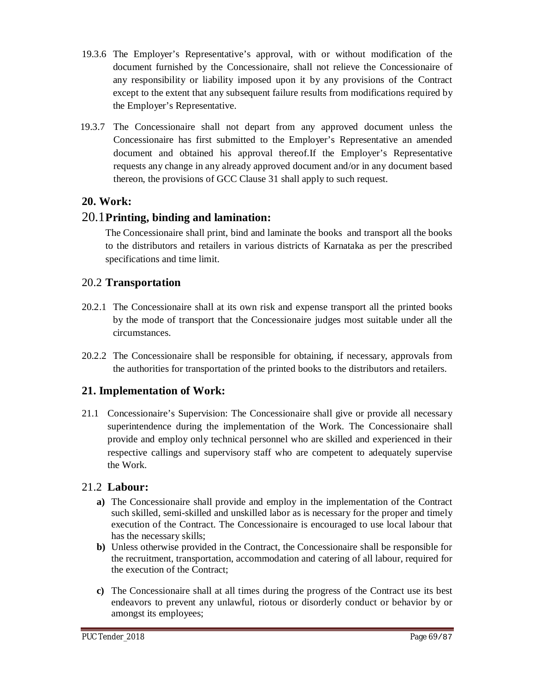- 19.3.6 The Employer's Representative's approval, with or without modification of the document furnished by the Concessionaire, shall not relieve the Concessionaire of any responsibility or liability imposed upon it by any provisions of the Contract except to the extent that any subsequent failure results from modifications required by the Employer's Representative.
- 19.3.7 The Concessionaire shall not depart from any approved document unless the Concessionaire has first submitted to the Employer's Representative an amended document and obtained his approval thereof.If the Employer's Representative requests any change in any already approved document and/or in any document based thereon, the provisions of GCC Clause 31 shall apply to such request.

## **20. Work:**

### 20.1**Printing, binding and lamination:**

The Concessionaire shall print, bind and laminate the books and transport all the books to the distributors and retailers in various districts of Karnataka as per the prescribed specifications and time limit.

## 20.2 **Transportation**

- 20.2.1 The Concessionaire shall at its own risk and expense transport all the printed books by the mode of transport that the Concessionaire judges most suitable under all the circumstances.
- 20.2.2 The Concessionaire shall be responsible for obtaining, if necessary, approvals from the authorities for transportation of the printed books to the distributors and retailers.

# **21. Implementation of Work:**

21.1 Concessionaire's Supervision: The Concessionaire shall give or provide all necessary superintendence during the implementation of the Work. The Concessionaire shall provide and employ only technical personnel who are skilled and experienced in their respective callings and supervisory staff who are competent to adequately supervise the Work.

### 21.2 **Labour:**

- **a)** The Concessionaire shall provide and employ in the implementation of the Contract such skilled, semi-skilled and unskilled labor as is necessary for the proper and timely execution of the Contract. The Concessionaire is encouraged to use local labour that has the necessary skills;
- **b)** Unless otherwise provided in the Contract, the Concessionaire shall be responsible for the recruitment, transportation, accommodation and catering of all labour, required for the execution of the Contract;
- **c)** The Concessionaire shall at all times during the progress of the Contract use its best endeavors to prevent any unlawful, riotous or disorderly conduct or behavior by or amongst its employees;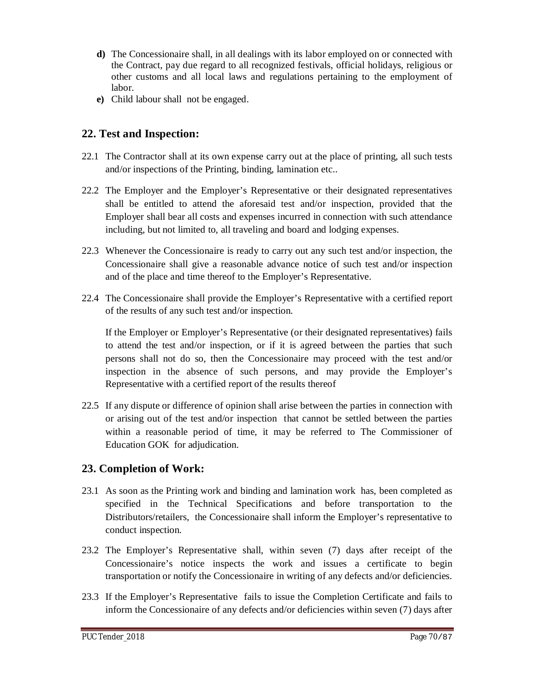- **d)** The Concessionaire shall, in all dealings with its labor employed on or connected with the Contract, pay due regard to all recognized festivals, official holidays, religious or other customs and all local laws and regulations pertaining to the employment of labor.
- **e)** Child labour shall not be engaged.

# **22. Test and Inspection:**

- 22.1 The Contractor shall at its own expense carry out at the place of printing, all such tests and/or inspections of the Printing, binding, lamination etc..
- 22.2 The Employer and the Employer's Representative or their designated representatives shall be entitled to attend the aforesaid test and/or inspection, provided that the Employer shall bear all costs and expenses incurred in connection with such attendance including, but not limited to, all traveling and board and lodging expenses.
- 22.3 Whenever the Concessionaire is ready to carry out any such test and/or inspection, the Concessionaire shall give a reasonable advance notice of such test and/or inspection and of the place and time thereof to the Employer's Representative.
- 22.4 The Concessionaire shall provide the Employer's Representative with a certified report of the results of any such test and/or inspection.

If the Employer or Employer's Representative (or their designated representatives) fails to attend the test and/or inspection, or if it is agreed between the parties that such persons shall not do so, then the Concessionaire may proceed with the test and/or inspection in the absence of such persons, and may provide the Employer's Representative with a certified report of the results thereof

22.5 If any dispute or difference of opinion shall arise between the parties in connection with or arising out of the test and/or inspection that cannot be settled between the parties within a reasonable period of time, it may be referred to The Commissioner of Education GOK for adjudication.

### **23. Completion of Work:**

- 23.1 As soon as the Printing work and binding and lamination work has, been completed as specified in the Technical Specifications and before transportation to the Distributors/retailers, the Concessionaire shall inform the Employer's representative to conduct inspection.
- 23.2 The Employer's Representative shall, within seven (7) days after receipt of the Concessionaire's notice inspects the work and issues a certificate to begin transportation or notify the Concessionaire in writing of any defects and/or deficiencies.
- 23.3 If the Employer's Representative fails to issue the Completion Certificate and fails to inform the Concessionaire of any defects and/or deficiencies within seven (7) days after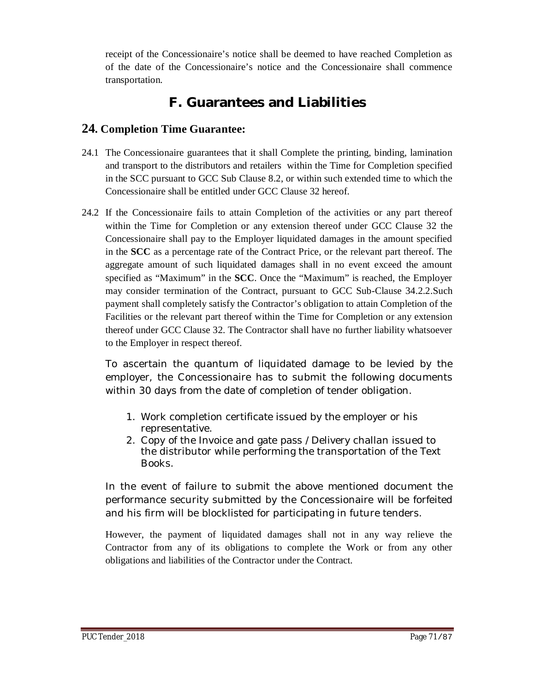receipt of the Concessionaire's notice shall be deemed to have reached Completion as of the date of the Concessionaire's notice and the Concessionaire shall commence transportation.

# **F. Guarantees and Liabilities**

# **24. Completion Time Guarantee:**

- 24.1 The Concessionaire guarantees that it shall Complete the printing, binding, lamination and transport to the distributors and retailers within the Time for Completion specified in the SCC pursuant to GCC Sub Clause 8.2, or within such extended time to which the Concessionaire shall be entitled under GCC Clause 32 hereof.
- 24.2 If the Concessionaire fails to attain Completion of the activities or any part thereof within the Time for Completion or any extension thereof under GCC Clause 32 the Concessionaire shall pay to the Employer liquidated damages in the amount specified in the **SCC** as a percentage rate of the Contract Price, or the relevant part thereof. The aggregate amount of such liquidated damages shall in no event exceed the amount specified as "Maximum" in the **SCC**. Once the "Maximum" is reached, the Employer may consider termination of the Contract, pursuant to GCC Sub-Clause 34.2.2.Such payment shall completely satisfy the Contractor's obligation to attain Completion of the Facilities or the relevant part thereof within the Time for Completion or any extension thereof under GCC Clause 32. The Contractor shall have no further liability whatsoever to the Employer in respect thereof.

To ascertain the quantum of liquidated damage to be levied by the employer, the Concessionaire has to submit the following documents within 30 days from the date of completion of tender obligation.

- 1. Work completion certificate issued by the employer or his representative.
- 2. Copy of the Invoice and gate pass /Delivery challan issued to the distributor while performing the transportation of the Text Books.

In the event of failure to submit the above mentioned document the performance security submitted by the Concessionaire will be forfeited and his firm will be blocklisted for participating in future tenders.

However, the payment of liquidated damages shall not in any way relieve the Contractor from any of its obligations to complete the Work or from any other obligations and liabilities of the Contractor under the Contract.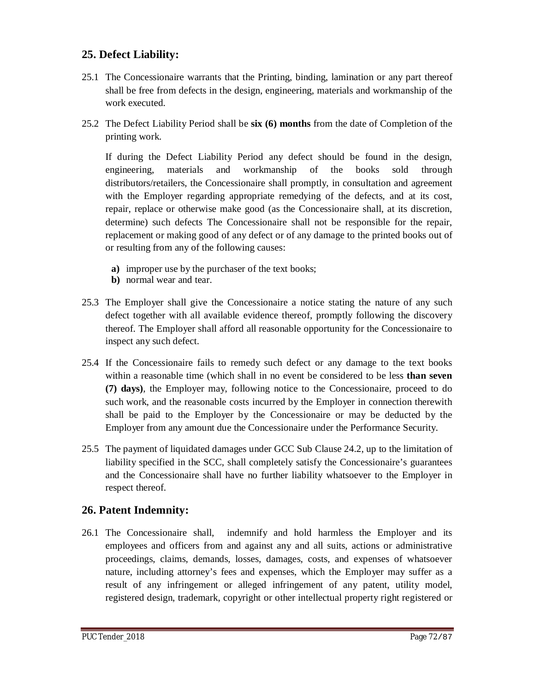## **25. Defect Liability:**

- 25.1 The Concessionaire warrants that the Printing, binding, lamination or any part thereof shall be free from defects in the design, engineering, materials and workmanship of the work executed.
- 25.2 The Defect Liability Period shall be **six (6) months** from the date of Completion of the printing work.

If during the Defect Liability Period any defect should be found in the design, engineering, materials and workmanship of the books sold through distributors/retailers, the Concessionaire shall promptly, in consultation and agreement with the Employer regarding appropriate remedying of the defects, and at its cost, repair, replace or otherwise make good (as the Concessionaire shall, at its discretion, determine) such defects The Concessionaire shall not be responsible for the repair, replacement or making good of any defect or of any damage to the printed books out of or resulting from any of the following causes:

- **a)** improper use by the purchaser of the text books;
- **b)** normal wear and tear.
- 25.3 The Employer shall give the Concessionaire a notice stating the nature of any such defect together with all available evidence thereof, promptly following the discovery thereof. The Employer shall afford all reasonable opportunity for the Concessionaire to inspect any such defect.
- 25.4 If the Concessionaire fails to remedy such defect or any damage to the text books within a reasonable time (which shall in no event be considered to be less **than seven (7) days)**, the Employer may, following notice to the Concessionaire, proceed to do such work, and the reasonable costs incurred by the Employer in connection therewith shall be paid to the Employer by the Concessionaire or may be deducted by the Employer from any amount due the Concessionaire under the Performance Security.
- 25.5 The payment of liquidated damages under GCC Sub Clause 24.2, up to the limitation of liability specified in the SCC, shall completely satisfy the Concessionaire's guarantees and the Concessionaire shall have no further liability whatsoever to the Employer in respect thereof.

### **26. Patent Indemnity:**

26.1 The Concessionaire shall, indemnify and hold harmless the Employer and its employees and officers from and against any and all suits, actions or administrative proceedings, claims, demands, losses, damages, costs, and expenses of whatsoever nature, including attorney's fees and expenses, which the Employer may suffer as a result of any infringement or alleged infringement of any patent, utility model, registered design, trademark, copyright or other intellectual property right registered or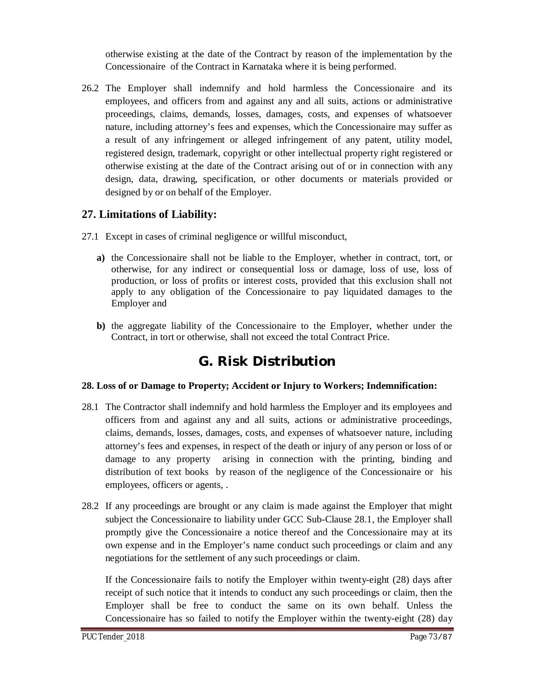otherwise existing at the date of the Contract by reason of the implementation by the Concessionaire of the Contract in Karnataka where it is being performed.

26.2 The Employer shall indemnify and hold harmless the Concessionaire and its employees, and officers from and against any and all suits, actions or administrative proceedings, claims, demands, losses, damages, costs, and expenses of whatsoever nature, including attorney's fees and expenses, which the Concessionaire may suffer as a result of any infringement or alleged infringement of any patent, utility model, registered design, trademark, copyright or other intellectual property right registered or otherwise existing at the date of the Contract arising out of or in connection with any design, data, drawing, specification, or other documents or materials provided or designed by or on behalf of the Employer.

## **27. Limitations of Liability:**

- 27.1 Except in cases of criminal negligence or willful misconduct,
	- **a)** the Concessionaire shall not be liable to the Employer, whether in contract, tort, or otherwise, for any indirect or consequential loss or damage, loss of use, loss of production, or loss of profits or interest costs, provided that this exclusion shall not apply to any obligation of the Concessionaire to pay liquidated damages to the Employer and
	- **b)** the aggregate liability of the Concessionaire to the Employer, whether under the Contract, in tort or otherwise, shall not exceed the total Contract Price.

## **G. Risk Distribution**

#### **28. Loss of or Damage to Property; Accident or Injury to Workers; Indemnification:**

- 28.1 The Contractor shall indemnify and hold harmless the Employer and its employees and officers from and against any and all suits, actions or administrative proceedings, claims, demands, losses, damages, costs, and expenses of whatsoever nature, including attorney's fees and expenses, in respect of the death or injury of any person or loss of or damage to any property arising in connection with the printing, binding and distribution of text books by reason of the negligence of the Concessionaire or his employees, officers or agents, .
- 28.2 If any proceedings are brought or any claim is made against the Employer that might subject the Concessionaire to liability under GCC Sub-Clause 28.1, the Employer shall promptly give the Concessionaire a notice thereof and the Concessionaire may at its own expense and in the Employer's name conduct such proceedings or claim and any negotiations for the settlement of any such proceedings or claim.

If the Concessionaire fails to notify the Employer within twenty-eight (28) days after receipt of such notice that it intends to conduct any such proceedings or claim, then the Employer shall be free to conduct the same on its own behalf. Unless the Concessionaire has so failed to notify the Employer within the twenty-eight (28) day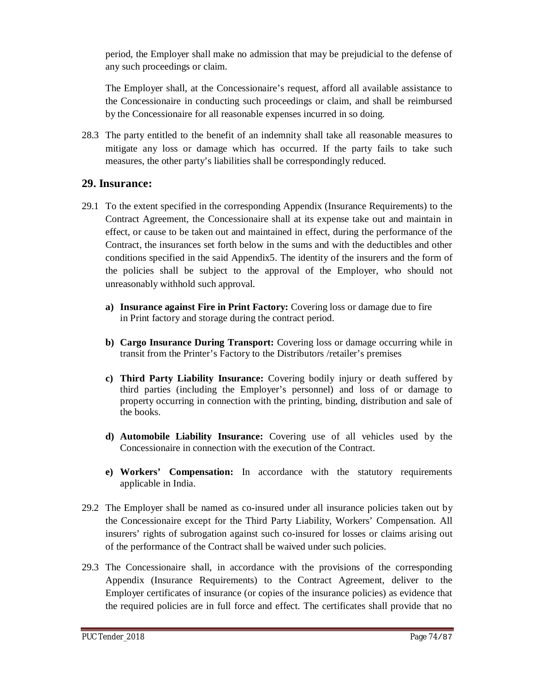period, the Employer shall make no admission that may be prejudicial to the defense of any such proceedings or claim.

The Employer shall, at the Concessionaire's request, afford all available assistance to the Concessionaire in conducting such proceedings or claim, and shall be reimbursed by the Concessionaire for all reasonable expenses incurred in so doing.

28.3 The party entitled to the benefit of an indemnity shall take all reasonable measures to mitigate any loss or damage which has occurred. If the party fails to take such measures, the other party's liabilities shall be correspondingly reduced.

#### **29. Insurance:**

- 29.1 To the extent specified in the corresponding Appendix (Insurance Requirements) to the Contract Agreement, the Concessionaire shall at its expense take out and maintain in effect, or cause to be taken out and maintained in effect, during the performance of the Contract, the insurances set forth below in the sums and with the deductibles and other conditions specified in the said Appendix5. The identity of the insurers and the form of the policies shall be subject to the approval of the Employer, who should not unreasonably withhold such approval.
	- **a) Insurance against Fire in Print Factory:** Covering loss or damage due to fire in Print factory and storage during the contract period.
	- **b) Cargo Insurance During Transport:** Covering loss or damage occurring while in transit from the Printer's Factory to the Distributors /retailer's premises
	- **c) Third Party Liability Insurance:** Covering bodily injury or death suffered by third parties (including the Employer's personnel) and loss of or damage to property occurring in connection with the printing, binding, distribution and sale of the books.
	- **d) Automobile Liability Insurance:** Covering use of all vehicles used by the Concessionaire in connection with the execution of the Contract.
	- **e) Workers' Compensation:** In accordance with the statutory requirements applicable in India.
- 29.2 The Employer shall be named as co-insured under all insurance policies taken out by the Concessionaire except for the Third Party Liability, Workers' Compensation. All insurers' rights of subrogation against such co-insured for losses or claims arising out of the performance of the Contract shall be waived under such policies.
- 29.3 The Concessionaire shall, in accordance with the provisions of the corresponding Appendix (Insurance Requirements) to the Contract Agreement, deliver to the Employer certificates of insurance (or copies of the insurance policies) as evidence that the required policies are in full force and effect. The certificates shall provide that no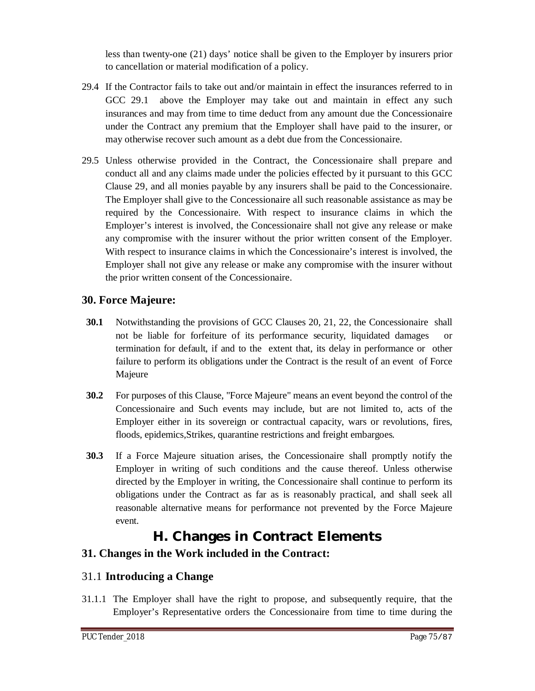less than twenty-one (21) days' notice shall be given to the Employer by insurers prior to cancellation or material modification of a policy.

- 29.4 If the Contractor fails to take out and/or maintain in effect the insurances referred to in GCC 29.1 above the Employer may take out and maintain in effect any such insurances and may from time to time deduct from any amount due the Concessionaire under the Contract any premium that the Employer shall have paid to the insurer, or may otherwise recover such amount as a debt due from the Concessionaire.
- 29.5 Unless otherwise provided in the Contract, the Concessionaire shall prepare and conduct all and any claims made under the policies effected by it pursuant to this GCC Clause 29, and all monies payable by any insurers shall be paid to the Concessionaire. The Employer shall give to the Concessionaire all such reasonable assistance as may be required by the Concessionaire. With respect to insurance claims in which the Employer's interest is involved, the Concessionaire shall not give any release or make any compromise with the insurer without the prior written consent of the Employer. With respect to insurance claims in which the Concessionaire's interest is involved, the Employer shall not give any release or make any compromise with the insurer without the prior written consent of the Concessionaire.

## **30. Force Majeure:**

- **30.1** Notwithstanding the provisions of GCC Clauses 20, 21, 22, the Concessionaire shall not be liable for forfeiture of its performance security, liquidated damages or termination for default, if and to the extent that, its delay in performance or other failure to perform its obligations under the Contract is the result of an event of Force Majeure
- **30.2** For purposes of this Clause, "Force Majeure" means an event beyond the control of the Concessionaire and Such events may include, but are not limited to, acts of the Employer either in its sovereign or contractual capacity, wars or revolutions, fires, floods, epidemics,Strikes, quarantine restrictions and freight embargoes.
- **30.3** If a Force Majeure situation arises, the Concessionaire shall promptly notify the Employer in writing of such conditions and the cause thereof. Unless otherwise directed by the Employer in writing, the Concessionaire shall continue to perform its obligations under the Contract as far as is reasonably practical, and shall seek all reasonable alternative means for performance not prevented by the Force Majeure event.

## **H. Changes in Contract Elements**

## **31. Changes in the Work included in the Contract:**

## 31.1 **Introducing a Change**

31.1.1 The Employer shall have the right to propose, and subsequently require, that the Employer's Representative orders the Concessionaire from time to time during the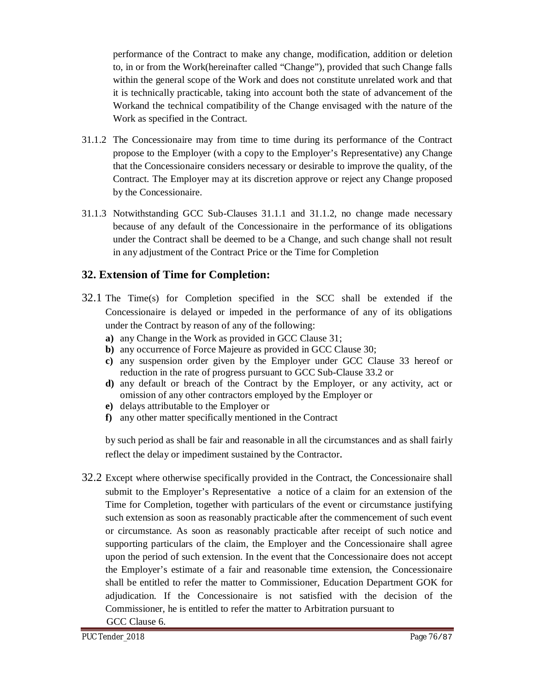performance of the Contract to make any change, modification, addition or deletion to, in or from the Work(hereinafter called "Change"), provided that such Change falls within the general scope of the Work and does not constitute unrelated work and that it is technically practicable, taking into account both the state of advancement of the Workand the technical compatibility of the Change envisaged with the nature of the Work as specified in the Contract.

- 31.1.2 The Concessionaire may from time to time during its performance of the Contract propose to the Employer (with a copy to the Employer's Representative) any Change that the Concessionaire considers necessary or desirable to improve the quality, of the Contract. The Employer may at its discretion approve or reject any Change proposed by the Concessionaire.
- 31.1.3 Notwithstanding GCC Sub-Clauses 31.1.1 and 31.1.2, no change made necessary because of any default of the Concessionaire in the performance of its obligations under the Contract shall be deemed to be a Change, and such change shall not result in any adjustment of the Contract Price or the Time for Completion

### **32. Extension of Time for Completion:**

- 32.1 The Time(s) for Completion specified in the SCC shall be extended if the Concessionaire is delayed or impeded in the performance of any of its obligations under the Contract by reason of any of the following:
	- **a)** any Change in the Work as provided in GCC Clause 31;
	- **b)** any occurrence of Force Majeure as provided in GCC Clause 30;
	- **c)** any suspension order given by the Employer under GCC Clause 33 hereof or reduction in the rate of progress pursuant to GCC Sub-Clause 33.2 or
	- **d)** any default or breach of the Contract by the Employer, or any activity, act or omission of any other contractors employed by the Employer or
	- **e)** delays attributable to the Employer or
	- **f)** any other matter specifically mentioned in the Contract

by such period as shall be fair and reasonable in all the circumstances and as shall fairly reflect the delay or impediment sustained by the Contractor.

32.2 Except where otherwise specifically provided in the Contract, the Concessionaire shall submit to the Employer's Representative a notice of a claim for an extension of the Time for Completion, together with particulars of the event or circumstance justifying such extension as soon as reasonably practicable after the commencement of such event or circumstance. As soon as reasonably practicable after receipt of such notice and supporting particulars of the claim, the Employer and the Concessionaire shall agree upon the period of such extension. In the event that the Concessionaire does not accept the Employer's estimate of a fair and reasonable time extension, the Concessionaire shall be entitled to refer the matter to Commissioner, Education Department GOK for adjudication. If the Concessionaire is not satisfied with the decision of the Commissioner, he is entitled to refer the matter to Arbitration pursuant to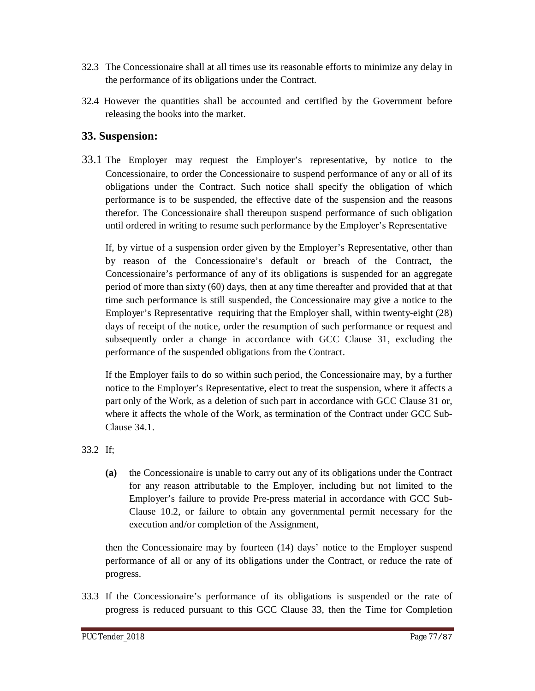- 32.3 The Concessionaire shall at all times use its reasonable efforts to minimize any delay in the performance of its obligations under the Contract.
- 32.4 However the quantities shall be accounted and certified by the Government before releasing the books into the market.

#### **33. Suspension:**

33.1 The Employer may request the Employer's representative, by notice to the Concessionaire, to order the Concessionaire to suspend performance of any or all of its obligations under the Contract. Such notice shall specify the obligation of which performance is to be suspended, the effective date of the suspension and the reasons therefor. The Concessionaire shall thereupon suspend performance of such obligation until ordered in writing to resume such performance by the Employer's Representative

If, by virtue of a suspension order given by the Employer's Representative, other than by reason of the Concessionaire's default or breach of the Contract, the Concessionaire's performance of any of its obligations is suspended for an aggregate period of more than sixty (60) days, then at any time thereafter and provided that at that time such performance is still suspended, the Concessionaire may give a notice to the Employer's Representative requiring that the Employer shall, within twenty-eight (28) days of receipt of the notice, order the resumption of such performance or request and subsequently order a change in accordance with GCC Clause 31, excluding the performance of the suspended obligations from the Contract.

If the Employer fails to do so within such period, the Concessionaire may, by a further notice to the Employer's Representative, elect to treat the suspension, where it affects a part only of the Work, as a deletion of such part in accordance with GCC Clause 31 or, where it affects the whole of the Work, as termination of the Contract under GCC Sub-Clause 34.1.

#### 33.2 If;

**(a)** the Concessionaire is unable to carry out any of its obligations under the Contract for any reason attributable to the Employer, including but not limited to the Employer's failure to provide Pre-press material in accordance with GCC Sub-Clause 10.2, or failure to obtain any governmental permit necessary for the execution and/or completion of the Assignment,

then the Concessionaire may by fourteen (14) days' notice to the Employer suspend performance of all or any of its obligations under the Contract, or reduce the rate of progress.

33.3 If the Concessionaire's performance of its obligations is suspended or the rate of progress is reduced pursuant to this GCC Clause 33, then the Time for Completion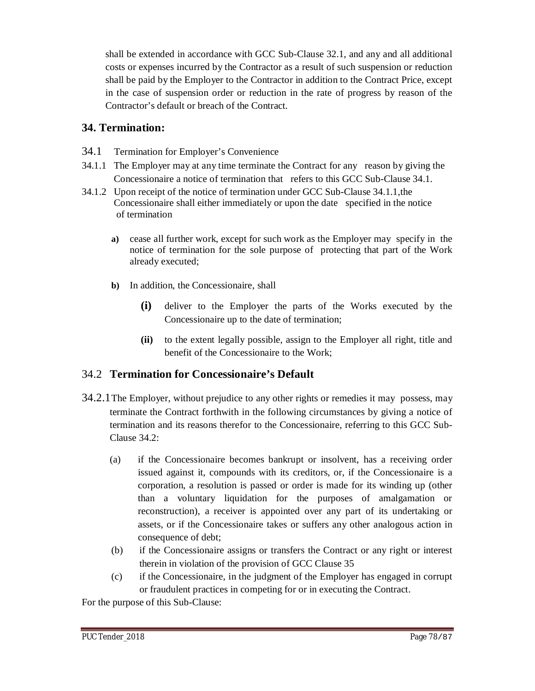shall be extended in accordance with GCC Sub-Clause 32.1, and any and all additional costs or expenses incurred by the Contractor as a result of such suspension or reduction shall be paid by the Employer to the Contractor in addition to the Contract Price, except in the case of suspension order or reduction in the rate of progress by reason of the Contractor's default or breach of the Contract.

## **34. Termination:**

- 34.1 Termination for Employer's Convenience
- 34.1.1 The Employer may at any time terminate the Contract for any reason by giving the Concessionaire a notice of termination that refers to this GCC Sub-Clause 34.1.
- 34.1.2 Upon receipt of the notice of termination under GCC Sub-Clause 34.1.1,the Concessionaire shall either immediately or upon the date specified in the notice of termination
	- **a)** cease all further work, except for such work as the Employer may specify in the notice of termination for the sole purpose of protecting that part of the Work already executed;
	- **b)** In addition, the Concessionaire, shall
		- **(i)** deliver to the Employer the parts of the Works executed by the Concessionaire up to the date of termination;
		- **(ii)** to the extent legally possible, assign to the Employer all right, title and benefit of the Concessionaire to the Work;

## 34.2 **Termination for Concessionaire's Default**

- 34.2.1The Employer, without prejudice to any other rights or remedies it may possess, may terminate the Contract forthwith in the following circumstances by giving a notice of termination and its reasons therefor to the Concessionaire, referring to this GCC Sub-Clause 34.2:
	- (a) if the Concessionaire becomes bankrupt or insolvent, has a receiving order issued against it, compounds with its creditors, or, if the Concessionaire is a corporation, a resolution is passed or order is made for its winding up (other than a voluntary liquidation for the purposes of amalgamation or reconstruction), a receiver is appointed over any part of its undertaking or assets, or if the Concessionaire takes or suffers any other analogous action in consequence of debt;
	- (b) if the Concessionaire assigns or transfers the Contract or any right or interest therein in violation of the provision of GCC Clause 35
	- (c) if the Concessionaire, in the judgment of the Employer has engaged in corrupt or fraudulent practices in competing for or in executing the Contract.

For the purpose of this Sub-Clause: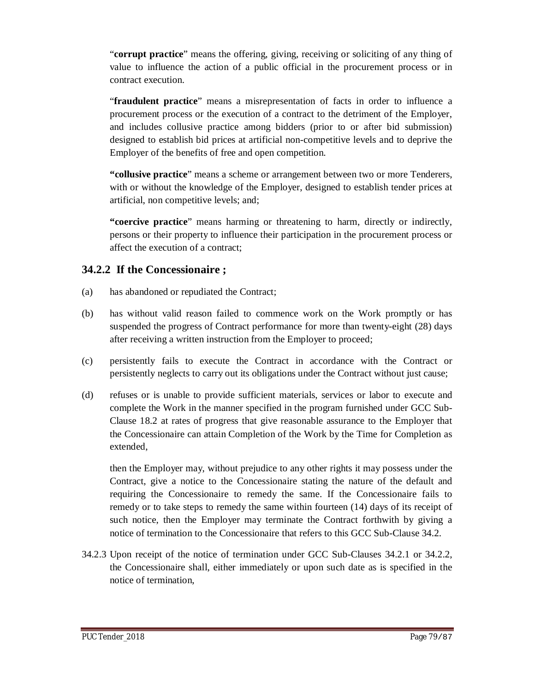"**corrupt practice**" means the offering, giving, receiving or soliciting of any thing of value to influence the action of a public official in the procurement process or in contract execution.

"**fraudulent practice**" means a misrepresentation of facts in order to influence a procurement process or the execution of a contract to the detriment of the Employer, and includes collusive practice among bidders (prior to or after bid submission) designed to establish bid prices at artificial non-competitive levels and to deprive the Employer of the benefits of free and open competition.

**"collusive practice**" means a scheme or arrangement between two or more Tenderers, with or without the knowledge of the Employer, designed to establish tender prices at artificial, non competitive levels; and;

**"coercive practice**" means harming or threatening to harm, directly or indirectly, persons or their property to influence their participation in the procurement process or affect the execution of a contract;

### **34.2.2 If the Concessionaire ;**

- (a) has abandoned or repudiated the Contract;
- (b) has without valid reason failed to commence work on the Work promptly or has suspended the progress of Contract performance for more than twenty-eight (28) days after receiving a written instruction from the Employer to proceed;
- (c) persistently fails to execute the Contract in accordance with the Contract or persistently neglects to carry out its obligations under the Contract without just cause;
- (d) refuses or is unable to provide sufficient materials, services or labor to execute and complete the Work in the manner specified in the program furnished under GCC Sub-Clause 18.2 at rates of progress that give reasonable assurance to the Employer that the Concessionaire can attain Completion of the Work by the Time for Completion as extended,

then the Employer may, without prejudice to any other rights it may possess under the Contract, give a notice to the Concessionaire stating the nature of the default and requiring the Concessionaire to remedy the same. If the Concessionaire fails to remedy or to take steps to remedy the same within fourteen (14) days of its receipt of such notice, then the Employer may terminate the Contract forthwith by giving a notice of termination to the Concessionaire that refers to this GCC Sub-Clause 34.2.

34.2.3 Upon receipt of the notice of termination under GCC Sub-Clauses 34.2.1 or 34.2.2, the Concessionaire shall, either immediately or upon such date as is specified in the notice of termination,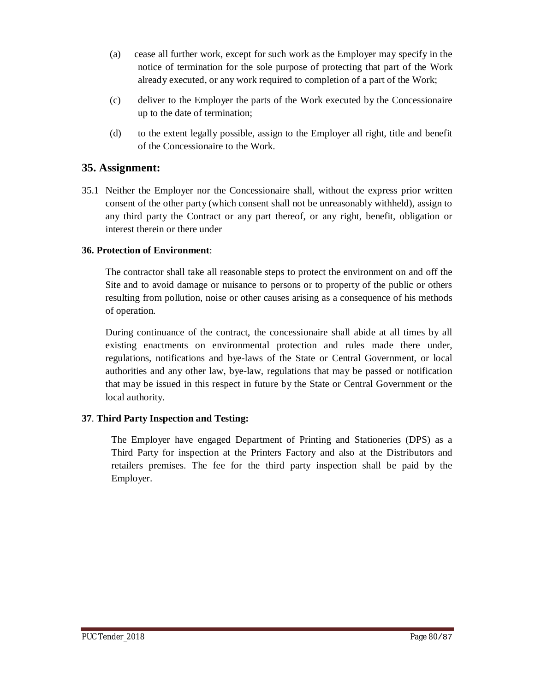- (a) cease all further work, except for such work as the Employer may specify in the notice of termination for the sole purpose of protecting that part of the Work already executed, or any work required to completion of a part of the Work;
- (c) deliver to the Employer the parts of the Work executed by the Concessionaire up to the date of termination;
- (d) to the extent legally possible, assign to the Employer all right, title and benefit of the Concessionaire to the Work.

#### **35. Assignment:**

35.1 Neither the Employer nor the Concessionaire shall, without the express prior written consent of the other party (which consent shall not be unreasonably withheld), assign to any third party the Contract or any part thereof, or any right, benefit, obligation or interest therein or there under

#### **36. Protection of Environment**:

The contractor shall take all reasonable steps to protect the environment on and off the Site and to avoid damage or nuisance to persons or to property of the public or others resulting from pollution, noise or other causes arising as a consequence of his methods of operation.

During continuance of the contract, the concessionaire shall abide at all times by all existing enactments on environmental protection and rules made there under, regulations, notifications and bye-laws of the State or Central Government, or local authorities and any other law, bye-law, regulations that may be passed or notification that may be issued in this respect in future by the State or Central Government or the local authority.

#### **37**. **Third Party Inspection and Testing:**

The Employer have engaged Department of Printing and Stationeries (DPS) as a Third Party for inspection at the Printers Factory and also at the Distributors and retailers premises. The fee for the third party inspection shall be paid by the Employer.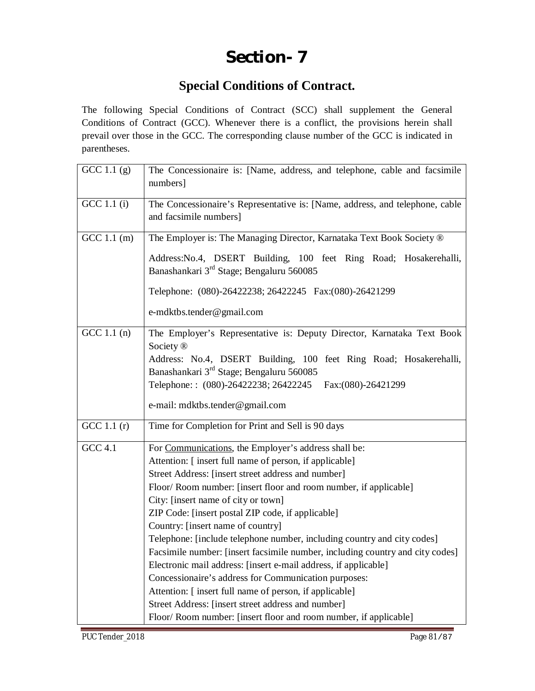# **Section- 7**

## **Special Conditions of Contract.**

The following Special Conditions of Contract (SCC) shall supplement the General Conditions of Contract (GCC). Whenever there is a conflict, the provisions herein shall prevail over those in the GCC. The corresponding clause number of the GCC is indicated in parentheses.

| GCC 1.1 $(g)$  | The Concessionaire is: [Name, address, and telephone, cable and facsimile<br>numbers]                                     |  |  |  |  |
|----------------|---------------------------------------------------------------------------------------------------------------------------|--|--|--|--|
|                |                                                                                                                           |  |  |  |  |
| GCC 1.1 (i)    | The Concessionaire's Representative is: [Name, address, and telephone, cable<br>and facsimile numbers]                    |  |  |  |  |
| GCC 1.1 (m)    | The Employer is: The Managing Director, Karnataka Text Book Society ®                                                     |  |  |  |  |
|                | Address: No.4, DSERT Building, 100 feet Ring Road; Hosakerehalli,<br>Banashankari 3 <sup>rd</sup> Stage; Bengaluru 560085 |  |  |  |  |
|                | Telephone: (080)-26422238; 26422245  Fax:(080)-26421299                                                                   |  |  |  |  |
|                | e-mdktbs.tender@gmail.com                                                                                                 |  |  |  |  |
| GCC 1.1 $(n)$  | The Employer's Representative is: Deputy Director, Karnataka Text Book                                                    |  |  |  |  |
|                | Society <sup>®</sup>                                                                                                      |  |  |  |  |
|                | Address: No.4, DSERT Building, 100 feet Ring Road; Hosakerehalli,                                                         |  |  |  |  |
|                | Banashankari 3 <sup>rd</sup> Stage; Bengaluru 560085                                                                      |  |  |  |  |
|                | Telephone:: (080)-26422238; 26422245<br>Fax:(080)-26421299                                                                |  |  |  |  |
|                | e-mail: mdktbs.tender@gmail.com                                                                                           |  |  |  |  |
| GCC 1.1 $(r)$  | Time for Completion for Print and Sell is 90 days                                                                         |  |  |  |  |
| <b>GCC 4.1</b> | For Communications, the Employer's address shall be:                                                                      |  |  |  |  |
|                | Attention: [insert full name of person, if applicable]                                                                    |  |  |  |  |
|                | Street Address: [insert street address and number]                                                                        |  |  |  |  |
|                | Floor/Room number: [insert floor and room number, if applicable]                                                          |  |  |  |  |
|                | City: [insert name of city or town]                                                                                       |  |  |  |  |
|                | ZIP Code: [insert postal ZIP code, if applicable]                                                                         |  |  |  |  |
|                | Country: [insert name of country]                                                                                         |  |  |  |  |
|                | Telephone: [include telephone number, including country and city codes]                                                   |  |  |  |  |
|                | Facsimile number: [insert facsimile number, including country and city codes]                                             |  |  |  |  |
|                | Electronic mail address: [insert e-mail address, if applicable]                                                           |  |  |  |  |
|                | Concessionaire's address for Communication purposes:                                                                      |  |  |  |  |
|                | Attention: [insert full name of person, if applicable]                                                                    |  |  |  |  |
|                | Street Address: [insert street address and number]                                                                        |  |  |  |  |
|                | Floor/Room number: [insert floor and room number, if applicable]                                                          |  |  |  |  |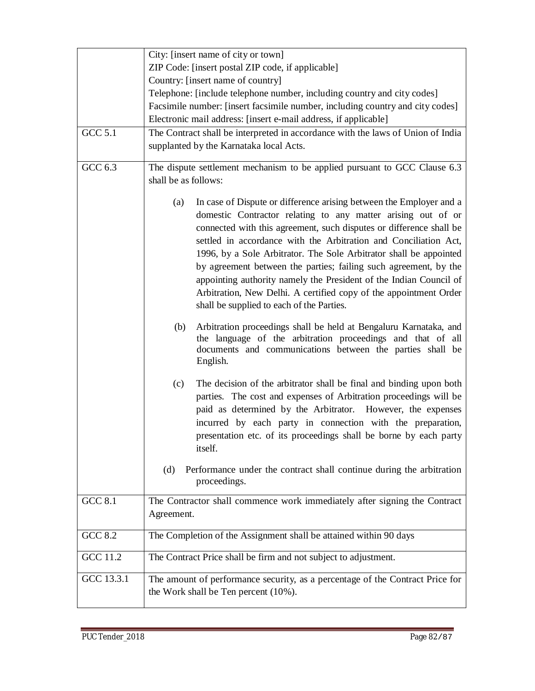|                 | City: [insert name of city or town]                                                                                                                                                                                                                                                                                                                                                                                                                                                                                                                                                                                     |  |  |  |  |
|-----------------|-------------------------------------------------------------------------------------------------------------------------------------------------------------------------------------------------------------------------------------------------------------------------------------------------------------------------------------------------------------------------------------------------------------------------------------------------------------------------------------------------------------------------------------------------------------------------------------------------------------------------|--|--|--|--|
|                 | ZIP Code: [insert postal ZIP code, if applicable]                                                                                                                                                                                                                                                                                                                                                                                                                                                                                                                                                                       |  |  |  |  |
|                 | Country: [insert name of country]                                                                                                                                                                                                                                                                                                                                                                                                                                                                                                                                                                                       |  |  |  |  |
|                 | Telephone: [include telephone number, including country and city codes]                                                                                                                                                                                                                                                                                                                                                                                                                                                                                                                                                 |  |  |  |  |
|                 | Facsimile number: [insert facsimile number, including country and city codes]                                                                                                                                                                                                                                                                                                                                                                                                                                                                                                                                           |  |  |  |  |
|                 | Electronic mail address: [insert e-mail address, if applicable]                                                                                                                                                                                                                                                                                                                                                                                                                                                                                                                                                         |  |  |  |  |
| <b>GCC 5.1</b>  | The Contract shall be interpreted in accordance with the laws of Union of India                                                                                                                                                                                                                                                                                                                                                                                                                                                                                                                                         |  |  |  |  |
|                 | supplanted by the Karnataka local Acts.                                                                                                                                                                                                                                                                                                                                                                                                                                                                                                                                                                                 |  |  |  |  |
|                 |                                                                                                                                                                                                                                                                                                                                                                                                                                                                                                                                                                                                                         |  |  |  |  |
| GCC 6.3         | The dispute settlement mechanism to be applied pursuant to GCC Clause 6.3<br>shall be as follows:                                                                                                                                                                                                                                                                                                                                                                                                                                                                                                                       |  |  |  |  |
|                 |                                                                                                                                                                                                                                                                                                                                                                                                                                                                                                                                                                                                                         |  |  |  |  |
|                 | In case of Dispute or difference arising between the Employer and a<br>(a)<br>domestic Contractor relating to any matter arising out of or<br>connected with this agreement, such disputes or difference shall be<br>settled in accordance with the Arbitration and Conciliation Act,<br>1996, by a Sole Arbitrator. The Sole Arbitrator shall be appointed<br>by agreement between the parties; failing such agreement, by the<br>appointing authority namely the President of the Indian Council of<br>Arbitration, New Delhi. A certified copy of the appointment Order<br>shall be supplied to each of the Parties. |  |  |  |  |
|                 |                                                                                                                                                                                                                                                                                                                                                                                                                                                                                                                                                                                                                         |  |  |  |  |
|                 | Arbitration proceedings shall be held at Bengaluru Karnataka, and<br>(b)<br>the language of the arbitration proceedings and that of all<br>documents and communications between the parties shall be<br>English.                                                                                                                                                                                                                                                                                                                                                                                                        |  |  |  |  |
|                 | The decision of the arbitrator shall be final and binding upon both<br>(c)<br>parties. The cost and expenses of Arbitration proceedings will be<br>paid as determined by the Arbitrator. However, the expenses<br>incurred by each party in connection with the preparation,<br>presentation etc. of its proceedings shall be borne by each party<br>itself.                                                                                                                                                                                                                                                            |  |  |  |  |
|                 | Performance under the contract shall continue during the arbitration<br>(d)<br>proceedings.                                                                                                                                                                                                                                                                                                                                                                                                                                                                                                                             |  |  |  |  |
| <b>GCC 8.1</b>  | The Contractor shall commence work immediately after signing the Contract                                                                                                                                                                                                                                                                                                                                                                                                                                                                                                                                               |  |  |  |  |
|                 | Agreement.                                                                                                                                                                                                                                                                                                                                                                                                                                                                                                                                                                                                              |  |  |  |  |
| <b>GCC 8.2</b>  | The Completion of the Assignment shall be attained within 90 days                                                                                                                                                                                                                                                                                                                                                                                                                                                                                                                                                       |  |  |  |  |
| <b>GCC 11.2</b> | The Contract Price shall be firm and not subject to adjustment.                                                                                                                                                                                                                                                                                                                                                                                                                                                                                                                                                         |  |  |  |  |
| GCC 13.3.1      | The amount of performance security, as a percentage of the Contract Price for                                                                                                                                                                                                                                                                                                                                                                                                                                                                                                                                           |  |  |  |  |
|                 | the Work shall be Ten percent (10%).                                                                                                                                                                                                                                                                                                                                                                                                                                                                                                                                                                                    |  |  |  |  |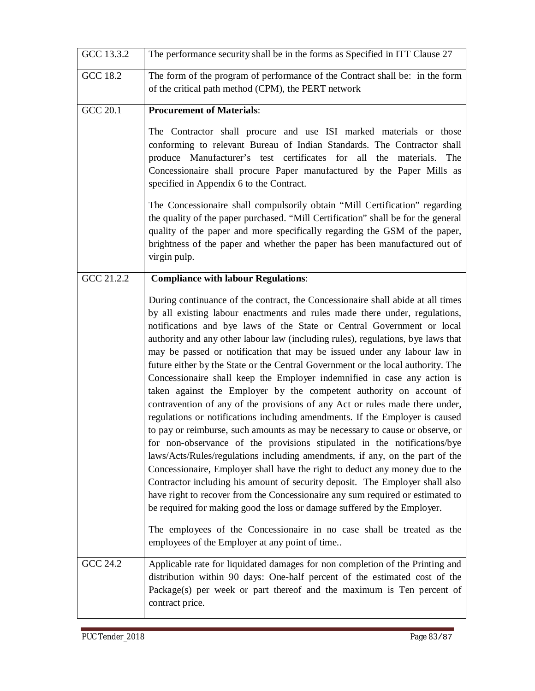| GCC 13.3.2      | The performance security shall be in the forms as Specified in ITT Clause 27                                                                                                                                                                                                                                                                                                                                                                                                                                                                                                                                                                                                                                                                                                                                                                                                                                                                                                                                                                                                                                                                                                                                                                                                                                                                                                                                                                                                                                          |  |  |  |  |
|-----------------|-----------------------------------------------------------------------------------------------------------------------------------------------------------------------------------------------------------------------------------------------------------------------------------------------------------------------------------------------------------------------------------------------------------------------------------------------------------------------------------------------------------------------------------------------------------------------------------------------------------------------------------------------------------------------------------------------------------------------------------------------------------------------------------------------------------------------------------------------------------------------------------------------------------------------------------------------------------------------------------------------------------------------------------------------------------------------------------------------------------------------------------------------------------------------------------------------------------------------------------------------------------------------------------------------------------------------------------------------------------------------------------------------------------------------------------------------------------------------------------------------------------------------|--|--|--|--|
| GCC 18.2        | The form of the program of performance of the Contract shall be: in the form<br>of the critical path method (CPM), the PERT network                                                                                                                                                                                                                                                                                                                                                                                                                                                                                                                                                                                                                                                                                                                                                                                                                                                                                                                                                                                                                                                                                                                                                                                                                                                                                                                                                                                   |  |  |  |  |
| <b>GCC 20.1</b> | <b>Procurement of Materials:</b>                                                                                                                                                                                                                                                                                                                                                                                                                                                                                                                                                                                                                                                                                                                                                                                                                                                                                                                                                                                                                                                                                                                                                                                                                                                                                                                                                                                                                                                                                      |  |  |  |  |
|                 | The Contractor shall procure and use ISI marked materials or those<br>conforming to relevant Bureau of Indian Standards. The Contractor shall<br>produce Manufacturer's test certificates for all the<br>materials. The<br>Concessionaire shall procure Paper manufactured by the Paper Mills as<br>specified in Appendix 6 to the Contract.                                                                                                                                                                                                                                                                                                                                                                                                                                                                                                                                                                                                                                                                                                                                                                                                                                                                                                                                                                                                                                                                                                                                                                          |  |  |  |  |
|                 | The Concessionaire shall compulsorily obtain "Mill Certification" regarding<br>the quality of the paper purchased. "Mill Certification" shall be for the general<br>quality of the paper and more specifically regarding the GSM of the paper,<br>brightness of the paper and whether the paper has been manufactured out of<br>virgin pulp.                                                                                                                                                                                                                                                                                                                                                                                                                                                                                                                                                                                                                                                                                                                                                                                                                                                                                                                                                                                                                                                                                                                                                                          |  |  |  |  |
| GCC 21.2.2      | <b>Compliance with labour Regulations:</b>                                                                                                                                                                                                                                                                                                                                                                                                                                                                                                                                                                                                                                                                                                                                                                                                                                                                                                                                                                                                                                                                                                                                                                                                                                                                                                                                                                                                                                                                            |  |  |  |  |
|                 | During continuance of the contract, the Concessionaire shall abide at all times<br>by all existing labour enactments and rules made there under, regulations,<br>notifications and bye laws of the State or Central Government or local<br>authority and any other labour law (including rules), regulations, bye laws that<br>may be passed or notification that may be issued under any labour law in<br>future either by the State or the Central Government or the local authority. The<br>Concessionaire shall keep the Employer indemnified in case any action is<br>taken against the Employer by the competent authority on account of<br>contravention of any of the provisions of any Act or rules made there under,<br>regulations or notifications including amendments. If the Employer is caused<br>to pay or reimburse, such amounts as may be necessary to cause or observe, or<br>for non-observance of the provisions stipulated in the notifications/bye<br>laws/Acts/Rules/regulations including amendments, if any, on the part of the<br>Concessionaire, Employer shall have the right to deduct any money due to the<br>Contractor including his amount of security deposit. The Employer shall also<br>have right to recover from the Concessionaire any sum required or estimated to<br>be required for making good the loss or damage suffered by the Employer.<br>The employees of the Concessionaire in no case shall be treated as the<br>employees of the Employer at any point of time |  |  |  |  |
| GCC 24.2        | Applicable rate for liquidated damages for non completion of the Printing and<br>distribution within 90 days: One-half percent of the estimated cost of the<br>Package(s) per week or part thereof and the maximum is Ten percent of<br>contract price.                                                                                                                                                                                                                                                                                                                                                                                                                                                                                                                                                                                                                                                                                                                                                                                                                                                                                                                                                                                                                                                                                                                                                                                                                                                               |  |  |  |  |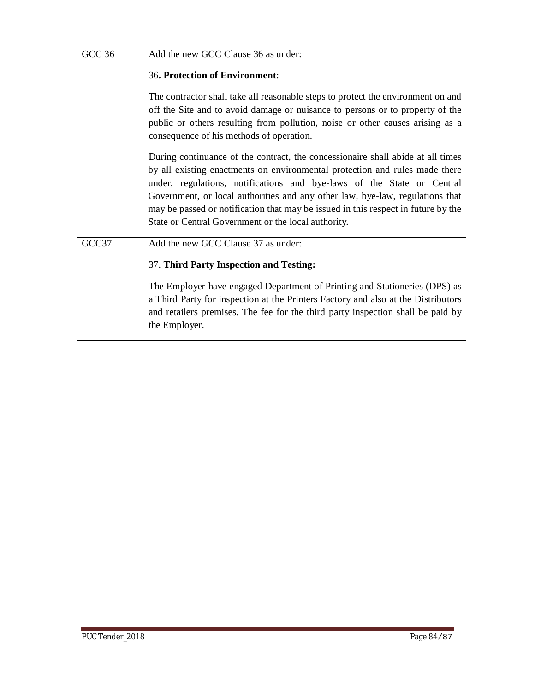| <b>GCC 36</b> | Add the new GCC Clause 36 as under:                                                                                                                                                                                                                                                                                                                                                                                                                                   |
|---------------|-----------------------------------------------------------------------------------------------------------------------------------------------------------------------------------------------------------------------------------------------------------------------------------------------------------------------------------------------------------------------------------------------------------------------------------------------------------------------|
|               | <b>36. Protection of Environment:</b>                                                                                                                                                                                                                                                                                                                                                                                                                                 |
|               | The contractor shall take all reasonable steps to protect the environment on and<br>off the Site and to avoid damage or nuisance to persons or to property of the<br>public or others resulting from pollution, noise or other causes arising as a<br>consequence of his methods of operation.                                                                                                                                                                        |
|               | During continuance of the contract, the concessionaire shall abide at all times<br>by all existing enactments on environmental protection and rules made there<br>under, regulations, notifications and bye-laws of the State or Central<br>Government, or local authorities and any other law, bye-law, regulations that<br>may be passed or notification that may be issued in this respect in future by the<br>State or Central Government or the local authority. |
| GCC37         | Add the new GCC Clause 37 as under:<br>37. Third Party Inspection and Testing:                                                                                                                                                                                                                                                                                                                                                                                        |
|               | The Employer have engaged Department of Printing and Stationeries (DPS) as<br>a Third Party for inspection at the Printers Factory and also at the Distributors<br>and retailers premises. The fee for the third party inspection shall be paid by<br>the Employer.                                                                                                                                                                                                   |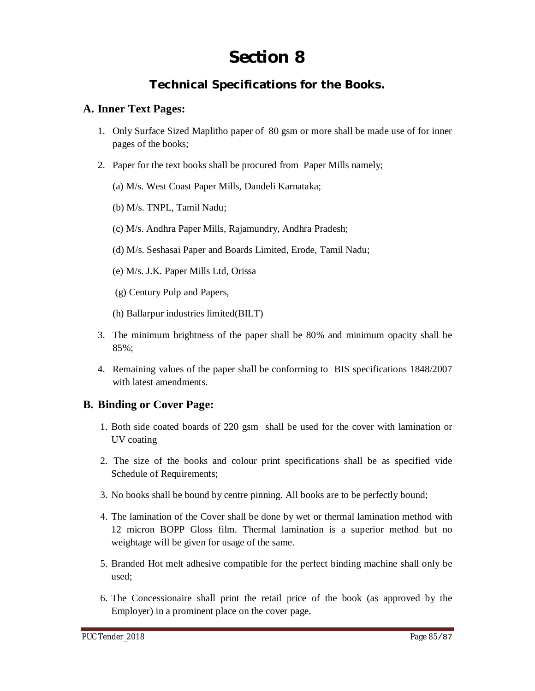# **Section 8**

## **Technical Specifications for the Books.**

#### **A. Inner Text Pages:**

- 1. Only Surface Sized Maplitho paper of 80 gsm or more shall be made use of for inner pages of the books;
- 2. Paper for the text books shall be procured from Paper Mills namely;
	- (a) M/s. West Coast Paper Mills, Dandeli Karnataka;
	- (b) M/s. TNPL, Tamil Nadu;
	- (c) M/s. Andhra Paper Mills, Rajamundry, Andhra Pradesh;
	- (d) M/s. Seshasai Paper and Boards Limited, Erode, Tamil Nadu;
	- (e) M/s. J.K. Paper Mills Ltd, Orissa
	- (g) Century Pulp and Papers,
	- (h) Ballarpur industries limited(BILT)
- 3. The minimum brightness of the paper shall be 80% and minimum opacity shall be 85%;
- 4. Remaining values of the paper shall be conforming to BIS specifications 1848/2007 with latest amendments.

### **B. Binding or Cover Page:**

- 1. Both side coated boards of 220 gsm shall be used for the cover with lamination or UV coating
- 2. The size of the books and colour print specifications shall be as specified vide Schedule of Requirements;
- 3. No books shall be bound by centre pinning. All books are to be perfectly bound;
- 4. The lamination of the Cover shall be done by wet or thermal lamination method with 12 micron BOPP Gloss film. Thermal lamination is a superior method but no weightage will be given for usage of the same.
- 5. Branded Hot melt adhesive compatible for the perfect binding machine shall only be used;
- 6. The Concessionaire shall print the retail price of the book (as approved by the Employer) in a prominent place on the cover page.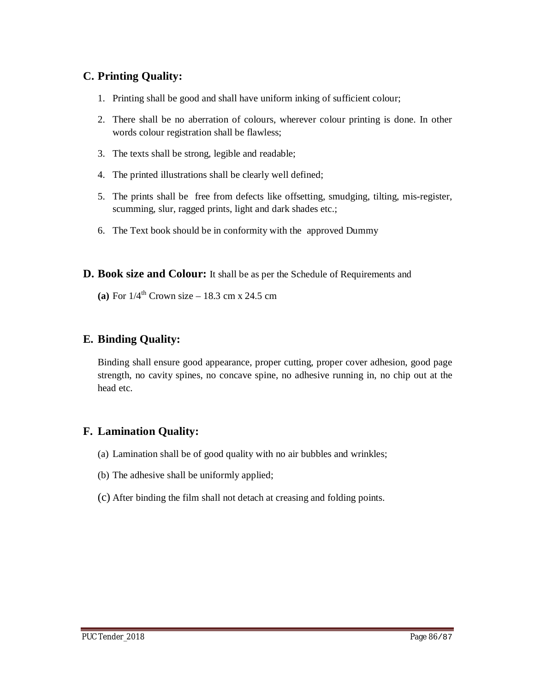## **C. Printing Quality:**

- 1. Printing shall be good and shall have uniform inking of sufficient colour;
- 2. There shall be no aberration of colours, wherever colour printing is done. In other words colour registration shall be flawless;
- 3. The texts shall be strong, legible and readable;
- 4. The printed illustrations shall be clearly well defined;
- 5. The prints shall be free from defects like offsetting, smudging, tilting, mis-register, scumming, slur, ragged prints, light and dark shades etc.;
- 6. The Text book should be in conformity with the approved Dummy
- **D. Book size and Colour:** It shall be as per the Schedule of Requirements and
	- **(a)** For  $1/4^{th}$  Crown size 18.3 cm x 24.5 cm

## **E. Binding Quality:**

Binding shall ensure good appearance, proper cutting, proper cover adhesion, good page strength, no cavity spines, no concave spine, no adhesive running in, no chip out at the head etc.

## **F. Lamination Quality:**

- (a) Lamination shall be of good quality with no air bubbles and wrinkles;
- (b) The adhesive shall be uniformly applied;
- (c) After binding the film shall not detach at creasing and folding points.